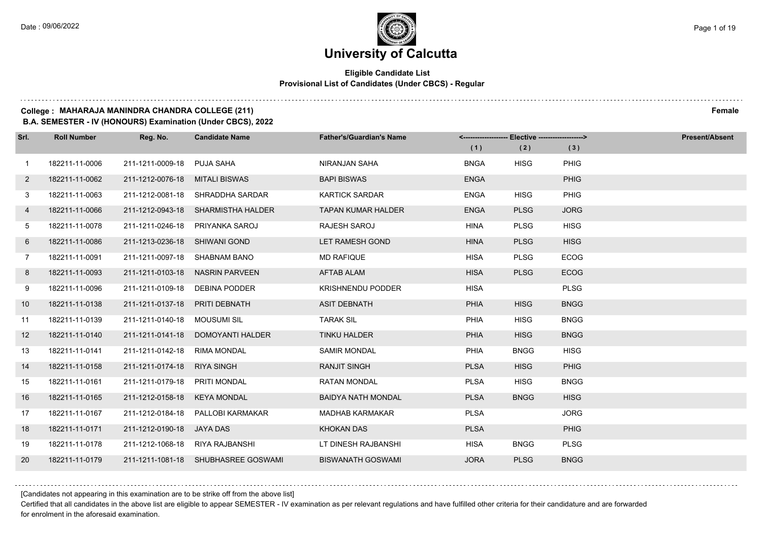## **Eligible Candidate List Provisional List of Candidates (Under CBCS) - Regular**

#### **College : MAHARAJA MANINDRA CHANDRA COLLEGE (211) Female**

**B.A. SEMESTER - IV (HONOURS) Examination (Under CBCS), 2022**

| Srl.           | <b>Roll Number</b> | Reg. No.                        | <b>Candidate Name</b>               | <b>Father's/Guardian's Name</b> |             | <-------------------- Elective -------------------> |             | <b>Present/Absent</b> |
|----------------|--------------------|---------------------------------|-------------------------------------|---------------------------------|-------------|-----------------------------------------------------|-------------|-----------------------|
|                |                    |                                 |                                     |                                 | (1)         | (2)                                                 | (3)         |                       |
| $\overline{1}$ | 182211-11-0006     | 211-1211-0009-18                | PUJA SAHA                           | NIRANJAN SAHA                   | <b>BNGA</b> | <b>HISG</b>                                         | <b>PHIG</b> |                       |
| $\mathbf{2}$   | 182211-11-0062     | 211-1212-0076-18                | MITALI BISWAS                       | <b>BAPI BISWAS</b>              | <b>ENGA</b> |                                                     | <b>PHIG</b> |                       |
| 3              | 182211-11-0063     |                                 | 211-1212-0081-18 SHRADDHA SARDAR    | <b>KARTICK SARDAR</b>           | <b>ENGA</b> | <b>HISG</b>                                         | PHIG        |                       |
| 4              | 182211-11-0066     |                                 | 211-1212-0943-18 SHARMISTHA HALDER  | <b>TAPAN KUMAR HALDER</b>       | <b>ENGA</b> | <b>PLSG</b>                                         | <b>JORG</b> |                       |
| 5              | 182211-11-0078     | 211-1211-0246-18                | PRIYANKA SAROJ                      | RAJESH SAROJ                    | HINA        | <b>PLSG</b>                                         | <b>HISG</b> |                       |
| 6              | 182211-11-0086     | 211-1213-0236-18                | SHIWANI GOND                        | LET RAMESH GOND                 | <b>HINA</b> | <b>PLSG</b>                                         | <b>HISG</b> |                       |
| $\overline{7}$ | 182211-11-0091     | 211-1211-0097-18 SHABNAM BANO   |                                     | <b>MD RAFIQUE</b>               | <b>HISA</b> | <b>PLSG</b>                                         | <b>ECOG</b> |                       |
| 8              | 182211-11-0093     |                                 | 211-1211-0103-18 NASRIN PARVEEN     | <b>AFTAB ALAM</b>               | <b>HISA</b> | <b>PLSG</b>                                         | <b>ECOG</b> |                       |
| 9              | 182211-11-0096     | 211-1211-0109-18 DEBINA PODDER  |                                     | <b>KRISHNENDU PODDER</b>        | <b>HISA</b> |                                                     | <b>PLSG</b> |                       |
| 10             | 182211-11-0138     | 211-1211-0137-18                | <b>PRITI DEBNATH</b>                | <b>ASIT DEBNATH</b>             | <b>PHIA</b> | <b>HISG</b>                                         | <b>BNGG</b> |                       |
| 11             | 182211-11-0139     | 211-1211-0140-18 MOUSUMI SIL    |                                     | <b>TARAK SIL</b>                | <b>PHIA</b> | <b>HISG</b>                                         | <b>BNGG</b> |                       |
| 12             | 182211-11-0140     |                                 | 211-1211-0141-18 DOMOYANTI HALDER   | TINKU HALDER                    | <b>PHIA</b> | <b>HISG</b>                                         | <b>BNGG</b> |                       |
| 13             | 182211-11-0141     | 211-1211-0142-18                | <b>RIMA MONDAL</b>                  | <b>SAMIR MONDAL</b>             | <b>PHIA</b> | <b>BNGG</b>                                         | <b>HISG</b> |                       |
| 14             | 182211-11-0158     | 211-1211-0174-18                | <b>RIYA SINGH</b>                   | <b>RANJIT SINGH</b>             | <b>PLSA</b> | <b>HISG</b>                                         | PHIG        |                       |
| 15             | 182211-11-0161     | 211-1211-0179-18 PRITI MONDAL   |                                     | <b>RATAN MONDAL</b>             | <b>PLSA</b> | <b>HISG</b>                                         | <b>BNGG</b> |                       |
| 16             | 182211-11-0165     | 211-1212-0158-18                | KEYA MONDAL                         | <b>BAIDYA NATH MONDAL</b>       | <b>PLSA</b> | <b>BNGG</b>                                         | <b>HISG</b> |                       |
| 17             | 182211-11-0167     | 211-1212-0184-18                | PALLOBI KARMAKAR                    | <b>MADHAB KARMAKAR</b>          | <b>PLSA</b> |                                                     | <b>JORG</b> |                       |
| 18             | 182211-11-0171     | 211-1212-0190-18 JAYA DAS       |                                     | <b>KHOKAN DAS</b>               | <b>PLSA</b> |                                                     | <b>PHIG</b> |                       |
| 19             | 182211-11-0178     | 211-1212-1068-18 RIYA RAJBANSHI |                                     | LT DINESH RAJBANSHI             | HISA        | <b>BNGG</b>                                         | <b>PLSG</b> |                       |
| 20             | 182211-11-0179     |                                 | 211-1211-1081-18 SHUBHASREE GOSWAMI | <b>BISWANATH GOSWAMI</b>        | <b>JORA</b> | <b>PLSG</b>                                         | <b>BNGG</b> |                       |

[Candidates not appearing in this examination are to be strike off from the above list]

Certified that all candidates in the above list are eligible to appear SEMESTER - IV examination as per relevant regulations and have fulfilled other criteria for their candidature and are forwarded for enrolment in the aforesaid examination.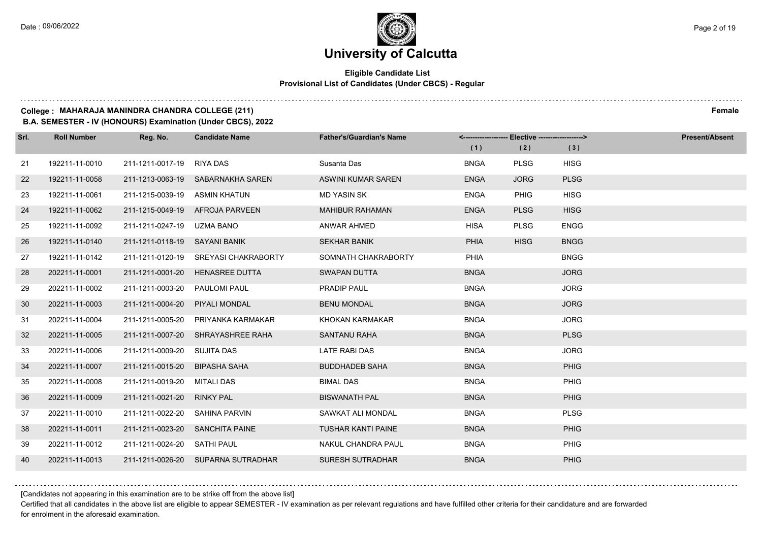### **Eligible Candidate List Provisional List of Candidates (Under CBCS) - Regular**

#### **College : MAHARAJA MANINDRA CHANDRA COLLEGE (211) Female**

**B.A. SEMESTER - IV (HONOURS) Examination (Under CBCS), 2022**

| Srl. | <b>Roll Number</b> | Reg. No.                        | <b>Candidate Name</b>                | <b>Father's/Guardian's Name</b> | <------------------- Elective ------------------> |             |             | <b>Present/Absent</b> |
|------|--------------------|---------------------------------|--------------------------------------|---------------------------------|---------------------------------------------------|-------------|-------------|-----------------------|
|      |                    |                                 |                                      |                                 | (1)                                               | (2)         | (3)         |                       |
| 21   | 192211-11-0010     | 211-1211-0017-19 RIYA DAS       |                                      | Susanta Das                     | <b>BNGA</b>                                       | <b>PLSG</b> | <b>HISG</b> |                       |
| 22   | 192211-11-0058     |                                 | 211-1213-0063-19 SABARNAKHA SAREN    | ASWINI KUMAR SAREN              | <b>ENGA</b>                                       | <b>JORG</b> | <b>PLSG</b> |                       |
| 23   | 192211-11-0061     | 211-1215-0039-19 ASMIN KHATUN   |                                      | <b>MD YASIN SK</b>              | <b>ENGA</b>                                       | <b>PHIG</b> | <b>HISG</b> |                       |
| 24   | 192211-11-0062     |                                 | 211-1215-0049-19 AFROJA PARVEEN      | <b>MAHIBUR RAHAMAN</b>          | <b>ENGA</b>                                       | <b>PLSG</b> | <b>HISG</b> |                       |
| 25   | 192211-11-0092     | 211-1211-0247-19                | UZMA BANO                            | <b>ANWAR AHMED</b>              | <b>HISA</b>                                       | <b>PLSG</b> | <b>ENGG</b> |                       |
| 26   | 192211-11-0140     | 211-1211-0118-19 SAYANI BANIK   |                                      | <b>SEKHAR BANIK</b>             | <b>PHIA</b>                                       | <b>HISG</b> | <b>BNGG</b> |                       |
| 27   | 192211-11-0142     |                                 | 211-1211-0120-19 SREYASI CHAKRABORTY | SOMNATH CHAKRABORTY             | PHIA                                              |             | <b>BNGG</b> |                       |
| 28   | 202211-11-0001     | 211-1211-0001-20                | <b>HENASREE DUTTA</b>                | <b>SWAPAN DUTTA</b>             | <b>BNGA</b>                                       |             | <b>JORG</b> |                       |
| 29   | 202211-11-0002     | 211-1211-0003-20                | PAULOMI PAUL                         | PRADIP PAUL                     | <b>BNGA</b>                                       |             | <b>JORG</b> |                       |
| 30   | 202211-11-0003     | 211-1211-0004-20                | PIYALI MONDAL                        | <b>BENU MONDAL</b>              | <b>BNGA</b>                                       |             | <b>JORG</b> |                       |
| 31   | 202211-11-0004     | 211-1211-0005-20                | PRIYANKA KARMAKAR                    | KHOKAN KARMAKAR                 | <b>BNGA</b>                                       |             | <b>JORG</b> |                       |
| 32   | 202211-11-0005     |                                 | 211-1211-0007-20 SHRAYASHREE RAHA    | <b>SANTANU RAHA</b>             | <b>BNGA</b>                                       |             | <b>PLSG</b> |                       |
| 33   | 202211-11-0006     | 211-1211-0009-20                | SUJITA DAS                           | LATE RABI DAS                   | <b>BNGA</b>                                       |             | <b>JORG</b> |                       |
| 34   | 202211-11-0007     | 211-1211-0015-20                | <b>BIPASHA SAHA</b>                  | <b>BUDDHADEB SAHA</b>           | <b>BNGA</b>                                       |             | PHIG        |                       |
| 35   | 202211-11-0008     | 211-1211-0019-20                | MITALI DAS                           | <b>BIMAL DAS</b>                | <b>BNGA</b>                                       |             | PHIG        |                       |
| 36   | 202211-11-0009     | 211-1211-0021-20                | <b>RINKY PAL</b>                     | <b>BISWANATH PAL</b>            | <b>BNGA</b>                                       |             | PHIG        |                       |
| 37   | 202211-11-0010     | 211-1211-0022-20                | SAHINA PARVIN                        | SAWKAT ALI MONDAL               | <b>BNGA</b>                                       |             | <b>PLSG</b> |                       |
| 38   | 202211-11-0011     | 211-1211-0023-20 SANCHITA PAINE |                                      | <b>TUSHAR KANTI PAINE</b>       | <b>BNGA</b>                                       |             | <b>PHIG</b> |                       |
| 39   | 202211-11-0012     | 211-1211-0024-20 SATHI PAUL     |                                      | NAKUL CHANDRA PAUL              | <b>BNGA</b>                                       |             | PHIG        |                       |
| 40   | 202211-11-0013     |                                 | 211-1211-0026-20 SUPARNA SUTRADHAR   | <b>SURESH SUTRADHAR</b>         | <b>BNGA</b>                                       |             | <b>PHIG</b> |                       |

[Candidates not appearing in this examination are to be strike off from the above list]

Certified that all candidates in the above list are eligible to appear SEMESTER - IV examination as per relevant regulations and have fulfilled other criteria for their candidature and are forwarded for enrolment in the aforesaid examination.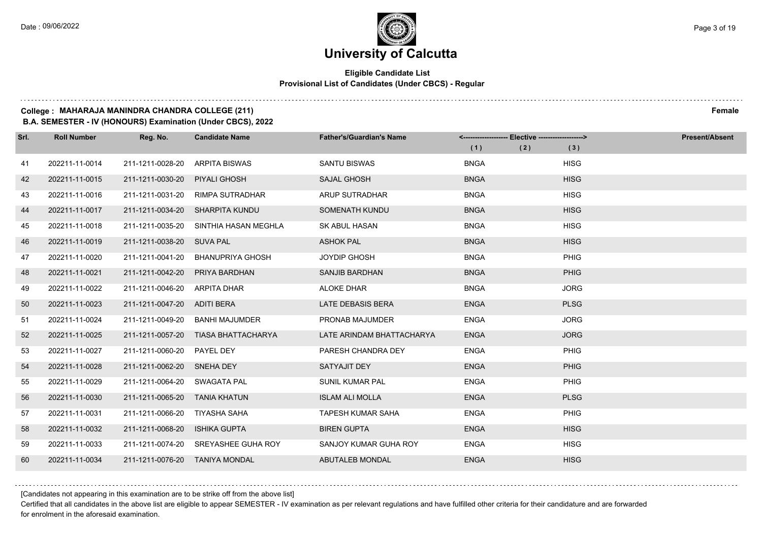## **Eligible Candidate List Provisional List of Candidates (Under CBCS) - Regular**

### **College : MAHARAJA MANINDRA CHANDRA COLLEGE (211) Female**

**B.A. SEMESTER - IV (HONOURS) Examination (Under CBCS), 2022**

| Srl. | <b>Roll Number</b> | Reg. No.                       | <b>Candidate Name</b>               | <b>Father's/Guardian's Name</b> |             |             | <b>Present/Absent</b> |
|------|--------------------|--------------------------------|-------------------------------------|---------------------------------|-------------|-------------|-----------------------|
|      |                    |                                |                                     |                                 | (1)         | (2)<br>(3)  |                       |
| 41   | 202211-11-0014     | 211-1211-0028-20               | ARPITA BISWAS                       | <b>SANTU BISWAS</b>             | <b>BNGA</b> | <b>HISG</b> |                       |
| 42   | 202211-11-0015     | 211-1211-0030-20               | PIYALI GHOSH                        | <b>SAJAL GHOSH</b>              | <b>BNGA</b> | <b>HISG</b> |                       |
| 43   | 202211-11-0016     |                                | 211-1211-0031-20 RIMPA SUTRADHAR    | ARUP SUTRADHAR                  | <b>BNGA</b> | <b>HISG</b> |                       |
| 44   | 202211-11-0017     |                                | 211-1211-0034-20 SHARPITA KUNDU     | SOMENATH KUNDU                  | <b>BNGA</b> | <b>HISG</b> |                       |
| 45   | 202211-11-0018     | 211-1211-0035-20               | SINTHIA HASAN MEGHLA                | <b>SK ABUL HASAN</b>            | <b>BNGA</b> | <b>HISG</b> |                       |
| 46   | 202211-11-0019     | 211-1211-0038-20 SUVA PAL      |                                     | <b>ASHOK PAL</b>                | <b>BNGA</b> | <b>HISG</b> |                       |
| 47   | 202211-11-0020     | 211-1211-0041-20               | <b>BHANUPRIYA GHOSH</b>             | <b>JOYDIP GHOSH</b>             | <b>BNGA</b> | PHIG        |                       |
| 48   | 202211-11-0021     | 211-1211-0042-20               | PRIYA BARDHAN                       | SANJIB BARDHAN                  | <b>BNGA</b> | PHIG        |                       |
| 49   | 202211-11-0022     | 211-1211-0046-20               | <b>ARPITA DHAR</b>                  | <b>ALOKE DHAR</b>               | <b>BNGA</b> | <b>JORG</b> |                       |
| 50   | 202211-11-0023     | 211-1211-0047-20               | ADITI BERA                          | <b>LATE DEBASIS BERA</b>        | <b>ENGA</b> | <b>PLSG</b> |                       |
| 51   | 202211-11-0024     | 211-1211-0049-20               | BANHI MAJUMDER                      | PRONAB MAJUMDER                 | <b>ENGA</b> | <b>JORG</b> |                       |
| 52   | 202211-11-0025     |                                | 211-1211-0057-20 TIASA BHATTACHARYA | LATE ARINDAM BHATTACHARYA       | <b>ENGA</b> | <b>JORG</b> |                       |
| 53   | 202211-11-0027     | 211-1211-0060-20               | PAYEL DEY                           | PARESH CHANDRA DEY              | <b>ENGA</b> | <b>PHIG</b> |                       |
| 54   | 202211-11-0028     | 211-1211-0062-20 SNEHA DEY     |                                     | SATYAJIT DEY                    | <b>ENGA</b> | PHIG        |                       |
| 55   | 202211-11-0029     | 211-1211-0064-20 SWAGATA PAL   |                                     | <b>SUNIL KUMAR PAL</b>          | <b>ENGA</b> | PHIG        |                       |
| 56   | 202211-11-0030     | 211-1211-0065-20 TANIA KHATUN  |                                     | <b>ISLAM ALI MOLLA</b>          | <b>ENGA</b> | <b>PLSG</b> |                       |
| 57   | 202211-11-0031     | 211-1211-0066-20               | TIYASHA SAHA                        | <b>TAPESH KUMAR SAHA</b>        | <b>ENGA</b> | PHIG        |                       |
| 58   | 202211-11-0032     | 211-1211-0068-20               | <b>ISHIKA GUPTA</b>                 | <b>BIREN GUPTA</b>              | <b>ENGA</b> | <b>HISG</b> |                       |
| 59   | 202211-11-0033     |                                | 211-1211-0074-20 SREYASHEE GUHA ROY | SANJOY KUMAR GUHA ROY           | <b>ENGA</b> | <b>HISG</b> |                       |
| 60   | 202211-11-0034     | 211-1211-0076-20 TANIYA MONDAL |                                     | ABUTALEB MONDAL                 | <b>ENGA</b> | <b>HISG</b> |                       |

[Candidates not appearing in this examination are to be strike off from the above list]

Certified that all candidates in the above list are eligible to appear SEMESTER - IV examination as per relevant regulations and have fulfilled other criteria for their candidature and are forwarded for enrolment in the aforesaid examination.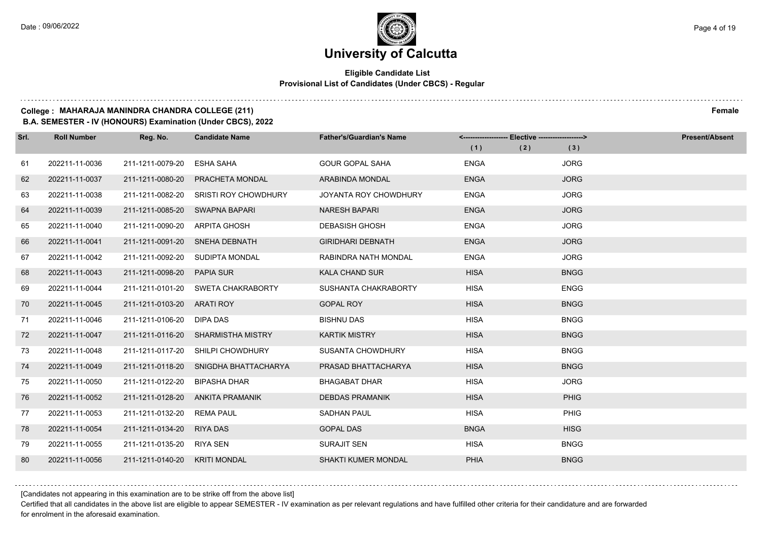## **Eligible Candidate List Provisional List of Candidates (Under CBCS) - Regular**

#### **College : MAHARAJA MANINDRA CHANDRA COLLEGE (211) Female**

**B.A. SEMESTER - IV (HONOURS) Examination (Under CBCS), 2022**

| Srl. | <b>Roll Number</b> | Reg. No.                   | <b>Candidate Name</b>              | <b>Father's/Guardian's Name</b> | <------------------- Elective ------------------> |     |             | <b>Present/Absent</b> |
|------|--------------------|----------------------------|------------------------------------|---------------------------------|---------------------------------------------------|-----|-------------|-----------------------|
|      |                    |                            |                                    |                                 | (1)                                               | (2) | (3)         |                       |
| 61   | 202211-11-0036     | 211-1211-0079-20           | <b>ESHA SAHA</b>                   | <b>GOUR GOPAL SAHA</b>          | <b>ENGA</b>                                       |     | <b>JORG</b> |                       |
| 62   | 202211-11-0037     | 211-1211-0080-20           | PRACHETA MONDAL                    | <b>ARABINDA MONDAL</b>          | <b>ENGA</b>                                       |     | <b>JORG</b> |                       |
| 63   | 202211-11-0038     | 211-1211-0082-20           | <b>SRISTI ROY CHOWDHURY</b>        | JOYANTA ROY CHOWDHURY           | <b>ENGA</b>                                       |     | <b>JORG</b> |                       |
| 64   | 202211-11-0039     | 211-1211-0085-20           | SWAPNA BAPARI                      | <b>NARESH BAPARI</b>            | <b>ENGA</b>                                       |     | <b>JORG</b> |                       |
| 65   | 202211-11-0040     | 211-1211-0090-20           | ARPITA GHOSH                       | <b>DEBASISH GHOSH</b>           | <b>ENGA</b>                                       |     | <b>JORG</b> |                       |
| 66   | 202211-11-0041     |                            | 211-1211-0091-20 SNEHA DEBNATH     | <b>GIRIDHARI DEBNATH</b>        | <b>ENGA</b>                                       |     | <b>JORG</b> |                       |
| 67   | 202211-11-0042     |                            | 211-1211-0092-20 SUDIPTA MONDAL    | RABINDRA NATH MONDAL            | <b>ENGA</b>                                       |     | <b>JORG</b> |                       |
| 68   | 202211-11-0043     | 211-1211-0098-20           | <b>PAPIA SUR</b>                   | <b>KALA CHAND SUR</b>           | <b>HISA</b>                                       |     | <b>BNGG</b> |                       |
| 69   | 202211-11-0044     |                            | 211-1211-0101-20 SWETA CHAKRABORTY | SUSHANTA CHAKRABORTY            | HISA                                              |     | <b>ENGG</b> |                       |
| 70   | 202211-11-0045     | 211-1211-0103-20 ARATI ROY |                                    | <b>GOPAL ROY</b>                | <b>HISA</b>                                       |     | <b>BNGG</b> |                       |
| 71   | 202211-11-0046     | 211-1211-0106-20 DIPA DAS  |                                    | <b>BISHNU DAS</b>               | <b>HISA</b>                                       |     | <b>BNGG</b> |                       |
| 72   | 202211-11-0047     |                            | 211-1211-0116-20 SHARMISTHA MISTRY | <b>KARTIK MISTRY</b>            | <b>HISA</b>                                       |     | <b>BNGG</b> |                       |
| 73   | 202211-11-0048     | 211-1211-0117-20           | SHILPI CHOWDHURY                   | <b>SUSANTA CHOWDHURY</b>        | <b>HISA</b>                                       |     | <b>BNGG</b> |                       |
| 74   | 202211-11-0049     | 211-1211-0118-20           | SNIGDHA BHATTACHARYA               | PRASAD BHATTACHARYA             | <b>HISA</b>                                       |     | <b>BNGG</b> |                       |
| 75   | 202211-11-0050     | 211-1211-0122-20           | <b>BIPASHA DHAR</b>                | <b>BHAGABAT DHAR</b>            | <b>HISA</b>                                       |     | <b>JORG</b> |                       |
| 76   | 202211-11-0052     | 211-1211-0128-20           | ANKITA PRAMANIK                    | <b>DEBDAS PRAMANIK</b>          | <b>HISA</b>                                       |     | PHIG        |                       |
| 77   | 202211-11-0053     | 211-1211-0132-20           | <b>REMA PAUL</b>                   | <b>SADHAN PAUL</b>              | <b>HISA</b>                                       |     | <b>PHIG</b> |                       |
| 78   | 202211-11-0054     | 211-1211-0134-20           | <b>RIYA DAS</b>                    | <b>GOPAL DAS</b>                | <b>BNGA</b>                                       |     | <b>HISG</b> |                       |
| 79   | 202211-11-0055     | 211-1211-0135-20 RIYA SEN  |                                    | <b>SURAJIT SEN</b>              | <b>HISA</b>                                       |     | <b>BNGG</b> |                       |
| 80   | 202211-11-0056     | 211-1211-0140-20           | <b>KRITI MONDAL</b>                | SHAKTI KUMER MONDAL             | <b>PHIA</b>                                       |     | <b>BNGG</b> |                       |

[Candidates not appearing in this examination are to be strike off from the above list]

Certified that all candidates in the above list are eligible to appear SEMESTER - IV examination as per relevant regulations and have fulfilled other criteria for their candidature and are forwarded for enrolment in the aforesaid examination.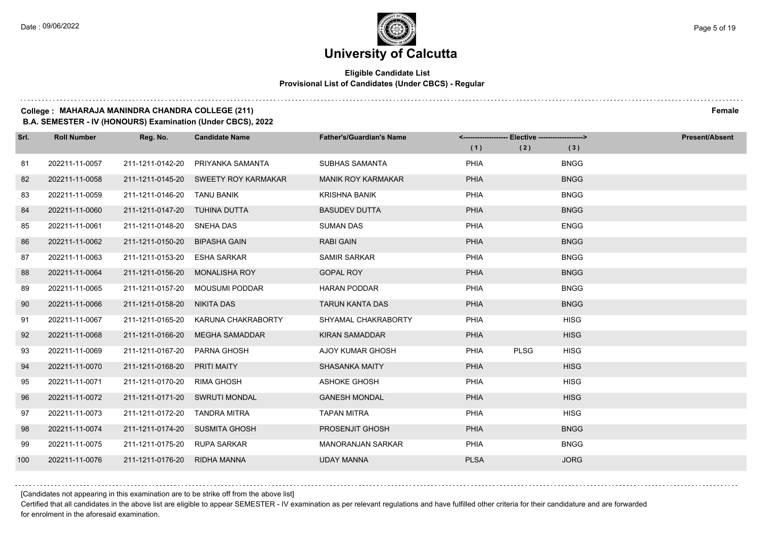$1.111$ 

## **University of Calcutta**

## **Eligible Candidate List Provisional List of Candidates (Under CBCS) - Regular**

#### **College : MAHARAJA MANINDRA CHANDRA COLLEGE (211) Female**

**B.A. SEMESTER - IV (HONOURS) Examination (Under CBCS), 2022**

| Srl. | <b>Roll Number</b> | Reg. No.                       | <b>Candidate Name</b>                | <b>Father's/Guardian's Name</b> | -- Elective --------------------><br><------------------- |             |             | <b>Present/Absent</b> |
|------|--------------------|--------------------------------|--------------------------------------|---------------------------------|-----------------------------------------------------------|-------------|-------------|-----------------------|
|      |                    |                                |                                      |                                 | (1)                                                       | (2)         | (3)         |                       |
| 81   | 202211-11-0057     | 211-1211-0142-20               | PRIYANKA SAMANTA                     | SUBHAS SAMANTA                  | PHIA                                                      |             | <b>BNGG</b> |                       |
| 82   | 202211-11-0058     |                                | 211-1211-0145-20 SWEETY ROY KARMAKAR | <b>MANIK ROY KARMAKAR</b>       | <b>PHIA</b>                                               |             | <b>BNGG</b> |                       |
| 83   | 202211-11-0059     | 211-1211-0146-20 TANU BANIK    |                                      | <b>KRISHNA BANIK</b>            | PHIA                                                      |             | <b>BNGG</b> |                       |
| 84   | 202211-11-0060     | 211-1211-0147-20 TUHINA DUTTA  |                                      | <b>BASUDEV DUTTA</b>            | <b>PHIA</b>                                               |             | <b>BNGG</b> |                       |
| 85   | 202211-11-0061     | 211-1211-0148-20               | SNEHA DAS                            | <b>SUMAN DAS</b>                | PHIA                                                      |             | <b>ENGG</b> |                       |
| 86   | 202211-11-0062     | 211-1211-0150-20               | <b>BIPASHA GAIN</b>                  | <b>RABI GAIN</b>                | <b>PHIA</b>                                               |             | <b>BNGG</b> |                       |
| 87   | 202211-11-0063     | 211-1211-0153-20               | <b>ESHA SARKAR</b>                   | <b>SAMIR SARKAR</b>             | PHIA                                                      |             | <b>BNGG</b> |                       |
| 88   | 202211-11-0064     | 211-1211-0156-20               | <b>MONALISHA ROY</b>                 | <b>GOPAL ROY</b>                | PHIA                                                      |             | <b>BNGG</b> |                       |
| 89   | 202211-11-0065     | 211-1211-0157-20               | <b>MOUSUMI PODDAR</b>                | <b>HARAN PODDAR</b>             | PHIA                                                      |             | <b>BNGG</b> |                       |
| 90   | 202211-11-0066     | 211-1211-0158-20               | NIKITA DAS                           | <b>TARUN KANTA DAS</b>          | PHIA                                                      |             | <b>BNGG</b> |                       |
| 91   | 202211-11-0067     | 211-1211-0165-20               | KARUNA CHAKRABORTY                   | SHYAMAL CHAKRABORTY             | PHIA                                                      |             | <b>HISG</b> |                       |
| 92   | 202211-11-0068     | 211-1211-0166-20               | MEGHA SAMADDAR                       | <b>KIRAN SAMADDAR</b>           | <b>PHIA</b>                                               |             | <b>HISG</b> |                       |
| 93   | 202211-11-0069     | 211-1211-0167-20               | <b>PARNA GHOSH</b>                   | <b>AJOY KUMAR GHOSH</b>         | PHIA                                                      | <b>PLSG</b> | <b>HISG</b> |                       |
| 94   | 202211-11-0070     | 211-1211-0168-20               | PRITI MAITY                          | <b>SHASANKA MAITY</b>           | <b>PHIA</b>                                               |             | <b>HISG</b> |                       |
| 95   | 202211-11-0071     | 211-1211-0170-20               | RIMA GHOSH                           | ASHOKE GHOSH                    | PHIA                                                      |             | <b>HISG</b> |                       |
| 96   | 202211-11-0072     | 211-1211-0171-20               | <b>SWRUTI MONDAL</b>                 | <b>GANESH MONDAL</b>            | <b>PHIA</b>                                               |             | <b>HISG</b> |                       |
| 97   | 202211-11-0073     | 211-1211-0172-20               | TANDRA MITRA                         | <b>TAPAN MITRA</b>              | PHIA                                                      |             | <b>HISG</b> |                       |
| 98   | 202211-11-0074     | 211-1211-0174-20 SUSMITA GHOSH |                                      | PROSENJIT GHOSH                 | PHIA                                                      |             | <b>BNGG</b> |                       |
| 99   | 202211-11-0075     | 211-1211-0175-20 RUPA SARKAR   |                                      | <b>MANORANJAN SARKAR</b>        | PHIA                                                      |             | <b>BNGG</b> |                       |
| 100  | 202211-11-0076     | 211-1211-0176-20               | <b>RIDHA MANNA</b>                   | <b>UDAY MANNA</b>               | <b>PLSA</b>                                               |             | <b>JORG</b> |                       |

[Candidates not appearing in this examination are to be strike off from the above list]

Certified that all candidates in the above list are eligible to appear SEMESTER - IV examination as per relevant regulations and have fulfilled other criteria for their candidature and are forwarded for enrolment in the aforesaid examination.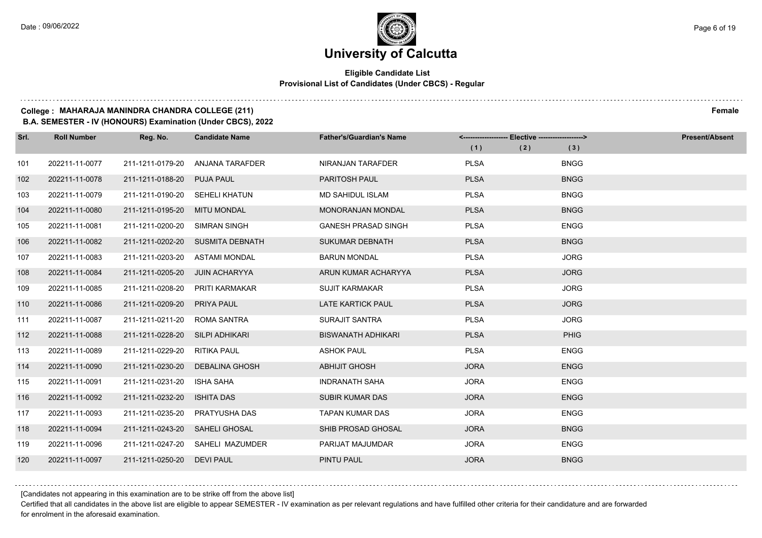## **Eligible Candidate List Provisional List of Candidates (Under CBCS) - Regular**

## **College : MAHARAJA MANINDRA CHANDRA COLLEGE (211) Female**

**B.A. SEMESTER - IV (HONOURS) Examination (Under CBCS), 2022**

| Srl. | <b>Roll Number</b> | Reg. No.                        | <b>Candidate Name</b>            | <b>Father's/Guardian's Name</b> | <------------------- Elective ------------------> |     |             | <b>Present/Absent</b> |
|------|--------------------|---------------------------------|----------------------------------|---------------------------------|---------------------------------------------------|-----|-------------|-----------------------|
|      |                    |                                 |                                  |                                 | (1)                                               | (2) | (3)         |                       |
| 101  | 202211-11-0077     | 211-1211-0179-20                | ANJANA TARAFDER                  | NIRANJAN TARAFDER               | <b>PLSA</b>                                       |     | <b>BNGG</b> |                       |
| 102  | 202211-11-0078     | 211-1211-0188-20 PUJA PAUL      |                                  | PARITOSH PAUL                   | <b>PLSA</b>                                       |     | <b>BNGG</b> |                       |
| 103  | 202211-11-0079     | 211-1211-0190-20 SEHELI KHATUN  |                                  | <b>MD SAHIDUL ISLAM</b>         | <b>PLSA</b>                                       |     | <b>BNGG</b> |                       |
| 104  | 202211-11-0080     | 211-1211-0195-20 MITU MONDAL    |                                  | MONORANJAN MONDAL               | <b>PLSA</b>                                       |     | <b>BNGG</b> |                       |
| 105  | 202211-11-0081     | 211-1211-0200-20                | SIMRAN SINGH                     | <b>GANESH PRASAD SINGH</b>      | <b>PLSA</b>                                       |     | <b>ENGG</b> |                       |
| 106  | 202211-11-0082     |                                 | 211-1211-0202-20 SUSMITA DEBNATH | <b>SUKUMAR DEBNATH</b>          | <b>PLSA</b>                                       |     | <b>BNGG</b> |                       |
| 107  | 202211-11-0083     | 211-1211-0203-20                | ASTAMI MONDAL                    | <b>BARUN MONDAL</b>             | <b>PLSA</b>                                       |     | <b>JORG</b> |                       |
| 108  | 202211-11-0084     | 211-1211-0205-20 JUIN ACHARYYA  |                                  | ARUN KUMAR ACHARYYA             | <b>PLSA</b>                                       |     | <b>JORG</b> |                       |
| 109  | 202211-11-0085     | 211-1211-0208-20                | PRITI KARMAKAR                   | <b>SUJIT KARMAKAR</b>           | <b>PLSA</b>                                       |     | <b>JORG</b> |                       |
| 110  | 202211-11-0086     | 211-1211-0209-20                | <b>PRIYA PAUL</b>                | <b>LATE KARTICK PAUL</b>        | <b>PLSA</b>                                       |     | <b>JORG</b> |                       |
| 111  | 202211-11-0087     | 211-1211-0211-20 ROMA SANTRA    |                                  | SURAJIT SANTRA                  | <b>PLSA</b>                                       |     | <b>JORG</b> |                       |
| 112  | 202211-11-0088     | 211-1211-0228-20 SILPI ADHIKARI |                                  | <b>BISWANATH ADHIKARI</b>       | <b>PLSA</b>                                       |     | PHIG        |                       |
| 113  | 202211-11-0089     | 211-1211-0229-20                | RITIKA PAUL                      | <b>ASHOK PAUL</b>               | <b>PLSA</b>                                       |     | <b>ENGG</b> |                       |
| 114  | 202211-11-0090     | 211-1211-0230-20                | DEBALINA GHOSH                   | <b>ABHIJIT GHOSH</b>            | <b>JORA</b>                                       |     | <b>ENGG</b> |                       |
| 115  | 202211-11-0091     | 211-1211-0231-20                | <b>ISHA SAHA</b>                 | <b>INDRANATH SAHA</b>           | <b>JORA</b>                                       |     | <b>ENGG</b> |                       |
| 116  | 202211-11-0092     | 211-1211-0232-20                | <b>ISHITA DAS</b>                | <b>SUBIR KUMAR DAS</b>          | <b>JORA</b>                                       |     | <b>ENGG</b> |                       |
| 117  | 202211-11-0093     | 211-1211-0235-20                | PRATYUSHA DAS                    | <b>TAPAN KUMAR DAS</b>          | <b>JORA</b>                                       |     | <b>ENGG</b> |                       |
| 118  | 202211-11-0094     | 211-1211-0243-20 SAHELI GHOSAL  |                                  | SHIB PROSAD GHOSAL              | <b>JORA</b>                                       |     | <b>BNGG</b> |                       |
| 119  | 202211-11-0096     |                                 | 211-1211-0247-20 SAHELI MAZUMDER | PARIJAT MAJUMDAR                | <b>JORA</b>                                       |     | <b>ENGG</b> |                       |
| 120  | 202211-11-0097     | 211-1211-0250-20 DEVI PAUL      |                                  | PINTU PAUL                      | <b>JORA</b>                                       |     | <b>BNGG</b> |                       |

[Candidates not appearing in this examination are to be strike off from the above list]

Certified that all candidates in the above list are eligible to appear SEMESTER - IV examination as per relevant regulations and have fulfilled other criteria for their candidature and are forwarded for enrolment in the aforesaid examination.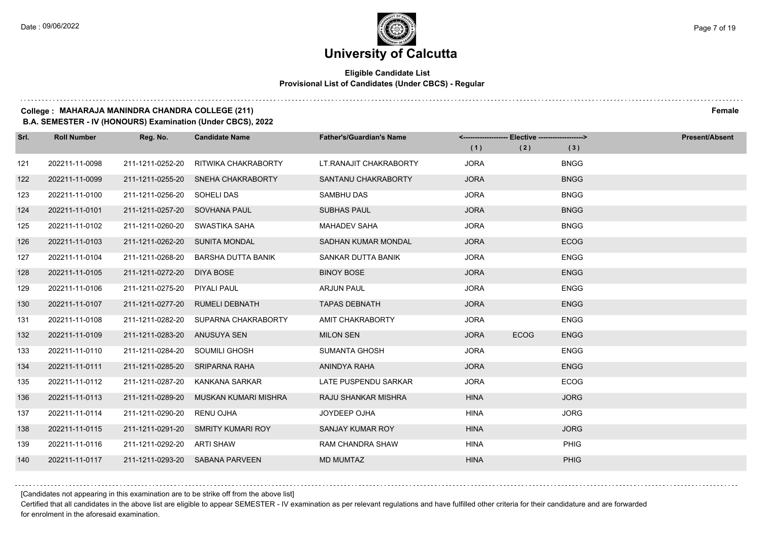## **Eligible Candidate List Provisional List of Candidates (Under CBCS) - Regular**

### **College : MAHARAJA MANINDRA CHANDRA COLLEGE (211) Female**

**B.A. SEMESTER - IV (HONOURS) Examination (Under CBCS), 2022**

| Srl. | <b>Roll Number</b> | Reg. No.                      | <b>Candidate Name</b>              | <b>Father's/Guardian's Name</b> |             | <------------------- Elective ------------------> |             | <b>Present/Absent</b> |
|------|--------------------|-------------------------------|------------------------------------|---------------------------------|-------------|---------------------------------------------------|-------------|-----------------------|
|      |                    |                               |                                    |                                 | (1)         | (2)                                               | (3)         |                       |
| 121  | 202211-11-0098     | 211-1211-0252-20              | <b>RITWIKA CHAKRABORTY</b>         | LT. RANAJIT CHAKRABORTY         | <b>JORA</b> |                                                   | <b>BNGG</b> |                       |
| 122  | 202211-11-0099     |                               | 211-1211-0255-20 SNEHA CHAKRABORTY | SANTANU CHAKRABORTY             | <b>JORA</b> |                                                   | <b>BNGG</b> |                       |
| 123  | 202211-11-0100     | 211-1211-0256-20 SOHELI DAS   |                                    | SAMBHU DAS                      | <b>JORA</b> |                                                   | <b>BNGG</b> |                       |
| 124  | 202211-11-0101     | 211-1211-0257-20 SOVHANA PAUL |                                    | <b>SUBHAS PAUL</b>              | <b>JORA</b> |                                                   | <b>BNGG</b> |                       |
| 125  | 202211-11-0102     | 211-1211-0260-20              | SWASTIKA SAHA                      | <b>MAHADEV SAHA</b>             | <b>JORA</b> |                                                   | <b>BNGG</b> |                       |
| 126  | 202211-11-0103     | 211-1211-0262-20              | <b>SUNITA MONDAL</b>               | SADHAN KUMAR MONDAL             | <b>JORA</b> |                                                   | <b>ECOG</b> |                       |
| 127  | 202211-11-0104     | 211-1211-0268-20              | <b>BARSHA DUTTA BANIK</b>          | SANKAR DUTTA BANIK              | <b>JORA</b> |                                                   | <b>ENGG</b> |                       |
| 128  | 202211-11-0105     | 211-1211-0272-20              | DIYA BOSE                          | <b>BINOY BOSE</b>               | <b>JORA</b> |                                                   | <b>ENGG</b> |                       |
| 129  | 202211-11-0106     | 211-1211-0275-20              | <b>PIYALI PAUL</b>                 | <b>ARJUN PAUL</b>               | <b>JORA</b> |                                                   | <b>ENGG</b> |                       |
| 130  | 202211-11-0107     | 211-1211-0277-20              | RUMELI DEBNATH                     | <b>TAPAS DEBNATH</b>            | <b>JORA</b> |                                                   | <b>ENGG</b> |                       |
| 131  | 202211-11-0108     | 211-1211-0282-20              | SUPARNA CHAKRABORTY                | AMIT CHAKRABORTY                | <b>JORA</b> |                                                   | <b>ENGG</b> |                       |
| 132  | 202211-11-0109     | 211-1211-0283-20 ANUSUYA SEN  |                                    | <b>MILON SEN</b>                | <b>JORA</b> | <b>ECOG</b>                                       | <b>ENGG</b> |                       |
| 133  | 202211-11-0110     | 211-1211-0284-20              | SOUMILI GHOSH                      | <b>SUMANTA GHOSH</b>            | <b>JORA</b> |                                                   | <b>ENGG</b> |                       |
| 134  | 202211-11-0111     | 211-1211-0285-20              | SRIPARNA RAHA                      | ANINDYA RAHA                    | <b>JORA</b> |                                                   | <b>ENGG</b> |                       |
| 135  | 202211-11-0112     | 211-1211-0287-20              | KANKANA SARKAR                     | LATE PUSPENDU SARKAR            | <b>JORA</b> |                                                   | <b>ECOG</b> |                       |
| 136  | 202211-11-0113     | 211-1211-0289-20              | MUSKAN KUMARI MISHRA               | RAJU SHANKAR MISHRA             | <b>HINA</b> |                                                   | <b>JORG</b> |                       |
| 137  | 202211-11-0114     | 211-1211-0290-20              | <b>RENU OJHA</b>                   | JOYDEEP OJHA                    | <b>HINA</b> |                                                   | <b>JORG</b> |                       |
| 138  | 202211-11-0115     | 211-1211-0291-20              | <b>SMRITY KUMARI ROY</b>           | <b>SANJAY KUMAR ROY</b>         | <b>HINA</b> |                                                   | <b>JORG</b> |                       |
| 139  | 202211-11-0116     | 211-1211-0292-20              | ARTI SHAW                          | <b>RAM CHANDRA SHAW</b>         | <b>HINA</b> |                                                   | <b>PHIG</b> |                       |
| 140  | 202211-11-0117     |                               | 211-1211-0293-20 SABANA PARVEEN    | <b>MD MUMTAZ</b>                | <b>HINA</b> |                                                   | PHIG        |                       |

[Candidates not appearing in this examination are to be strike off from the above list]

Certified that all candidates in the above list are eligible to appear SEMESTER - IV examination as per relevant regulations and have fulfilled other criteria for their candidature and are forwarded for enrolment in the aforesaid examination.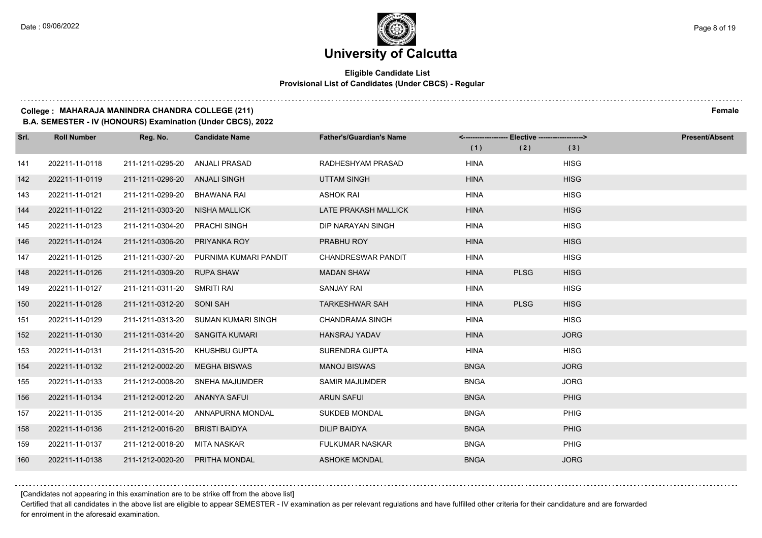## **Eligible Candidate List Provisional List of Candidates (Under CBCS) - Regular**

#### **College : MAHARAJA MANINDRA CHANDRA COLLEGE (211) Female**

**B.A. SEMESTER - IV (HONOURS) Examination (Under CBCS), 2022**

| Srl. | <b>Roll Number</b> | Reg. No.                        | <b>Candidate Name</b>                  | <b>Father's/Guardian's Name</b> |             | <------------------- Elective ------------------> |             | <b>Present/Absent</b> |
|------|--------------------|---------------------------------|----------------------------------------|---------------------------------|-------------|---------------------------------------------------|-------------|-----------------------|
|      |                    |                                 |                                        |                                 | (1)         | (2)                                               | (3)         |                       |
| 141  | 202211-11-0118     | 211-1211-0295-20                | ANJALI PRASAD                          | RADHESHYAM PRASAD               | <b>HINA</b> |                                                   | <b>HISG</b> |                       |
| 142  | 202211-11-0119     | 211-1211-0296-20                | ANJALI SINGH                           | <b>UTTAM SINGH</b>              | <b>HINA</b> |                                                   | <b>HISG</b> |                       |
| 143  | 202211-11-0121     | 211-1211-0299-20                | BHAWANA RAI                            | <b>ASHOK RAI</b>                | <b>HINA</b> |                                                   | <b>HISG</b> |                       |
| 144  | 202211-11-0122     | 211-1211-0303-20                | <b>NISHA MALLICK</b>                   | LATE PRAKASH MALLICK            | <b>HINA</b> |                                                   | <b>HISG</b> |                       |
| 145  | 202211-11-0123     | 211-1211-0304-20                | <b>PRACHI SINGH</b>                    | DIP NARAYAN SINGH               | <b>HINA</b> |                                                   | <b>HISG</b> |                       |
| 146  | 202211-11-0124     | 211-1211-0306-20                | <b>PRIYANKA ROY</b>                    | PRABHU ROY                      | <b>HINA</b> |                                                   | <b>HISG</b> |                       |
| 147  | 202211-11-0125     |                                 | 211-1211-0307-20 PURNIMA KUMARI PANDIT | <b>CHANDRESWAR PANDIT</b>       | <b>HINA</b> |                                                   | <b>HISG</b> |                       |
| 148  | 202211-11-0126     | 211-1211-0309-20                | <b>RUPA SHAW</b>                       | <b>MADAN SHAW</b>               | <b>HINA</b> | <b>PLSG</b>                                       | <b>HISG</b> |                       |
| 149  | 202211-11-0127     | 211-1211-0311-20                | SMRITI RAI                             | <b>SANJAY RAI</b>               | <b>HINA</b> |                                                   | <b>HISG</b> |                       |
| 150  | 202211-11-0128     | 211-1211-0312-20 SONI SAH       |                                        | <b>TARKESHWAR SAH</b>           | <b>HINA</b> | <b>PLSG</b>                                       | <b>HISG</b> |                       |
| 151  | 202211-11-0129     |                                 | 211-1211-0313-20 SUMAN KUMARI SINGH    | <b>CHANDRAMA SINGH</b>          | <b>HINA</b> |                                                   | <b>HISG</b> |                       |
| 152  | 202211-11-0130     | 211-1211-0314-20 SANGITA KUMARI |                                        | <b>HANSRAJ YADAV</b>            | <b>HINA</b> |                                                   | <b>JORG</b> |                       |
| 153  | 202211-11-0131     | 211-1211-0315-20                | KHUSHBU GUPTA                          | SURENDRA GUPTA                  | <b>HINA</b> |                                                   | <b>HISG</b> |                       |
| 154  | 202211-11-0132     | 211-1212-0002-20                | <b>MEGHA BISWAS</b>                    | <b>MANOJ BISWAS</b>             | <b>BNGA</b> |                                                   | <b>JORG</b> |                       |
| 155  | 202211-11-0133     | 211-1212-0008-20                | SNEHA MAJUMDER                         | <b>SAMIR MAJUMDER</b>           | <b>BNGA</b> |                                                   | <b>JORG</b> |                       |
| 156  | 202211-11-0134     | 211-1212-0012-20                | ANANYA SAFUI                           | <b>ARUN SAFUI</b>               | <b>BNGA</b> |                                                   | <b>PHIG</b> |                       |
| 157  | 202211-11-0135     | 211-1212-0014-20                | ANNAPURNA MONDAL                       | <b>SUKDEB MONDAL</b>            | <b>BNGA</b> |                                                   | PHIG        |                       |
| 158  | 202211-11-0136     | 211-1212-0016-20                | <b>BRISTI BAIDYA</b>                   | <b>DILIP BAIDYA</b>             | <b>BNGA</b> |                                                   | <b>PHIG</b> |                       |
| 159  | 202211-11-0137     | 211-1212-0018-20                | MITA NASKAR                            | <b>FULKUMAR NASKAR</b>          | <b>BNGA</b> |                                                   | PHIG        |                       |
| 160  | 202211-11-0138     | 211-1212-0020-20                | <b>PRITHA MONDAL</b>                   | <b>ASHOKE MONDAL</b>            | <b>BNGA</b> |                                                   | <b>JORG</b> |                       |

[Candidates not appearing in this examination are to be strike off from the above list]

Certified that all candidates in the above list are eligible to appear SEMESTER - IV examination as per relevant regulations and have fulfilled other criteria for their candidature and are forwarded for enrolment in the aforesaid examination.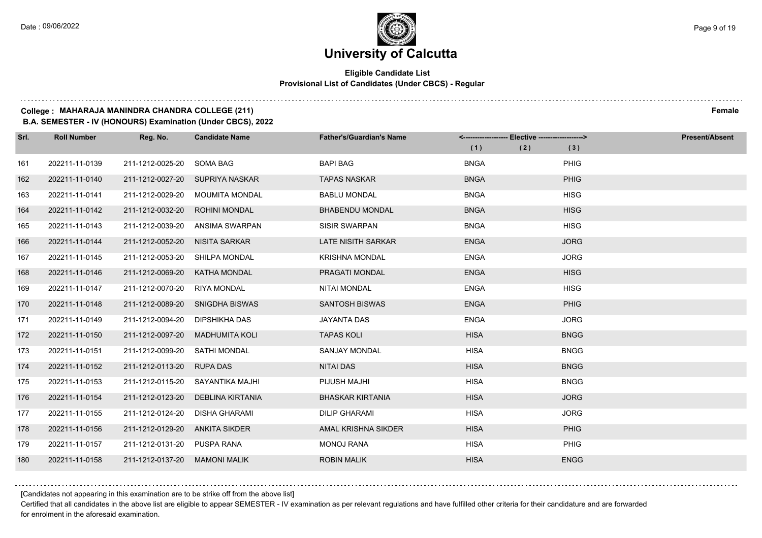$1.111$ 

## **University of Calcutta**

## **Eligible Candidate List Provisional List of Candidates (Under CBCS) - Regular**

#### **College : MAHARAJA MANINDRA CHANDRA COLLEGE (211) Female**

**B.A. SEMESTER - IV (HONOURS) Examination (Under CBCS), 2022**

| Srl. | <b>Roll Number</b> | Reg. No.         | <b>Candidate Name</b>           | <b>Father's/Guardian's Name</b> | <------------------- Elective ------------------> |     |             | <b>Present/Absent</b> |
|------|--------------------|------------------|---------------------------------|---------------------------------|---------------------------------------------------|-----|-------------|-----------------------|
|      |                    |                  |                                 |                                 | (1)                                               | (2) | (3)         |                       |
| 161  | 202211-11-0139     | 211-1212-0025-20 | SOMA BAG                        | <b>BAPI BAG</b>                 | <b>BNGA</b>                                       |     | <b>PHIG</b> |                       |
| 162  | 202211-11-0140     |                  | 211-1212-0027-20 SUPRIYA NASKAR | <b>TAPAS NASKAR</b>             | <b>BNGA</b>                                       |     | <b>PHIG</b> |                       |
| 163  | 202211-11-0141     | 211-1212-0029-20 | <b>MOUMITA MONDAL</b>           | <b>BABLU MONDAL</b>             | <b>BNGA</b>                                       |     | <b>HISG</b> |                       |
| 164  | 202211-11-0142     | 211-1212-0032-20 | <b>ROHINI MONDAL</b>            | <b>BHABENDU MONDAL</b>          | <b>BNGA</b>                                       |     | <b>HISG</b> |                       |
| 165  | 202211-11-0143     | 211-1212-0039-20 | ANSIMA SWARPAN                  | <b>SISIR SWARPAN</b>            | <b>BNGA</b>                                       |     | <b>HISG</b> |                       |
| 166  | 202211-11-0144     | 211-1212-0052-20 | NISITA SARKAR                   | <b>LATE NISITH SARKAR</b>       | <b>ENGA</b>                                       |     | <b>JORG</b> |                       |
| 167  | 202211-11-0145     | 211-1212-0053-20 | SHILPA MONDAL                   | <b>KRISHNA MONDAL</b>           | <b>ENGA</b>                                       |     | <b>JORG</b> |                       |
| 168  | 202211-11-0146     | 211-1212-0069-20 | KATHA MONDAL                    | PRAGATI MONDAL                  | <b>ENGA</b>                                       |     | <b>HISG</b> |                       |
| 169  | 202211-11-0147     | 211-1212-0070-20 | <b>RIYA MONDAL</b>              | <b>NITAI MONDAL</b>             | <b>ENGA</b>                                       |     | <b>HISG</b> |                       |
| 170  | 202211-11-0148     | 211-1212-0089-20 | SNIGDHA BISWAS                  | <b>SANTOSH BISWAS</b>           | <b>ENGA</b>                                       |     | <b>PHIG</b> |                       |
| 171  | 202211-11-0149     | 211-1212-0094-20 | DIPSHIKHA DAS                   | <b>JAYANTA DAS</b>              | <b>ENGA</b>                                       |     | <b>JORG</b> |                       |
| 172  | 202211-11-0150     | 211-1212-0097-20 | <b>MADHUMITA KOLI</b>           | <b>TAPAS KOLI</b>               | <b>HISA</b>                                       |     | <b>BNGG</b> |                       |
| 173  | 202211-11-0151     | 211-1212-0099-20 | <b>SATHI MONDAL</b>             | <b>SANJAY MONDAL</b>            | <b>HISA</b>                                       |     | <b>BNGG</b> |                       |
| 174  | 202211-11-0152     | 211-1212-0113-20 | <b>RUPA DAS</b>                 | <b>NITAI DAS</b>                | <b>HISA</b>                                       |     | <b>BNGG</b> |                       |
| 175  | 202211-11-0153     | 211-1212-0115-20 | SAYANTIKA MAJHI                 | PIJUSH MAJHI                    | <b>HISA</b>                                       |     | <b>BNGG</b> |                       |
| 176  | 202211-11-0154     | 211-1212-0123-20 | <b>DEBLINA KIRTANIA</b>         | <b>BHASKAR KIRTANIA</b>         | <b>HISA</b>                                       |     | <b>JORG</b> |                       |
| 177  | 202211-11-0155     | 211-1212-0124-20 | <b>DISHA GHARAMI</b>            | <b>DILIP GHARAMI</b>            | <b>HISA</b>                                       |     | <b>JORG</b> |                       |
| 178  | 202211-11-0156     | 211-1212-0129-20 | ANKITA SIKDER                   | AMAL KRISHNA SIKDER             | <b>HISA</b>                                       |     | PHIG        |                       |
| 179  | 202211-11-0157     | 211-1212-0131-20 | PUSPA RANA                      | <b>MONOJ RANA</b>               | <b>HISA</b>                                       |     | <b>PHIG</b> |                       |
| 180  | 202211-11-0158     | 211-1212-0137-20 | <b>MAMONI MALIK</b>             | <b>ROBIN MALIK</b>              | <b>HISA</b>                                       |     | <b>ENGG</b> |                       |

[Candidates not appearing in this examination are to be strike off from the above list]

Certified that all candidates in the above list are eligible to appear SEMESTER - IV examination as per relevant regulations and have fulfilled other criteria for their candidature and are forwarded for enrolment in the aforesaid examination.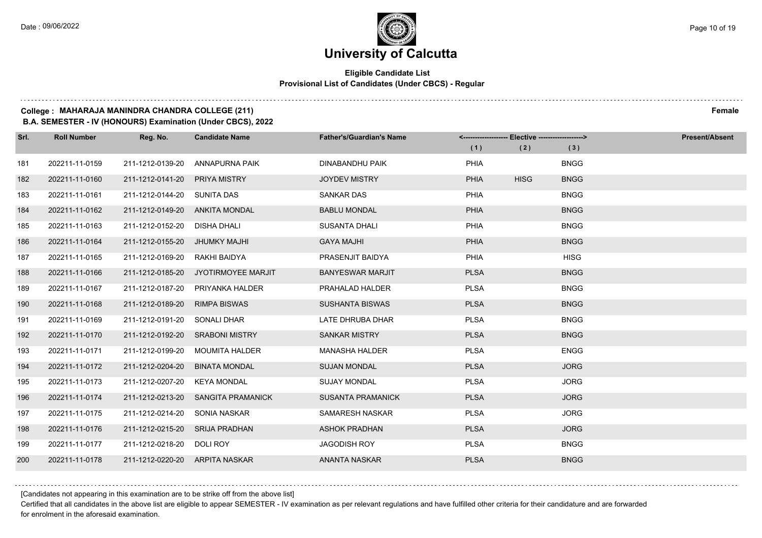$1.111$ 

## **University of Calcutta**

## **Eligible Candidate List Provisional List of Candidates (Under CBCS) - Regular**

#### **College : MAHARAJA MANINDRA CHANDRA COLLEGE (211) Female**

**B.A. SEMESTER - IV (HONOURS) Examination (Under CBCS), 2022**

| Srl. | <b>Roll Number</b> | Reg. No.                       | <b>Candidate Name</b>               | <b>Father's/Guardian's Name</b> |             | <-------------------- Elective ------------------> |             | <b>Present/Absent</b> |
|------|--------------------|--------------------------------|-------------------------------------|---------------------------------|-------------|----------------------------------------------------|-------------|-----------------------|
|      |                    |                                |                                     |                                 | (1)         | (2)                                                | (3)         |                       |
| 181  | 202211-11-0159     | 211-1212-0139-20               | ANNAPURNA PAIK                      | DINABANDHU PAIK                 | PHIA        |                                                    | <b>BNGG</b> |                       |
| 182  | 202211-11-0160     | 211-1212-0141-20               | <b>PRIYA MISTRY</b>                 | <b>JOYDEV MISTRY</b>            | <b>PHIA</b> | <b>HISG</b>                                        | <b>BNGG</b> |                       |
| 183  | 202211-11-0161     | 211-1212-0144-20 SUNITA DAS    |                                     | <b>SANKAR DAS</b>               | PHIA        |                                                    | <b>BNGG</b> |                       |
| 184  | 202211-11-0162     | 211-1212-0149-20               | ANKITA MONDAL                       | <b>BABLU MONDAL</b>             | <b>PHIA</b> |                                                    | <b>BNGG</b> |                       |
| 185  | 202211-11-0163     | 211-1212-0152-20               | DISHA DHALI                         | <b>SUSANTA DHALI</b>            | PHIA        |                                                    | <b>BNGG</b> |                       |
| 186  | 202211-11-0164     | 211-1212-0155-20               | JHUMKY MAJHI                        | <b>GAYA MAJHI</b>               | <b>PHIA</b> |                                                    | <b>BNGG</b> |                       |
| 187  | 202211-11-0165     | 211-1212-0169-20               | RAKHI BAIDYA                        | PRASENJIT BAIDYA                | PHIA        |                                                    | <b>HISG</b> |                       |
| 188  | 202211-11-0166     |                                | 211-1212-0185-20 JYOTIRMOYEE MARJIT | <b>BANYESWAR MARJIT</b>         | <b>PLSA</b> |                                                    | <b>BNGG</b> |                       |
| 189  | 202211-11-0167     | 211-1212-0187-20               | PRIYANKA HALDER                     | PRAHALAD HALDER                 | <b>PLSA</b> |                                                    | <b>BNGG</b> |                       |
| 190  | 202211-11-0168     | 211-1212-0189-20               | <b>RIMPA BISWAS</b>                 | <b>SUSHANTA BISWAS</b>          | <b>PLSA</b> |                                                    | <b>BNGG</b> |                       |
| 191  | 202211-11-0169     | 211-1212-0191-20               | SONALI DHAR                         | LATE DHRUBA DHAR                | <b>PLSA</b> |                                                    | <b>BNGG</b> |                       |
| 192  | 202211-11-0170     |                                | 211-1212-0192-20 SRABONI MISTRY     | <b>SANKAR MISTRY</b>            | <b>PLSA</b> |                                                    | <b>BNGG</b> |                       |
| 193  | 202211-11-0171     | 211-1212-0199-20               | MOUMITA HALDER                      | <b>MANASHA HALDER</b>           | <b>PLSA</b> |                                                    | <b>ENGG</b> |                       |
| 194  | 202211-11-0172     | 211-1212-0204-20               | <b>BINATA MONDAL</b>                | <b>SUJAN MONDAL</b>             | <b>PLSA</b> |                                                    | <b>JORG</b> |                       |
| 195  | 202211-11-0173     | 211-1212-0207-20               | <b>KEYA MONDAL</b>                  | <b>SUJAY MONDAL</b>             | <b>PLSA</b> |                                                    | <b>JORG</b> |                       |
| 196  | 202211-11-0174     | 211-1212-0213-20               | <b>SANGITA PRAMANICK</b>            | <b>SUSANTA PRAMANICK</b>        | <b>PLSA</b> |                                                    | <b>JORG</b> |                       |
| 197  | 202211-11-0175     | 211-1212-0214-20               | SONIA NASKAR                        | <b>SAMARESH NASKAR</b>          | <b>PLSA</b> |                                                    | <b>JORG</b> |                       |
| 198  | 202211-11-0176     | 211-1212-0215-20               | <b>SRIJA PRADHAN</b>                | <b>ASHOK PRADHAN</b>            | <b>PLSA</b> |                                                    | <b>JORG</b> |                       |
| 199  | 202211-11-0177     | 211-1212-0218-20               | DOLI ROY                            | <b>JAGODISH ROY</b>             | <b>PLSA</b> |                                                    | <b>BNGG</b> |                       |
| 200  | 202211-11-0178     | 211-1212-0220-20 ARPITA NASKAR |                                     | <b>ANANTA NASKAR</b>            | <b>PLSA</b> |                                                    | <b>BNGG</b> |                       |

[Candidates not appearing in this examination are to be strike off from the above list]

Certified that all candidates in the above list are eligible to appear SEMESTER - IV examination as per relevant regulations and have fulfilled other criteria for their candidature and are forwarded for enrolment in the aforesaid examination.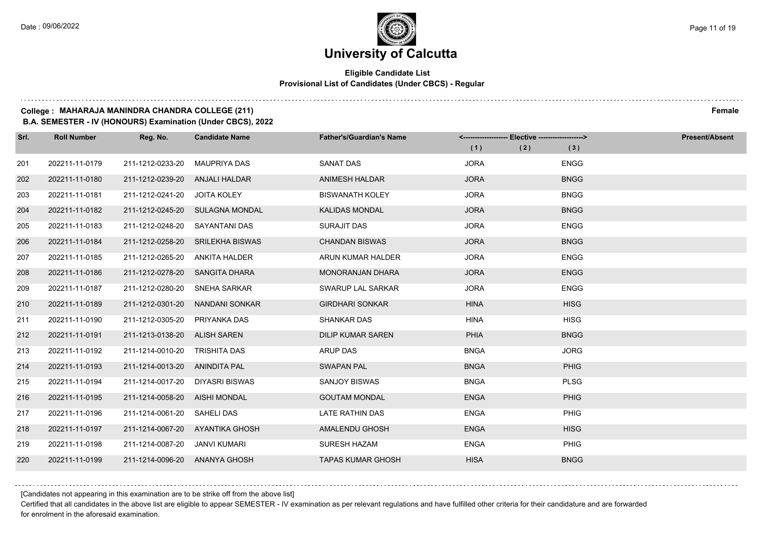## **Eligible Candidate List Provisional List of Candidates (Under CBCS) - Regular**

#### **College : MAHARAJA MANINDRA CHANDRA COLLEGE (211) Female**

**B.A. SEMESTER - IV (HONOURS) Examination (Under CBCS), 2022**

| Srl. | <b>Roll Number</b> | Reg. No.                       | <b>Candidate Name</b>            | <b>Father's/Guardian's Name</b> | <------------------- Elective ------------------> |     | <b>Present/Absent</b> |
|------|--------------------|--------------------------------|----------------------------------|---------------------------------|---------------------------------------------------|-----|-----------------------|
|      |                    |                                |                                  |                                 | (1)                                               | (2) | (3)                   |
| 201  | 202211-11-0179     | 211-1212-0233-20               | MAUPRIYA DAS                     | <b>SANAT DAS</b>                | <b>JORA</b>                                       |     | <b>ENGG</b>           |
| 202  | 202211-11-0180     | 211-1212-0239-20 ANJALI HALDAR |                                  | ANIMESH HALDAR                  | <b>JORA</b>                                       |     | <b>BNGG</b>           |
| 203  | 202211-11-0181     | 211-1212-0241-20 JOITA KOLEY   |                                  | <b>BISWANATH KOLEY</b>          | <b>JORA</b>                                       |     | <b>BNGG</b>           |
| 204  | 202211-11-0182     |                                | 211-1212-0245-20 SULAGNA MONDAL  | KALIDAS MONDAL                  | <b>JORA</b>                                       |     | <b>BNGG</b>           |
| 205  | 202211-11-0183     | 211-1212-0248-20               | SAYANTANI DAS                    | SURAJIT DAS                     | <b>JORA</b>                                       |     | <b>ENGG</b>           |
| 206  | 202211-11-0184     |                                | 211-1212-0258-20 SRILEKHA BISWAS | <b>CHANDAN BISWAS</b>           | <b>JORA</b>                                       |     | <b>BNGG</b>           |
| 207  | 202211-11-0185     | 211-1212-0265-20 ANKITA HALDER |                                  | ARUN KUMAR HALDER               | <b>JORA</b>                                       |     | <b>ENGG</b>           |
| 208  | 202211-11-0186     | 211-1212-0278-20 SANGITA DHARA |                                  | <b>MONORANJAN DHARA</b>         | <b>JORA</b>                                       |     | <b>ENGG</b>           |
| 209  | 202211-11-0187     | 211-1212-0280-20               | SNEHA SARKAR                     | SWARUP LAL SARKAR               | <b>JORA</b>                                       |     | <b>ENGG</b>           |
| 210  | 202211-11-0189     | 211-1212-0301-20               | NANDANI SONKAR                   | <b>GIRDHARI SONKAR</b>          | <b>HINA</b>                                       |     | <b>HISG</b>           |
| 211  | 202211-11-0190     | 211-1212-0305-20               | PRIYANKA DAS                     | <b>SHANKAR DAS</b>              | <b>HINA</b>                                       |     | <b>HISG</b>           |
| 212  | 202211-11-0191     | 211-1213-0138-20 ALISH SAREN   |                                  | <b>DILIP KUMAR SAREN</b>        | PHIA                                              |     | <b>BNGG</b>           |
| 213  | 202211-11-0192     | 211-1214-0010-20               | TRISHITA DAS                     | <b>ARUP DAS</b>                 | <b>BNGA</b>                                       |     | <b>JORG</b>           |
| 214  | 202211-11-0193     | 211-1214-0013-20 ANINDITA PAL  |                                  | <b>SWAPAN PAL</b>               | <b>BNGA</b>                                       |     | PHIG                  |
| 215  | 202211-11-0194     | 211-1214-0017-20               | DIYASRI BISWAS                   | <b>SANJOY BISWAS</b>            | <b>BNGA</b>                                       |     | <b>PLSG</b>           |
| 216  | 202211-11-0195     | 211-1214-0058-20               | AISHI MONDAL                     | <b>GOUTAM MONDAL</b>            | <b>ENGA</b>                                       |     | PHIG                  |
| 217  | 202211-11-0196     | 211-1214-0061-20               | SAHELI DAS                       | LATE RATHIN DAS                 | <b>ENGA</b>                                       |     | PHIG                  |
| 218  | 202211-11-0197     | 211-1214-0067-20               | AYANTIKA GHOSH                   | AMALENDU GHOSH                  | <b>ENGA</b>                                       |     | <b>HISG</b>           |
| 219  | 202211-11-0198     | 211-1214-0087-20               | JANVI KUMARI                     | <b>SURESH HAZAM</b>             | <b>ENGA</b>                                       |     | PHIG                  |
| 220  | 202211-11-0199     | 211-1214-0096-20 ANANYA GHOSH  |                                  | <b>TAPAS KUMAR GHOSH</b>        | <b>HISA</b>                                       |     | <b>BNGG</b>           |

[Candidates not appearing in this examination are to be strike off from the above list]

Certified that all candidates in the above list are eligible to appear SEMESTER - IV examination as per relevant regulations and have fulfilled other criteria for their candidature and are forwarded for enrolment in the aforesaid examination.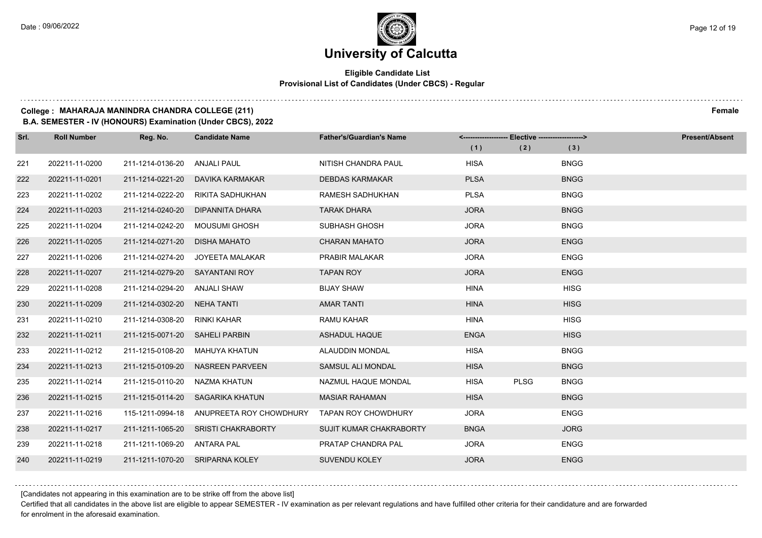## **Eligible Candidate List Provisional List of Candidates (Under CBCS) - Regular**

#### **College : MAHARAJA MANINDRA CHANDRA COLLEGE (211) Female**

**B.A. SEMESTER - IV (HONOURS) Examination (Under CBCS), 2022**

| Srl. | <b>Roll Number</b> | Reg. No.                       | <b>Candidate Name</b>            | <b>Father's/Guardian's Name</b> | <------------------- Elective ------------------> |             |             | <b>Present/Absent</b> |
|------|--------------------|--------------------------------|----------------------------------|---------------------------------|---------------------------------------------------|-------------|-------------|-----------------------|
|      |                    |                                |                                  |                                 | (1)                                               | (2)         | (3)         |                       |
| 221  | 202211-11-0200     | 211-1214-0136-20               | <b>ANJALI PAUL</b>               | NITISH CHANDRA PAUL             | <b>HISA</b>                                       |             | <b>BNGG</b> |                       |
| 222  | 202211-11-0201     | 211-1214-0221-20               | DAVIKA KARMAKAR                  | <b>DEBDAS KARMAKAR</b>          | <b>PLSA</b>                                       |             | <b>BNGG</b> |                       |
| 223  | 202211-11-0202     | 211-1214-0222-20               | RIKITA SADHUKHAN                 | RAMESH SADHUKHAN                | <b>PLSA</b>                                       |             | <b>BNGG</b> |                       |
| 224  | 202211-11-0203     | 211-1214-0240-20               | DIPANNITA DHARA                  | <b>TARAK DHARA</b>              | <b>JORA</b>                                       |             | <b>BNGG</b> |                       |
| 225  | 202211-11-0204     | 211-1214-0242-20               | <b>MOUSUMI GHOSH</b>             | SUBHASH GHOSH                   | <b>JORA</b>                                       |             | <b>BNGG</b> |                       |
| 226  | 202211-11-0205     | 211-1214-0271-20               | <b>DISHA MAHATO</b>              | <b>CHARAN MAHATO</b>            | <b>JORA</b>                                       |             | <b>ENGG</b> |                       |
| 227  | 202211-11-0206     | 211-1214-0274-20               | JOYEETA MALAKAR                  | <b>PRABIR MALAKAR</b>           | <b>JORA</b>                                       |             | <b>ENGG</b> |                       |
| 228  | 202211-11-0207     | 211-1214-0279-20               | SAYANTANI ROY                    | <b>TAPAN ROY</b>                | <b>JORA</b>                                       |             | <b>ENGG</b> |                       |
| 229  | 202211-11-0208     | 211-1214-0294-20               | ANJALI SHAW                      | <b>BIJAY SHAW</b>               | <b>HINA</b>                                       |             | <b>HISG</b> |                       |
| 230  | 202211-11-0209     | 211-1214-0302-20               | <b>NEHA TANTI</b>                | <b>AMAR TANTI</b>               | <b>HINA</b>                                       |             | <b>HISG</b> |                       |
| 231  | 202211-11-0210     | 211-1214-0308-20               | RINKI KAHAR                      | <b>RAMU KAHAR</b>               | <b>HINA</b>                                       |             | <b>HISG</b> |                       |
| 232  | 202211-11-0211     | 211-1215-0071-20 SAHELI PARBIN |                                  | <b>ASHADUL HAQUE</b>            | <b>ENGA</b>                                       |             | <b>HISG</b> |                       |
| 233  | 202211-11-0212     | 211-1215-0108-20               | <b>MAHUYA KHATUN</b>             | <b>ALAUDDIN MONDAL</b>          | <b>HISA</b>                                       |             | <b>BNGG</b> |                       |
| 234  | 202211-11-0213     | 211-1215-0109-20               | <b>NASREEN PARVEEN</b>           | SAMSUL ALI MONDAL               | <b>HISA</b>                                       |             | <b>BNGG</b> |                       |
| 235  | 202211-11-0214     | 211-1215-0110-20               | NAZMA KHATUN                     | NAZMUL HAQUE MONDAL             | <b>HISA</b>                                       | <b>PLSG</b> | <b>BNGG</b> |                       |
| 236  | 202211-11-0215     |                                | 211-1215-0114-20 SAGARIKA KHATUN | <b>MASIAR RAHAMAN</b>           | <b>HISA</b>                                       |             | <b>BNGG</b> |                       |
| 237  | 202211-11-0216     | 115-1211-0994-18               | ANUPREETA ROY CHOWDHURY          | <b>TAPAN ROY CHOWDHURY</b>      | <b>JORA</b>                                       |             | <b>ENGG</b> |                       |
| 238  | 202211-11-0217     | 211-1211-1065-20               | SRISTI CHAKRABORTY               | SUJIT KUMAR CHAKRABORTY         | <b>BNGA</b>                                       |             | <b>JORG</b> |                       |
| 239  | 202211-11-0218     | 211-1211-1069-20               | ANTARA PAL                       | PRATAP CHANDRA PAL              | <b>JORA</b>                                       |             | <b>ENGG</b> |                       |
| 240  | 202211-11-0219     |                                | 211-1211-1070-20 SRIPARNA KOLEY  | <b>SUVENDU KOLEY</b>            | <b>JORA</b>                                       |             | <b>ENGG</b> |                       |

[Candidates not appearing in this examination are to be strike off from the above list]

Certified that all candidates in the above list are eligible to appear SEMESTER - IV examination as per relevant regulations and have fulfilled other criteria for their candidature and are forwarded for enrolment in the aforesaid examination.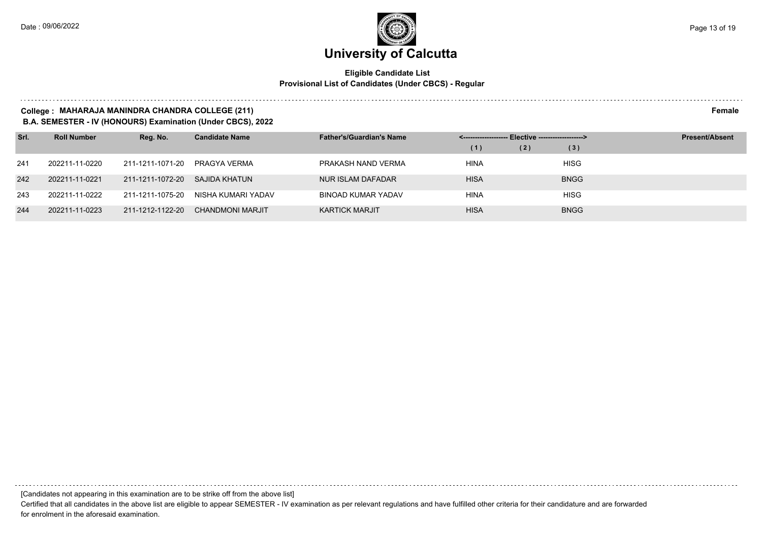## **Eligible Candidate List Provisional List of Candidates (Under CBCS) - Regular**

#### **College : MAHARAJA MANINDRA CHANDRA COLLEGE (211) Female**

**B.A. SEMESTER - IV (HONOURS) Examination (Under CBCS), 2022**

| Srl. | <b>Roll Number</b> | Reg. No.         | <b>Candidate Name</b> | <b>Father's/Guardian's Name</b> |             |     |             | <b>Present/Absent</b> |
|------|--------------------|------------------|-----------------------|---------------------------------|-------------|-----|-------------|-----------------------|
|      |                    |                  |                       |                                 | (1)         | (2) | (3)         |                       |
| 241  | 202211-11-0220     | 211-1211-1071-20 | PRAGYA VERMA          | PRAKASH NAND VERMA              | <b>HINA</b> |     | <b>HISG</b> |                       |
| 242  | 202211-11-0221     | 211-1211-1072-20 | SAJIDA KHATUN         | NUR ISLAM DAFADAR               | <b>HISA</b> |     | <b>BNGG</b> |                       |
| 243  | 202211-11-0222     | 211-1211-1075-20 | NISHA KUMARI YADAV    | BINOAD KUMAR YADAV              | <b>HINA</b> |     | <b>HISG</b> |                       |
| 244  | 202211-11-0223     | 211-1212-1122-20 | CHANDMONI MARJIT      | <b>KARTICK MARJIT</b>           | <b>HISA</b> |     | <b>BNGG</b> |                       |

[Candidates not appearing in this examination are to be strike off from the above list]

Certified that all candidates in the above list are eligible to appear SEMESTER - IV examination as per relevant regulations and have fulfilled other criteria for their candidature and are forwarded for enrolment in the aforesaid examination.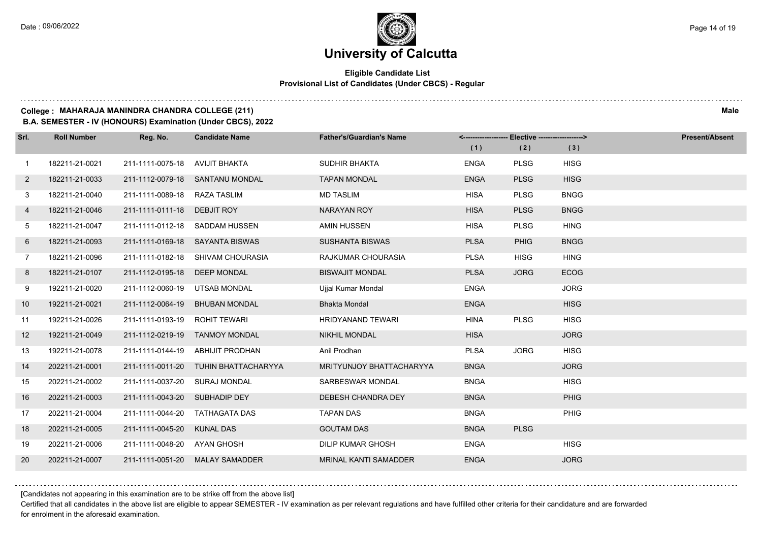## **Eligible Candidate List Provisional List of Candidates (Under CBCS) - Regular**

#### **College : MAHARAJA MANINDRA CHANDRA COLLEGE (211) Male**

**B.A. SEMESTER - IV (HONOURS) Examination (Under CBCS), 2022**

| Srl.           | <b>Roll Number</b> | Reg. No.                      | <b>Candidate Name</b>                | <b>Father's/Guardian's Name</b> |             | <-------------------- Elective -------------------> |             | <b>Present/Absent</b> |
|----------------|--------------------|-------------------------------|--------------------------------------|---------------------------------|-------------|-----------------------------------------------------|-------------|-----------------------|
|                |                    |                               |                                      |                                 | (1)         | (2)                                                 | (3)         |                       |
| $\mathbf{1}$   | 182211-21-0021     | 211-1111-0075-18              | AVIJIT BHAKTA                        | <b>SUDHIR BHAKTA</b>            | <b>ENGA</b> | <b>PLSG</b>                                         | <b>HISG</b> |                       |
| $\overline{2}$ | 182211-21-0033     |                               | 211-1112-0079-18 SANTANU MONDAL      | <b>TAPAN MONDAL</b>             | <b>ENGA</b> | <b>PLSG</b>                                         | <b>HISG</b> |                       |
| 3              | 182211-21-0040     | 211-1111-0089-18 RAZA TASLIM  |                                      | <b>MD TASLIM</b>                | <b>HISA</b> | <b>PLSG</b>                                         | <b>BNGG</b> |                       |
| 4              | 182211-21-0046     | 211-1111-0111-18              | DEBJIT ROY                           | NARAYAN ROY                     | <b>HISA</b> | <b>PLSG</b>                                         | <b>BNGG</b> |                       |
| 5              | 182211-21-0047     | 211-1111-0112-18              | SADDAM HUSSEN                        | AMIN HUSSEN                     | <b>HISA</b> | <b>PLSG</b>                                         | <b>HING</b> |                       |
| 6              | 182211-21-0093     |                               | 211-1111-0169-18 SAYANTA BISWAS      | <b>SUSHANTA BISWAS</b>          | <b>PLSA</b> | <b>PHIG</b>                                         | <b>BNGG</b> |                       |
| $\overline{7}$ | 182211-21-0096     |                               | 211-1111-0182-18 SHIVAM CHOURASIA    | RAJKUMAR CHOURASIA              | <b>PLSA</b> | <b>HISG</b>                                         | <b>HING</b> |                       |
| 8              | 182211-21-0107     | 211-1112-0195-18              | <b>DEEP MONDAL</b>                   | <b>BISWAJIT MONDAL</b>          | <b>PLSA</b> | <b>JORG</b>                                         | <b>ECOG</b> |                       |
| 9              | 192211-21-0020     | 211-1112-0060-19              | UTSAB MONDAL                         | Ujjal Kumar Mondal              | <b>ENGA</b> |                                                     | <b>JORG</b> |                       |
| 10             | 192211-21-0021     | 211-1112-0064-19              | <b>BHUBAN MONDAL</b>                 | <b>Bhakta Mondal</b>            | <b>ENGA</b> |                                                     | <b>HISG</b> |                       |
| 11             | 192211-21-0026     | 211-1111-0193-19 ROHIT TEWARI |                                      | HRIDYANAND TEWARI               | <b>HINA</b> | <b>PLSG</b>                                         | <b>HISG</b> |                       |
| 12             | 192211-21-0049     |                               | 211-1112-0219-19 TANMOY MONDAL       | <b>NIKHIL MONDAL</b>            | <b>HISA</b> |                                                     | <b>JORG</b> |                       |
| 13             | 192211-21-0078     | 211-1111-0144-19              | ABHIJIT PRODHAN                      | Anil Prodhan                    | <b>PLSA</b> | <b>JORG</b>                                         | <b>HISG</b> |                       |
| 14             | 202211-21-0001     |                               | 211-1111-0011-20 TUHIN BHATTACHARYYA | <b>MRITYUNJOY BHATTACHARYYA</b> | <b>BNGA</b> |                                                     | <b>JORG</b> |                       |
| 15             | 202211-21-0002     | 211-1111-0037-20 SURAJ MONDAL |                                      | SARBESWAR MONDAL                | <b>BNGA</b> |                                                     | <b>HISG</b> |                       |
| 16             | 202211-21-0003     | 211-1111-0043-20 SUBHADIP DEY |                                      | DEBESH CHANDRA DEY              | <b>BNGA</b> |                                                     | PHIG        |                       |
| 17             | 202211-21-0004     | 211-1111-0044-20              | TATHAGATA DAS                        | <b>TAPAN DAS</b>                | <b>BNGA</b> |                                                     | <b>PHIG</b> |                       |
| 18             | 202211-21-0005     | 211-1111-0045-20              | <b>KUNAL DAS</b>                     | <b>GOUTAM DAS</b>               | <b>BNGA</b> | <b>PLSG</b>                                         |             |                       |
| 19             | 202211-21-0006     | 211-1111-0048-20 AYAN GHOSH   |                                      | <b>DILIP KUMAR GHOSH</b>        | <b>ENGA</b> |                                                     | <b>HISG</b> |                       |
| 20             | 202211-21-0007     |                               | 211-1111-0051-20 MALAY SAMADDER      | MRINAL KANTI SAMADDER           | <b>ENGA</b> |                                                     | <b>JORG</b> |                       |

[Candidates not appearing in this examination are to be strike off from the above list]

Certified that all candidates in the above list are eligible to appear SEMESTER - IV examination as per relevant regulations and have fulfilled other criteria for their candidature and are forwarded for enrolment in the aforesaid examination.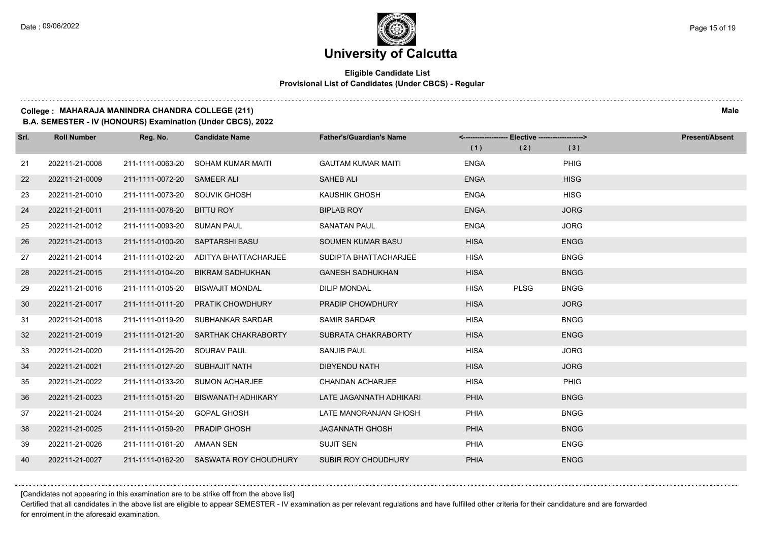## **Eligible Candidate List Provisional List of Candidates (Under CBCS) - Regular**

### **College : MAHARAJA MANINDRA CHANDRA COLLEGE (211) Male**

**B.A. SEMESTER - IV (HONOURS) Examination (Under CBCS), 2022**

| Srl. | <b>Roll Number</b> | Reg. No.                       | <b>Candidate Name</b>                  | <b>Father's/Guardian's Name</b> | <------------------- Elective ------------------> |             |             | <b>Present/Absent</b> |
|------|--------------------|--------------------------------|----------------------------------------|---------------------------------|---------------------------------------------------|-------------|-------------|-----------------------|
|      |                    |                                |                                        |                                 | (1)                                               | (2)         | (3)         |                       |
| 21   | 202211-21-0008     | 211-1111-0063-20               | SOHAM KUMAR MAITI                      | <b>GAUTAM KUMAR MAITI</b>       | <b>ENGA</b>                                       |             | <b>PHIG</b> |                       |
| 22   | 202211-21-0009     | 211-1111-0072-20 SAMEER ALI    |                                        | <b>SAHEB ALI</b>                | <b>ENGA</b>                                       |             | <b>HISG</b> |                       |
| 23   | 202211-21-0010     | 211-1111-0073-20 SOUVIK GHOSH  |                                        | KAUSHIK GHOSH                   | <b>ENGA</b>                                       |             | <b>HISG</b> |                       |
| 24   | 202211-21-0011     | 211-1111-0078-20               | <b>BITTU ROY</b>                       | <b>BIPLAB ROY</b>               | <b>ENGA</b>                                       |             | <b>JORG</b> |                       |
| 25   | 202211-21-0012     | 211-1111-0093-20               | <b>SUMAN PAUL</b>                      | <b>SANATAN PAUL</b>             | <b>ENGA</b>                                       |             | <b>JORG</b> |                       |
| 26   | 202211-21-0013     |                                | 211-1111-0100-20 SAPTARSHI BASU        | SOUMEN KUMAR BASU               | <b>HISA</b>                                       |             | <b>ENGG</b> |                       |
| 27   | 202211-21-0014     |                                | 211-1111-0102-20 ADITYA BHATTACHARJEE  | SUDIPTA BHATTACHARJEE           | <b>HISA</b>                                       |             | <b>BNGG</b> |                       |
| 28   | 202211-21-0015     | 211-1111-0104-20               | BIKRAM SADHUKHAN                       | <b>GANESH SADHUKHAN</b>         | <b>HISA</b>                                       |             | <b>BNGG</b> |                       |
| 29   | 202211-21-0016     | 211-1111-0105-20               | <b>BISWAJIT MONDAL</b>                 | <b>DILIP MONDAL</b>             | <b>HISA</b>                                       | <b>PLSG</b> | <b>BNGG</b> |                       |
| 30   | 202211-21-0017     | 211-1111-0111-20               | <b>PRATIK CHOWDHURY</b>                | PRADIP CHOWDHURY                | <b>HISA</b>                                       |             | <b>JORG</b> |                       |
| 31   | 202211-21-0018     | 211-1111-0119-20               | SUBHANKAR SARDAR                       | <b>SAMIR SARDAR</b>             | <b>HISA</b>                                       |             | <b>BNGG</b> |                       |
| 32   | 202211-21-0019     |                                | 211-1111-0121-20 SARTHAK CHAKRABORTY   | SUBRATA CHAKRABORTY             | <b>HISA</b>                                       |             | <b>ENGG</b> |                       |
| 33   | 202211-21-0020     | 211-1111-0126-20               | SOURAV PAUL                            | <b>SANJIB PAUL</b>              | <b>HISA</b>                                       |             | <b>JORG</b> |                       |
| 34   | 202211-21-0021     | 211-1111-0127-20 SUBHAJIT NATH |                                        | <b>DIBYENDU NATH</b>            | <b>HISA</b>                                       |             | <b>JORG</b> |                       |
| 35   | 202211-21-0022     | 211-1111-0133-20               | <b>SUMON ACHARJEE</b>                  | <b>CHANDAN ACHARJEE</b>         | <b>HISA</b>                                       |             | PHIG        |                       |
| 36   | 202211-21-0023     | 211-1111-0151-20               | <b>BISWANATH ADHIKARY</b>              | LATE JAGANNATH ADHIKARI         | <b>PHIA</b>                                       |             | <b>BNGG</b> |                       |
| 37   | 202211-21-0024     | 211-1111-0154-20               | <b>GOPAL GHOSH</b>                     | LATE MANORANJAN GHOSH           | <b>PHIA</b>                                       |             | <b>BNGG</b> |                       |
| 38   | 202211-21-0025     | 211-1111-0159-20               | <b>PRADIP GHOSH</b>                    | <b>JAGANNATH GHOSH</b>          | <b>PHIA</b>                                       |             | <b>BNGG</b> |                       |
| 39   | 202211-21-0026     | 211-1111-0161-20 AMAAN SEN     |                                        | <b>SUJIT SEN</b>                | PHIA                                              |             | <b>ENGG</b> |                       |
| 40   | 202211-21-0027     |                                | 211-1111-0162-20 SASWATA ROY CHOUDHURY | <b>SUBIR ROY CHOUDHURY</b>      | <b>PHIA</b>                                       |             | <b>ENGG</b> |                       |

[Candidates not appearing in this examination are to be strike off from the above list]

Certified that all candidates in the above list are eligible to appear SEMESTER - IV examination as per relevant regulations and have fulfilled other criteria for their candidature and are forwarded for enrolment in the aforesaid examination.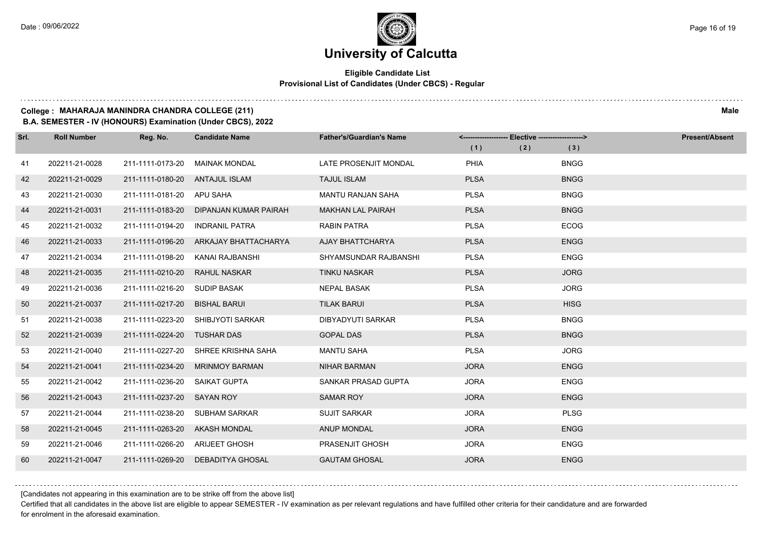## **Eligible Candidate List Provisional List of Candidates (Under CBCS) - Regular**

#### **College : MAHARAJA MANINDRA CHANDRA COLLEGE (211) Male**

**B.A. SEMESTER - IV (HONOURS) Examination (Under CBCS), 2022**

| Srl. | <b>Roll Number</b> | Reg. No.                       | <b>Candidate Name</b>             | <b>Father's/Guardian's Name</b> | <------------------- Elective ------------------> |     |             | <b>Present/Absent</b> |
|------|--------------------|--------------------------------|-----------------------------------|---------------------------------|---------------------------------------------------|-----|-------------|-----------------------|
|      |                    |                                |                                   |                                 | (1)                                               | (2) | (3)         |                       |
| 41   | 202211-21-0028     | 211-1111-0173-20               | <b>MAINAK MONDAL</b>              | LATE PROSENJIT MONDAL           | PHIA                                              |     | <b>BNGG</b> |                       |
| 42   | 202211-21-0029     | 211-1111-0180-20               | ANTAJUL ISLAM                     | <b>TAJUL ISLAM</b>              | <b>PLSA</b>                                       |     | <b>BNGG</b> |                       |
| 43   | 202211-21-0030     | 211-1111-0181-20 APU SAHA      |                                   | <b>MANTU RANJAN SAHA</b>        | <b>PLSA</b>                                       |     | <b>BNGG</b> |                       |
| 44   | 202211-21-0031     | 211-1111-0183-20               | DIPANJAN KUMAR PAIRAH             | <b>MAKHAN LAL PAIRAH</b>        | <b>PLSA</b>                                       |     | <b>BNGG</b> |                       |
| 45   | 202211-21-0032     | 211-1111-0194-20               | <b>INDRANIL PATRA</b>             | <b>RABIN PATRA</b>              | <b>PLSA</b>                                       |     | <b>ECOG</b> |                       |
| 46   | 202211-21-0033     | 211-1111-0196-20               | ARKAJAY BHATTACHARYA              | AJAY BHATTCHARYA                | <b>PLSA</b>                                       |     | <b>ENGG</b> |                       |
| 47   | 202211-21-0034     | 211-1111-0198-20               | KANAI RAJBANSHI                   | SHYAMSUNDAR RAJBANSHI           | <b>PLSA</b>                                       |     | <b>ENGG</b> |                       |
| 48   | 202211-21-0035     | 211-1111-0210-20               | <b>RAHUL NASKAR</b>               | <b>TINKU NASKAR</b>             | <b>PLSA</b>                                       |     | <b>JORG</b> |                       |
| 49   | 202211-21-0036     | 211-1111-0216-20               | <b>SUDIP BASAK</b>                | <b>NEPAL BASAK</b>              | <b>PLSA</b>                                       |     | <b>JORG</b> |                       |
| 50   | 202211-21-0037     | 211-1111-0217-20               | <b>BISHAL BARUI</b>               | <b>TILAK BARUI</b>              | <b>PLSA</b>                                       |     | <b>HISG</b> |                       |
| 51   | 202211-21-0038     |                                | 211-1111-0223-20 SHIBJYOTI SARKAR | <b>DIBYADYUTI SARKAR</b>        | <b>PLSA</b>                                       |     | <b>BNGG</b> |                       |
| 52   | 202211-21-0039     | 211-1111-0224-20 TUSHAR DAS    |                                   | <b>GOPAL DAS</b>                | <b>PLSA</b>                                       |     | <b>BNGG</b> |                       |
| 53   | 202211-21-0040     | 211-1111-0227-20               | SHREE KRISHNA SAHA                | <b>MANTU SAHA</b>               | <b>PLSA</b>                                       |     | <b>JORG</b> |                       |
| 54   | 202211-21-0041     | 211-1111-0234-20               | <b>MRINMOY BARMAN</b>             | <b>NIHAR BARMAN</b>             | <b>JORA</b>                                       |     | <b>ENGG</b> |                       |
| 55   | 202211-21-0042     | 211-1111-0236-20               | SAIKAT GUPTA                      | SANKAR PRASAD GUPTA             | <b>JORA</b>                                       |     | <b>ENGG</b> |                       |
| 56   | 202211-21-0043     | 211-1111-0237-20 SAYAN ROY     |                                   | <b>SAMAR ROY</b>                | <b>JORA</b>                                       |     | <b>ENGG</b> |                       |
| 57   | 202211-21-0044     | 211-1111-0238-20               | <b>SUBHAM SARKAR</b>              | <b>SUJIT SARKAR</b>             | <b>JORA</b>                                       |     | <b>PLSG</b> |                       |
| 58   | 202211-21-0045     | 211-1111-0263-20               | AKASH MONDAL                      | <b>ANUP MONDAL</b>              | <b>JORA</b>                                       |     | <b>ENGG</b> |                       |
| 59   | 202211-21-0046     | 211-1111-0266-20 ARIJEET GHOSH |                                   | PRASENJIT GHOSH                 | <b>JORA</b>                                       |     | <b>ENGG</b> |                       |
| 60   | 202211-21-0047     | 211-1111-0269-20               | <b>DEBADITYA GHOSAL</b>           | <b>GAUTAM GHOSAL</b>            | <b>JORA</b>                                       |     | <b>ENGG</b> |                       |

[Candidates not appearing in this examination are to be strike off from the above list]

Certified that all candidates in the above list are eligible to appear SEMESTER - IV examination as per relevant regulations and have fulfilled other criteria for their candidature and are forwarded for enrolment in the aforesaid examination.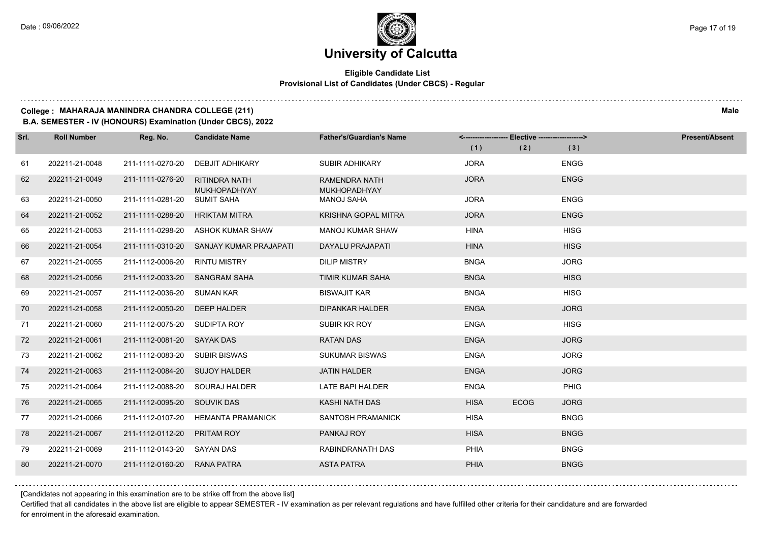a a a a

## **University of Calcutta**

### **Eligible Candidate List Provisional List of Candidates (Under CBCS) - Regular**

#### **College : MAHARAJA MANINDRA CHANDRA COLLEGE (211) Male**

**B.A. SEMESTER - IV (HONOURS) Examination (Under CBCS), 2022**

| Srl. | <b>Roll Number</b> | Reg. No.                      | <b>Candidate Name</b>                       | <b>Father's/Guardian's Name</b>             | <------------------- Elective ------------------> |             |             | <b>Present/Absent</b> |
|------|--------------------|-------------------------------|---------------------------------------------|---------------------------------------------|---------------------------------------------------|-------------|-------------|-----------------------|
|      |                    |                               |                                             |                                             | (1)                                               | (2)         | (3)         |                       |
| 61   | 202211-21-0048     | 211-1111-0270-20              | <b>DEBJIT ADHIKARY</b>                      | <b>SUBIR ADHIKARY</b>                       | <b>JORA</b>                                       |             | <b>ENGG</b> |                       |
| 62   | 202211-21-0049     | 211-1111-0276-20              | <b>RITINDRA NATH</b><br><b>MUKHOPADHYAY</b> | <b>RAMENDRA NATH</b><br><b>MUKHOPADHYAY</b> | <b>JORA</b>                                       |             | <b>ENGG</b> |                       |
| 63   | 202211-21-0050     | 211-1111-0281-20              | <b>SUMIT SAHA</b>                           | MANOJ SAHA                                  | <b>JORA</b>                                       |             | <b>ENGG</b> |                       |
| 64   | 202211-21-0052     | 211-1111-0288-20              | HRIKTAM MITRA                               | <b>KRISHNA GOPAL MITRA</b>                  | <b>JORA</b>                                       |             | <b>ENGG</b> |                       |
| 65   | 202211-21-0053     |                               | 211-1111-0298-20 ASHOK KUMAR SHAW           | <b>MANOJ KUMAR SHAW</b>                     | <b>HINA</b>                                       |             | <b>HISG</b> |                       |
| 66   | 202211-21-0054     | 211-1111-0310-20              | SANJAY KUMAR PRAJAPATI                      | DAYALU PRAJAPATI                            | <b>HINA</b>                                       |             | <b>HISG</b> |                       |
| 67   | 202211-21-0055     | 211-1112-0006-20              | <b>RINTU MISTRY</b>                         | <b>DILIP MISTRY</b>                         | <b>BNGA</b>                                       |             | <b>JORG</b> |                       |
| 68   | 202211-21-0056     | 211-1112-0033-20 SANGRAM SAHA |                                             | <b>TIMIR KUMAR SAHA</b>                     | <b>BNGA</b>                                       |             | <b>HISG</b> |                       |
| 69   | 202211-21-0057     | 211-1112-0036-20 SUMAN KAR    |                                             | <b>BISWAJIT KAR</b>                         | <b>BNGA</b>                                       |             | <b>HISG</b> |                       |
| 70   | 202211-21-0058     | 211-1112-0050-20              | <b>DEEP HALDER</b>                          | <b>DIPANKAR HALDER</b>                      | <b>ENGA</b>                                       |             | <b>JORG</b> |                       |
| 71   | 202211-21-0060     | 211-1112-0075-20 SUDIPTA ROY  |                                             | SUBIR KR ROY                                | <b>ENGA</b>                                       |             | <b>HISG</b> |                       |
| 72   | 202211-21-0061     | 211-1112-0081-20 SAYAK DAS    |                                             | <b>RATAN DAS</b>                            | <b>ENGA</b>                                       |             | <b>JORG</b> |                       |
| 73   | 202211-21-0062     | 211-1112-0083-20 SUBIR BISWAS |                                             | <b>SUKUMAR BISWAS</b>                       | <b>ENGA</b>                                       |             | <b>JORG</b> |                       |
| 74   | 202211-21-0063     | 211-1112-0084-20 SUJOY HALDER |                                             | <b>JATIN HALDER</b>                         | <b>ENGA</b>                                       |             | <b>JORG</b> |                       |
| 75   | 202211-21-0064     |                               | 211-1112-0088-20 SOURAJ HALDER              | <b>LATE BAPI HALDER</b>                     | <b>ENGA</b>                                       |             | PHIG        |                       |
| 76   | 202211-21-0065     | 211-1112-0095-20 SOUVIK DAS   |                                             | <b>KASHI NATH DAS</b>                       | <b>HISA</b>                                       | <b>ECOG</b> | <b>JORG</b> |                       |
| 77   | 202211-21-0066     | 211-1112-0107-20              | <b>HEMANTA PRAMANICK</b>                    | <b>SANTOSH PRAMANICK</b>                    | <b>HISA</b>                                       |             | <b>BNGG</b> |                       |
| 78   | 202211-21-0067     | 211-1112-0112-20              | <b>PRITAM ROY</b>                           | PANKAJ ROY                                  | <b>HISA</b>                                       |             | <b>BNGG</b> |                       |
| 79   | 202211-21-0069     | 211-1112-0143-20 SAYAN DAS    |                                             | RABINDRANATH DAS                            | PHIA                                              |             | <b>BNGG</b> |                       |
| 80   | 202211-21-0070     | 211-1112-0160-20              | RANA PATRA                                  | <b>ASTA PATRA</b>                           | <b>PHIA</b>                                       |             | <b>BNGG</b> |                       |

[Candidates not appearing in this examination are to be strike off from the above list]

Certified that all candidates in the above list are eligible to appear SEMESTER - IV examination as per relevant regulations and have fulfilled other criteria for their candidature and are forwarded for enrolment in the aforesaid examination.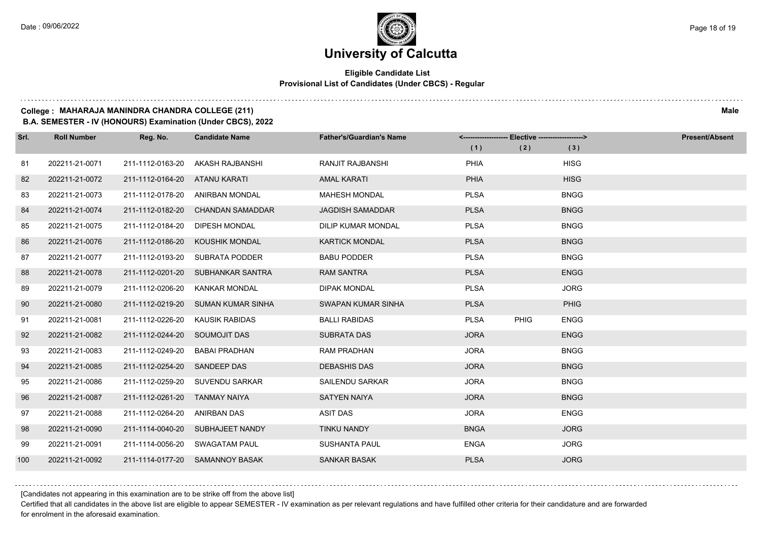$1.111$ 

## **University of Calcutta**

## **Eligible Candidate List Provisional List of Candidates (Under CBCS) - Regular**

### **College : MAHARAJA MANINDRA CHANDRA COLLEGE (211) Male**

**B.A. SEMESTER - IV (HONOURS) Examination (Under CBCS), 2022**

| Srl. | <b>Roll Number</b> | Reg. No.                      | <b>Candidate Name</b>            | <b>Father's/Guardian's Name</b> | <-------------------- Elective -------------------> |             |             | <b>Present/Absent</b> |
|------|--------------------|-------------------------------|----------------------------------|---------------------------------|-----------------------------------------------------|-------------|-------------|-----------------------|
|      |                    |                               |                                  |                                 | (1)                                                 | (2)         | (3)         |                       |
| 81   | 202211-21-0071     | 211-1112-0163-20              | AKASH RAJBANSHI                  | <b>RANJIT RAJBANSHI</b>         | <b>PHIA</b>                                         |             | <b>HISG</b> |                       |
| 82   | 202211-21-0072     | 211-1112-0164-20 ATANU KARATI |                                  | <b>AMAL KARATI</b>              | <b>PHIA</b>                                         |             | <b>HISG</b> |                       |
| 83   | 202211-21-0073     |                               | 211-1112-0178-20 ANIRBAN MONDAL  | <b>MAHESH MONDAL</b>            | <b>PLSA</b>                                         |             | <b>BNGG</b> |                       |
| 84   | 202211-21-0074     | 211-1112-0182-20              | <b>CHANDAN SAMADDAR</b>          | <b>JAGDISH SAMADDAR</b>         | <b>PLSA</b>                                         |             | <b>BNGG</b> |                       |
| 85   | 202211-21-0075     | 211-1112-0184-20              | <b>DIPESH MONDAL</b>             | <b>DILIP KUMAR MONDAL</b>       | <b>PLSA</b>                                         |             | <b>BNGG</b> |                       |
| 86   | 202211-21-0076     | 211-1112-0186-20              | KOUSHIK MONDAL                   | <b>KARTICK MONDAL</b>           | <b>PLSA</b>                                         |             | <b>BNGG</b> |                       |
| 87   | 202211-21-0077     | 211-1112-0193-20              | SUBRATA PODDER                   | <b>BABU PODDER</b>              | <b>PLSA</b>                                         |             | <b>BNGG</b> |                       |
| 88   | 202211-21-0078     | 211-1112-0201-20              | SUBHANKAR SANTRA                 | <b>RAM SANTRA</b>               | <b>PLSA</b>                                         |             | <b>ENGG</b> |                       |
| 89   | 202211-21-0079     | 211-1112-0206-20              | <b>KANKAR MONDAL</b>             | <b>DIPAK MONDAL</b>             | <b>PLSA</b>                                         |             | <b>JORG</b> |                       |
| 90   | 202211-21-0080     | 211-1112-0219-20              | SUMAN KUMAR SINHA                | SWAPAN KUMAR SINHA              | <b>PLSA</b>                                         |             | PHIG        |                       |
| 91   | 202211-21-0081     | 211-1112-0226-20              | KAUSIK RABIDAS                   | <b>BALLI RABIDAS</b>            | <b>PLSA</b>                                         | <b>PHIG</b> | <b>ENGG</b> |                       |
| 92   | 202211-21-0082     | 211-1112-0244-20 SOUMOJIT DAS |                                  | <b>SUBRATA DAS</b>              | <b>JORA</b>                                         |             | <b>ENGG</b> |                       |
| 93   | 202211-21-0083     | 211-1112-0249-20              | <b>BABAI PRADHAN</b>             | <b>RAM PRADHAN</b>              | <b>JORA</b>                                         |             | <b>BNGG</b> |                       |
| 94   | 202211-21-0085     | 211-1112-0254-20              | <b>SANDEEP DAS</b>               | <b>DEBASHIS DAS</b>             | <b>JORA</b>                                         |             | <b>BNGG</b> |                       |
| 95   | 202211-21-0086     |                               | 211-1112-0259-20 SUVENDU SARKAR  | <b>SAILENDU SARKAR</b>          | <b>JORA</b>                                         |             | <b>BNGG</b> |                       |
| 96   | 202211-21-0087     | 211-1112-0261-20              | TANMAY NAIYA                     | <b>SATYEN NAIYA</b>             | <b>JORA</b>                                         |             | <b>BNGG</b> |                       |
| 97   | 202211-21-0088     | 211-1112-0264-20              | ANIRBAN DAS                      | ASIT DAS                        | <b>JORA</b>                                         |             | <b>ENGG</b> |                       |
| 98   | 202211-21-0090     |                               | 211-1114-0040-20 SUBHAJEET NANDY | TINKU NANDY                     | <b>BNGA</b>                                         |             | <b>JORG</b> |                       |
| 99   | 202211-21-0091     |                               | 211-1114-0056-20 SWAGATAM PAUL   | <b>SUSHANTA PAUL</b>            | <b>ENGA</b>                                         |             | <b>JORG</b> |                       |
| 100  | 202211-21-0092     |                               | 211-1114-0177-20 SAMANNOY BASAK  | <b>SANKAR BASAK</b>             | <b>PLSA</b>                                         |             | <b>JORG</b> |                       |

[Candidates not appearing in this examination are to be strike off from the above list]

Certified that all candidates in the above list are eligible to appear SEMESTER - IV examination as per relevant regulations and have fulfilled other criteria for their candidature and are forwarded for enrolment in the aforesaid examination.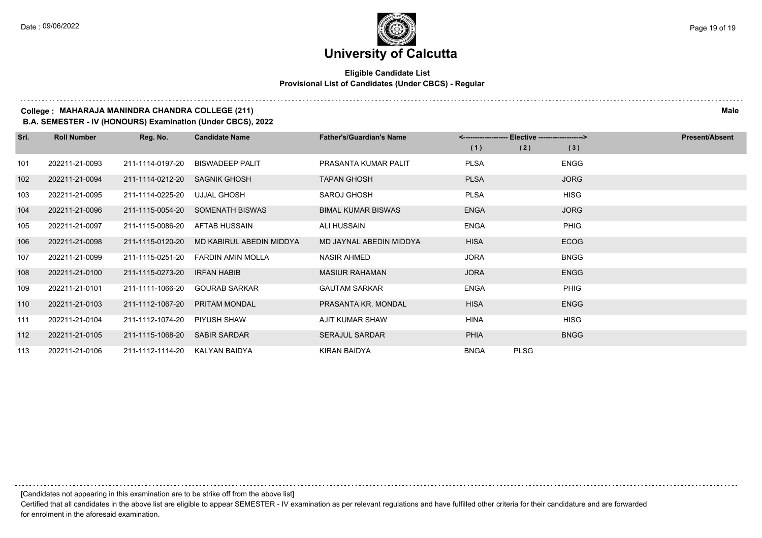## **Eligible Candidate List Provisional List of Candidates (Under CBCS) - Regular**

### **College : MAHARAJA MANINDRA CHANDRA COLLEGE (211) Male**

**B.A. SEMESTER - IV (HONOURS) Examination (Under CBCS), 2022**

| Srl. | <b>Roll Number</b> | Reg. No.         | <b>Candidate Name</b>    | <b>Father's/Guardian's Name</b> |             | <-------------------- Elective -------------------> | <b>Present/Absent</b> |
|------|--------------------|------------------|--------------------------|---------------------------------|-------------|-----------------------------------------------------|-----------------------|
|      |                    |                  |                          |                                 | (1)         | (2)                                                 | (3)                   |
| 101  | 202211-21-0093     | 211-1114-0197-20 | <b>BISWADEEP PALIT</b>   | PRASANTA KUMAR PALIT            | <b>PLSA</b> |                                                     | <b>ENGG</b>           |
| 102  | 202211-21-0094     | 211-1114-0212-20 | SAGNIK GHOSH             | <b>TAPAN GHOSH</b>              | <b>PLSA</b> |                                                     | <b>JORG</b>           |
| 103  | 202211-21-0095     | 211-1114-0225-20 | UJJAL GHOSH              | <b>SAROJ GHOSH</b>              | <b>PLSA</b> |                                                     | <b>HISG</b>           |
| 104  | 202211-21-0096     | 211-1115-0054-20 | SOMENATH BISWAS          | <b>BIMAL KUMAR BISWAS</b>       | <b>ENGA</b> |                                                     | <b>JORG</b>           |
| 105  | 202211-21-0097     | 211-1115-0086-20 | AFTAB HUSSAIN            | <b>ALI HUSSAIN</b>              | <b>ENGA</b> |                                                     | <b>PHIG</b>           |
| 106  | 202211-21-0098     | 211-1115-0120-20 | MD KABIRUL ABEDIN MIDDYA | MD JAYNAL ABEDIN MIDDYA         | <b>HISA</b> |                                                     | <b>ECOG</b>           |
| 107  | 202211-21-0099     | 211-1115-0251-20 | <b>FARDIN AMIN MOLLA</b> | NASIR AHMED                     | <b>JORA</b> |                                                     | <b>BNGG</b>           |
| 108  | 202211-21-0100     | 211-1115-0273-20 | <b>IRFAN HABIB</b>       | <b>MASIUR RAHAMAN</b>           | <b>JORA</b> |                                                     | <b>ENGG</b>           |
| 109  | 202211-21-0101     | 211-1111-1066-20 | <b>GOURAB SARKAR</b>     | <b>GAUTAM SARKAR</b>            | <b>ENGA</b> |                                                     | <b>PHIG</b>           |
| 110  | 202211-21-0103     | 211-1112-1067-20 | <b>PRITAM MONDAL</b>     | PRASANTA KR. MONDAL             | <b>HISA</b> |                                                     | <b>ENGG</b>           |
| 111  | 202211-21-0104     | 211-1112-1074-20 | PIYUSH SHAW              | AJIT KUMAR SHAW                 | <b>HINA</b> |                                                     | <b>HISG</b>           |
| 112  | 202211-21-0105     | 211-1115-1068-20 | <b>SABIR SARDAR</b>      | <b>SERAJUL SARDAR</b>           | <b>PHIA</b> |                                                     | <b>BNGG</b>           |
| 113  | 202211-21-0106     | 211-1112-1114-20 | KALYAN BAIDYA            | KIRAN BAIDYA                    | <b>BNGA</b> | <b>PLSG</b>                                         |                       |

[Candidates not appearing in this examination are to be strike off from the above list]

Certified that all candidates in the above list are eligible to appear SEMESTER - IV examination as per relevant regulations and have fulfilled other criteria for their candidature and are forwarded for enrolment in the aforesaid examination.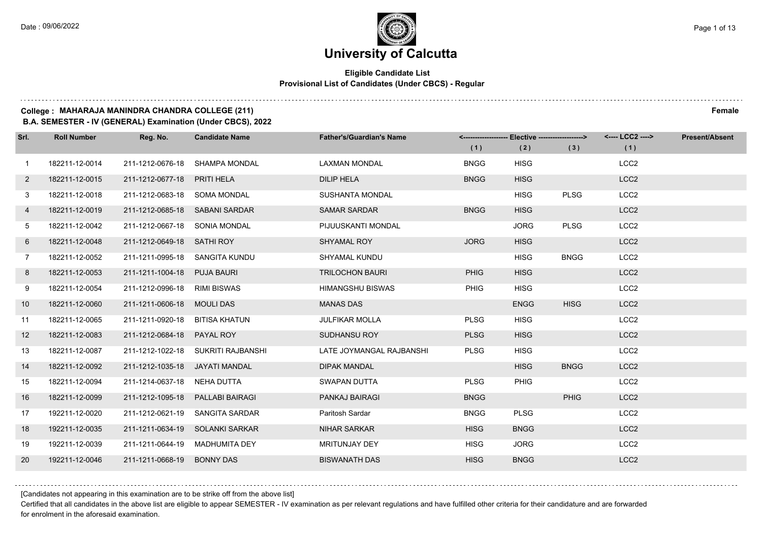## **Eligible Candidate List Provisional List of Candidates (Under CBCS) - Regular**

#### **College : MAHARAJA MANINDRA CHANDRA COLLEGE (211) Female**

**B.A. SEMESTER - IV (GENERAL) Examination (Under CBCS), 2022**

| Srl.           | <b>Roll Number</b> | Reg. No.                         | <b>Candidate Name</b>              | <b>Father's/Guardian's Name</b> | (1)         | <------------------- Elective ------------------><br>(2) | (3)         | <---- LCC2 ----><br>(1) | <b>Present/Absent</b> |
|----------------|--------------------|----------------------------------|------------------------------------|---------------------------------|-------------|----------------------------------------------------------|-------------|-------------------------|-----------------------|
| $\mathbf{1}$   | 182211-12-0014     |                                  | 211-1212-0676-18 SHAMPA MONDAL     | LAXMAN MONDAL                   | <b>BNGG</b> | <b>HISG</b>                                              |             | LCC <sub>2</sub>        |                       |
| $\overline{2}$ | 182211-12-0015     | 211-1212-0677-18 PRITI HELA      |                                    | <b>DILIP HELA</b>               | <b>BNGG</b> | <b>HISG</b>                                              |             | LCC <sub>2</sub>        |                       |
| 3              | 182211-12-0018     | 211-1212-0683-18 SOMA MONDAL     |                                    | <b>SUSHANTA MONDAL</b>          |             | <b>HISG</b>                                              | <b>PLSG</b> | LCC <sub>2</sub>        |                       |
| 4              | 182211-12-0019     | 211-1212-0685-18 SABANI SARDAR   |                                    | <b>SAMAR SARDAR</b>             | <b>BNGG</b> | <b>HISG</b>                                              |             | LCC <sub>2</sub>        |                       |
| 5              | 182211-12-0042     | 211-1212-0667-18 SONIA MONDAL    |                                    | PIJUUSKANTI MONDAL              |             | <b>JORG</b>                                              | <b>PLSG</b> | LCC <sub>2</sub>        |                       |
| 6              | 182211-12-0048     | 211-1212-0649-18 SATHI ROY       |                                    | <b>SHYAMAL ROY</b>              | <b>JORG</b> | <b>HISG</b>                                              |             | LCC <sub>2</sub>        |                       |
| $7^{\circ}$    | 182211-12-0052     | 211-1211-0995-18 SANGITA KUNDU   |                                    | <b>SHYAMAL KUNDU</b>            |             | <b>HISG</b>                                              | <b>BNGG</b> | LCC <sub>2</sub>        |                       |
| 8              | 182211-12-0053     | 211-1211-1004-18 PUJA BAURI      |                                    | <b>TRILOCHON BAURI</b>          | <b>PHIG</b> | <b>HISG</b>                                              |             | LCC <sub>2</sub>        |                       |
| 9              | 182211-12-0054     | 211-1212-0996-18 RIMI BISWAS     |                                    | <b>HIMANGSHU BISWAS</b>         | <b>PHIG</b> | <b>HISG</b>                                              |             | LCC <sub>2</sub>        |                       |
| 10             | 182211-12-0060     | 211-1211-0606-18 MOULI DAS       |                                    | <b>MANAS DAS</b>                |             | <b>ENGG</b>                                              | <b>HISG</b> | LCC <sub>2</sub>        |                       |
| 11             | 182211-12-0065     | 211-1211-0920-18 BITISA KHATUN   |                                    | <b>JULFIKAR MOLLA</b>           | <b>PLSG</b> | <b>HISG</b>                                              |             | LCC <sub>2</sub>        |                       |
| 12             | 182211-12-0083     | 211-1212-0684-18 PAYAL ROY       |                                    | <b>SUDHANSU ROY</b>             | <b>PLSG</b> | <b>HISG</b>                                              |             | LCC <sub>2</sub>        |                       |
| 13             | 182211-12-0087     |                                  | 211-1212-1022-18 SUKRITI RAJBANSHI | LATE JOYMANGAL RAJBANSHI        | <b>PLSG</b> | <b>HISG</b>                                              |             | LCC <sub>2</sub>        |                       |
| 14             | 182211-12-0092     | 211-1212-1035-18 JAYATI MANDAL   |                                    | <b>DIPAK MANDAL</b>             |             | <b>HISG</b>                                              | <b>BNGG</b> | LCC <sub>2</sub>        |                       |
| 15             | 182211-12-0094     | 211-1214-0637-18 NEHA DUTTA      |                                    | SWAPAN DUTTA                    | <b>PLSG</b> | <b>PHIG</b>                                              |             | LCC <sub>2</sub>        |                       |
| 16             | 182211-12-0099     | 211-1212-1095-18 PALLABI BAIRAGI |                                    | <b>PANKAJ BAIRAGI</b>           | <b>BNGG</b> |                                                          | <b>PHIG</b> | LCC <sub>2</sub>        |                       |
| 17             | 192211-12-0020     | 211-1212-0621-19                 | SANGITA SARDAR                     | Paritosh Sardar                 | <b>BNGG</b> | <b>PLSG</b>                                              |             | LCC <sub>2</sub>        |                       |
| 18             | 192211-12-0035     |                                  | 211-1211-0634-19 SOLANKI SARKAR    | <b>NIHAR SARKAR</b>             | <b>HISG</b> | <b>BNGG</b>                                              |             | LCC <sub>2</sub>        |                       |
| 19             | 192211-12-0039     |                                  | 211-1211-0644-19 MADHUMITA DEY     | MRITUNJAY DEY                   | <b>HISG</b> | <b>JORG</b>                                              |             | LCC <sub>2</sub>        |                       |
| 20             | 192211-12-0046     | 211-1211-0668-19 BONNY DAS       |                                    | <b>BISWANATH DAS</b>            | <b>HISG</b> | <b>BNGG</b>                                              |             | LCC <sub>2</sub>        |                       |

[Candidates not appearing in this examination are to be strike off from the above list]

Certified that all candidates in the above list are eligible to appear SEMESTER - IV examination as per relevant regulations and have fulfilled other criteria for their candidature and are forwarded for enrolment in the aforesaid examination.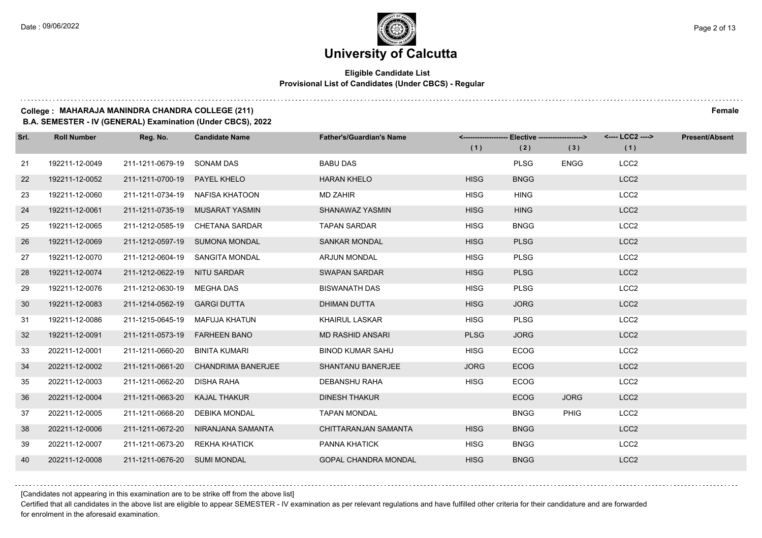## **Eligible Candidate List Provisional List of Candidates (Under CBCS) - Regular**

#### **College : MAHARAJA MANINDRA CHANDRA COLLEGE (211) Female**

**B.A. SEMESTER - IV (GENERAL) Examination (Under CBCS), 2022**

| Srl. | <b>Roll Number</b> | Reg. No.                       | <b>Candidate Name</b>           | <b>Father's/Guardian's Name</b> |             | <------------------- Elective ------------------> |             | <---- LCC2 ----> | <b>Present/Absent</b> |
|------|--------------------|--------------------------------|---------------------------------|---------------------------------|-------------|---------------------------------------------------|-------------|------------------|-----------------------|
|      |                    |                                |                                 |                                 | (1)         | (2)                                               | (3)         | (1)              |                       |
| 21   | 192211-12-0049     | 211-1211-0679-19               | SONAM DAS                       | <b>BABU DAS</b>                 |             | <b>PLSG</b>                                       | <b>ENGG</b> | LCC <sub>2</sub> |                       |
| 22   | 192211-12-0052     | 211-1211-0700-19               | <b>PAYEL KHELO</b>              | <b>HARAN KHELO</b>              | <b>HISG</b> | <b>BNGG</b>                                       |             | LCC <sub>2</sub> |                       |
| 23   | 192211-12-0060     |                                | 211-1211-0734-19 NAFISA KHATOON | <b>MD ZAHIR</b>                 | <b>HISG</b> | <b>HING</b>                                       |             | LCC <sub>2</sub> |                       |
| 24   | 192211-12-0061     |                                | 211-1211-0735-19 MUSARAT YASMIN | SHANAWAZ YASMIN                 | <b>HISG</b> | <b>HING</b>                                       |             | LCC <sub>2</sub> |                       |
| 25   | 192211-12-0065     |                                | 211-1212-0585-19 CHETANA SARDAR | <b>TAPAN SARDAR</b>             | <b>HISG</b> | <b>BNGG</b>                                       |             | LCC <sub>2</sub> |                       |
| 26   | 192211-12-0069     |                                | 211-1212-0597-19 SUMONA MONDAL  | <b>SANKAR MONDAL</b>            | <b>HISG</b> | <b>PLSG</b>                                       |             | LCC <sub>2</sub> |                       |
| 27   | 192211-12-0070     |                                | 211-1212-0604-19 SANGITA MONDAL | <b>ARJUN MONDAL</b>             | <b>HISG</b> | <b>PLSG</b>                                       |             | LCC <sub>2</sub> |                       |
| 28   | 192211-12-0074     | 211-1212-0622-19 NITU SARDAR   |                                 | <b>SWAPAN SARDAR</b>            | <b>HISG</b> | <b>PLSG</b>                                       |             | LCC <sub>2</sub> |                       |
| 29   | 192211-12-0076     | 211-1212-0630-19               | MEGHA DAS                       | <b>BISWANATH DAS</b>            | <b>HISG</b> | <b>PLSG</b>                                       |             | LCC <sub>2</sub> |                       |
| 30   | 192211-12-0083     | 211-1214-0562-19               | <b>GARGI DUTTA</b>              | DHIMAN DUTTA                    | <b>HISG</b> | <b>JORG</b>                                       |             | LCC <sub>2</sub> |                       |
| 31   | 192211-12-0086     | 211-1215-0645-19               | MAFUJA KHATUN                   | <b>KHAIRUL LASKAR</b>           | <b>HISG</b> | <b>PLSG</b>                                       |             | LCC <sub>2</sub> |                       |
| 32   | 192211-12-0091     | 211-1211-0573-19 FARHEEN BANO  |                                 | <b>MD RASHID ANSARI</b>         | <b>PLSG</b> | <b>JORG</b>                                       |             | LCC <sub>2</sub> |                       |
| 33   | 202211-12-0001     | 211-1211-0660-20               | BINITA KUMARI                   | <b>BINOD KUMAR SAHU</b>         | <b>HISG</b> | <b>ECOG</b>                                       |             | LCC <sub>2</sub> |                       |
| 34   | 202211-12-0002     | 211-1211-0661-20               | <b>CHANDRIMA BANERJEE</b>       | <b>SHANTANU BANERJEE</b>        | <b>JORG</b> | <b>ECOG</b>                                       |             | LCC <sub>2</sub> |                       |
| 35   | 202211-12-0003     | 211-1211-0662-20 DISHA RAHA    |                                 | <b>DEBANSHU RAHA</b>            | <b>HISG</b> | <b>ECOG</b>                                       |             | LCC <sub>2</sub> |                       |
| 36   | 202211-12-0004     | 211-1211-0663-20 KAJAL THAKUR  |                                 | <b>DINESH THAKUR</b>            |             | <b>ECOG</b>                                       | <b>JORG</b> | LCC <sub>2</sub> |                       |
| 37   | 202211-12-0005     | 211-1211-0668-20 DEBIKA MONDAL |                                 | <b>TAPAN MONDAL</b>             |             | <b>BNGG</b>                                       | <b>PHIG</b> | LCC <sub>2</sub> |                       |
| 38   | 202211-12-0006     | 211-1211-0672-20               | NIRANJANA SAMANTA               | CHITTARANJAN SAMANTA            | <b>HISG</b> | <b>BNGG</b>                                       |             | LCC <sub>2</sub> |                       |
| 39   | 202211-12-0007     | 211-1211-0673-20 REKHA KHATICK |                                 | PANNA KHATICK                   | <b>HISG</b> | <b>BNGG</b>                                       |             | LCC <sub>2</sub> |                       |
| 40   | 202211-12-0008     | 211-1211-0676-20 SUMI MONDAL   |                                 | <b>GOPAL CHANDRA MONDAL</b>     | <b>HISG</b> | <b>BNGG</b>                                       |             | LCC <sub>2</sub> |                       |

[Candidates not appearing in this examination are to be strike off from the above list]

Certified that all candidates in the above list are eligible to appear SEMESTER - IV examination as per relevant regulations and have fulfilled other criteria for their candidature and are forwarded for enrolment in the aforesaid examination.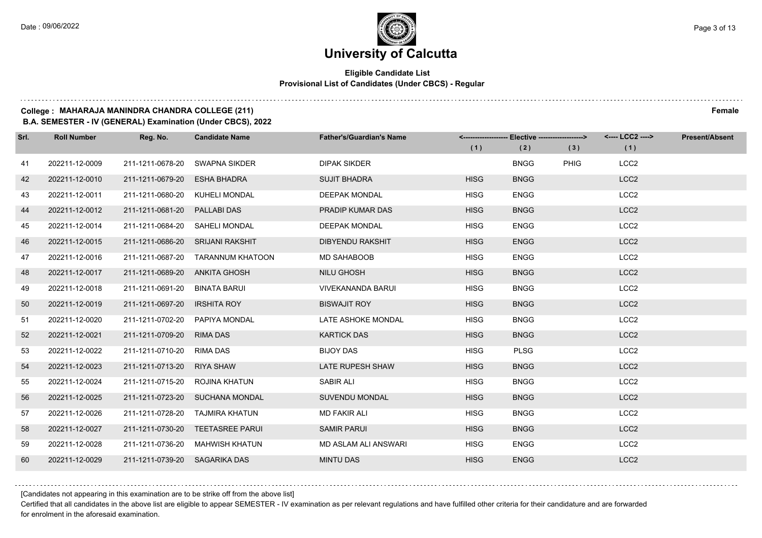## **Eligible Candidate List Provisional List of Candidates (Under CBCS) - Regular**

#### **College : MAHARAJA MANINDRA CHANDRA COLLEGE (211) Female**

**B.A. SEMESTER - IV (GENERAL) Examination (Under CBCS), 2022**

| Srl. | <b>Roll Number</b> | Reg. No.                       | <b>Candidate Name</b>             | <b>Father's/Guardian's Name</b> |             | <------------------- Elective -------------------> |             | <---- LCC2 ----> | <b>Present/Absent</b> |
|------|--------------------|--------------------------------|-----------------------------------|---------------------------------|-------------|----------------------------------------------------|-------------|------------------|-----------------------|
|      |                    |                                |                                   |                                 | (1)         | (2)                                                | (3)         | (1)              |                       |
| 41   | 202211-12-0009     | 211-1211-0678-20               | <b>SWAPNA SIKDER</b>              | <b>DIPAK SIKDER</b>             |             | <b>BNGG</b>                                        | <b>PHIG</b> | LCC <sub>2</sub> |                       |
| 42   | 202211-12-0010     | 211-1211-0679-20               | <b>ESHA BHADRA</b>                | <b>SUJIT BHADRA</b>             | <b>HISG</b> | <b>BNGG</b>                                        |             | LCC <sub>2</sub> |                       |
| 43   | 202211-12-0011     | 211-1211-0680-20 KUHELI MONDAL |                                   | <b>DEEPAK MONDAL</b>            | <b>HISG</b> | <b>ENGG</b>                                        |             | LCC <sub>2</sub> |                       |
| 44   | 202211-12-0012     | 211-1211-0681-20 PALLABI DAS   |                                   | PRADIP KUMAR DAS                | <b>HISG</b> | <b>BNGG</b>                                        |             | LCC <sub>2</sub> |                       |
| 45   | 202211-12-0014     | 211-1211-0684-20 SAHELI MONDAL |                                   | <b>DEEPAK MONDAL</b>            | <b>HISG</b> | <b>ENGG</b>                                        |             | LCC <sub>2</sub> |                       |
| 46   | 202211-12-0015     | 211-1211-0686-20               | <b>SRIJANI RAKSHIT</b>            | <b>DIBYENDU RAKSHIT</b>         | <b>HISG</b> | <b>ENGG</b>                                        |             | LCC <sub>2</sub> |                       |
| 47   | 202211-12-0016     |                                | 211-1211-0687-20 TARANNUM KHATOON | <b>MD SAHABOOB</b>              | <b>HISG</b> | <b>ENGG</b>                                        |             | LCC <sub>2</sub> |                       |
| 48   | 202211-12-0017     | 211-1211-0689-20 ANKITA GHOSH  |                                   | NILU GHOSH                      | <b>HISG</b> | <b>BNGG</b>                                        |             | LCC <sub>2</sub> |                       |
| 49   | 202211-12-0018     | 211-1211-0691-20               | BINATA BARUI                      | <b>VIVEKANANDA BARUI</b>        | <b>HISG</b> | <b>BNGG</b>                                        |             | LCC <sub>2</sub> |                       |
| 50   | 202211-12-0019     | 211-1211-0697-20               | <b>IRSHITA ROY</b>                | <b>BISWAJIT ROY</b>             | <b>HISG</b> | <b>BNGG</b>                                        |             | LCC <sub>2</sub> |                       |
| 51   | 202211-12-0020     | 211-1211-0702-20 PAPIYA MONDAL |                                   | LATE ASHOKE MONDAL              | <b>HISG</b> | <b>BNGG</b>                                        |             | LCC <sub>2</sub> |                       |
| 52   | 202211-12-0021     | 211-1211-0709-20 RIMA DAS      |                                   | <b>KARTICK DAS</b>              | <b>HISG</b> | <b>BNGG</b>                                        |             | LCC <sub>2</sub> |                       |
| 53   | 202211-12-0022     | 211-1211-0710-20 RIMA DAS      |                                   | <b>BIJOY DAS</b>                | <b>HISG</b> | <b>PLSG</b>                                        |             | LCC <sub>2</sub> |                       |
| 54   | 202211-12-0023     | 211-1211-0713-20 RIYA SHAW     |                                   | <b>LATE RUPESH SHAW</b>         | <b>HISG</b> | <b>BNGG</b>                                        |             | LCC <sub>2</sub> |                       |
| 55   | 202211-12-0024     | 211-1211-0715-20 ROJINA KHATUN |                                   | SABIR ALI                       | <b>HISG</b> | <b>BNGG</b>                                        |             | LCC <sub>2</sub> |                       |
| 56   | 202211-12-0025     |                                | 211-1211-0723-20 SUCHANA MONDAL   | <b>SUVENDU MONDAL</b>           | <b>HISG</b> | <b>BNGG</b>                                        |             | LCC <sub>2</sub> |                       |
| 57   | 202211-12-0026     | 211-1211-0728-20               | TAJMIRA KHATUN                    | <b>MD FAKIR ALI</b>             | <b>HISG</b> | <b>BNGG</b>                                        |             | LCC <sub>2</sub> |                       |
| 58   | 202211-12-0027     |                                | 211-1211-0730-20 TEETASREE PARUI  | <b>SAMIR PARUI</b>              | <b>HISG</b> | <b>BNGG</b>                                        |             | LCC <sub>2</sub> |                       |
| 59   | 202211-12-0028     |                                | 211-1211-0736-20 MAHWISH KHATUN   | MD ASLAM ALI ANSWARI            | HISG        | <b>ENGG</b>                                        |             | LCC <sub>2</sub> |                       |
| 60   | 202211-12-0029     | 211-1211-0739-20 SAGARIKA DAS  |                                   | <b>MINTU DAS</b>                | <b>HISG</b> | <b>ENGG</b>                                        |             | LCC <sub>2</sub> |                       |

[Candidates not appearing in this examination are to be strike off from the above list]

Certified that all candidates in the above list are eligible to appear SEMESTER - IV examination as per relevant regulations and have fulfilled other criteria for their candidature and are forwarded for enrolment in the aforesaid examination.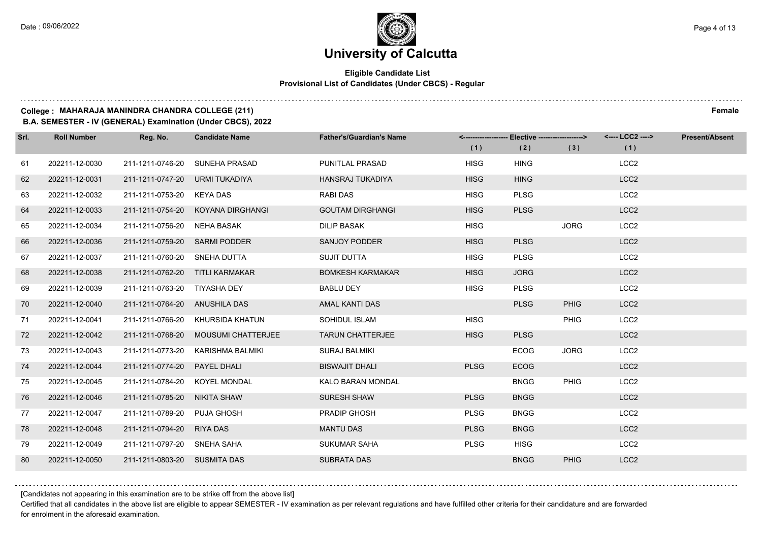## **Eligible Candidate List Provisional List of Candidates (Under CBCS) - Regular**

#### **College : MAHARAJA MANINDRA CHANDRA COLLEGE (211) Female**

**B.A. SEMESTER - IV (GENERAL) Examination (Under CBCS), 2022**

| Srl. | <b>Roll Number</b> | Reg. No.                        | <b>Candidate Name</b>               | <b>Father's/Guardian's Name</b> | (1)         | <-------------------- Elective ------------------><br>(2) | (3)         | <---- LCC2 ----><br>(1) | <b>Present/Absent</b> |
|------|--------------------|---------------------------------|-------------------------------------|---------------------------------|-------------|-----------------------------------------------------------|-------------|-------------------------|-----------------------|
| 61   | 202211-12-0030     | 211-1211-0746-20                | SUNEHA PRASAD                       | PUNITLAL PRASAD                 | <b>HISG</b> | <b>HING</b>                                               |             | LCC <sub>2</sub>        |                       |
| 62   | 202211-12-0031     | 211-1211-0747-20 URMI TUKADIYA  |                                     | <b>HANSRAJ TUKADIYA</b>         | <b>HISG</b> | <b>HING</b>                                               |             | LCC <sub>2</sub>        |                       |
| 63   | 202211-12-0032     | 211-1211-0753-20 KEYA DAS       |                                     | RABI DAS                        | <b>HISG</b> | <b>PLSG</b>                                               |             | LCC <sub>2</sub>        |                       |
| 64   | 202211-12-0033     |                                 | 211-1211-0754-20 KOYANA DIRGHANGI   | <b>GOUTAM DIRGHANGI</b>         | <b>HISG</b> | <b>PLSG</b>                                               |             | LCC <sub>2</sub>        |                       |
| 65   | 202211-12-0034     | 211-1211-0756-20                | NEHA BASAK                          | <b>DILIP BASAK</b>              | <b>HISG</b> |                                                           | <b>JORG</b> | LCC <sub>2</sub>        |                       |
| 66   | 202211-12-0036     | 211-1211-0759-20 SARMI PODDER   |                                     | SANJOY PODDER                   | <b>HISG</b> | <b>PLSG</b>                                               |             | LCC <sub>2</sub>        |                       |
| 67   | 202211-12-0037     | 211-1211-0760-20 SNEHA DUTTA    |                                     | <b>SUJIT DUTTA</b>              | <b>HISG</b> | <b>PLSG</b>                                               |             | LCC <sub>2</sub>        |                       |
| 68   | 202211-12-0038     | 211-1211-0762-20 TITLI KARMAKAR |                                     | <b>BOMKESH KARMAKAR</b>         | <b>HISG</b> | <b>JORG</b>                                               |             | LCC <sub>2</sub>        |                       |
| 69   | 202211-12-0039     | 211-1211-0763-20 TIYASHA DEY    |                                     | <b>BABLU DEY</b>                | <b>HISG</b> | <b>PLSG</b>                                               |             | LCC <sub>2</sub>        |                       |
| 70   | 202211-12-0040     | 211-1211-0764-20 ANUSHILA DAS   |                                     | AMAL KANTI DAS                  |             | <b>PLSG</b>                                               | <b>PHIG</b> | LCC <sub>2</sub>        |                       |
| 71   | 202211-12-0041     |                                 | 211-1211-0766-20 KHURSIDA KHATUN    | SOHIDUL ISLAM                   | <b>HISG</b> |                                                           | <b>PHIG</b> | LCC <sub>2</sub>        |                       |
| 72   | 202211-12-0042     |                                 | 211-1211-0768-20 MOUSUMI CHATTERJEE | <b>TARUN CHATTERJEE</b>         | <b>HISG</b> | <b>PLSG</b>                                               |             | LCC <sub>2</sub>        |                       |
| 73   | 202211-12-0043     | 211-1211-0773-20                | KARISHMA BALMIKI                    | <b>SURAJ BALMIKI</b>            |             | <b>ECOG</b>                                               | <b>JORG</b> | LCC <sub>2</sub>        |                       |
| 74   | 202211-12-0044     | 211-1211-0774-20                | PAYEL DHALI                         | <b>BISWAJIT DHALI</b>           | <b>PLSG</b> | <b>ECOG</b>                                               |             | LCC <sub>2</sub>        |                       |
| 75   | 202211-12-0045     | 211-1211-0784-20 KOYEL MONDAL   |                                     | <b>KALO BARAN MONDAL</b>        |             | <b>BNGG</b>                                               | <b>PHIG</b> | LCC <sub>2</sub>        |                       |
| 76   | 202211-12-0046     | 211-1211-0785-20 NIKITA SHAW    |                                     | <b>SURESH SHAW</b>              | <b>PLSG</b> | <b>BNGG</b>                                               |             | LCC <sub>2</sub>        |                       |
| 77   | 202211-12-0047     | 211-1211-0789-20                | PUJA GHOSH                          | PRADIP GHOSH                    | <b>PLSG</b> | <b>BNGG</b>                                               |             | LCC <sub>2</sub>        |                       |
| 78   | 202211-12-0048     | 211-1211-0794-20                | <b>RIYA DAS</b>                     | <b>MANTU DAS</b>                | <b>PLSG</b> | <b>BNGG</b>                                               |             | LCC <sub>2</sub>        |                       |
| 79   | 202211-12-0049     | 211-1211-0797-20 SNEHA SAHA     |                                     | <b>SUKUMAR SAHA</b>             | <b>PLSG</b> | <b>HISG</b>                                               |             | LCC <sub>2</sub>        |                       |
| 80   | 202211-12-0050     | 211-1211-0803-20 SUSMITA DAS    |                                     | <b>SUBRATA DAS</b>              |             | <b>BNGG</b>                                               | <b>PHIG</b> | LCC <sub>2</sub>        |                       |

[Candidates not appearing in this examination are to be strike off from the above list]

Certified that all candidates in the above list are eligible to appear SEMESTER - IV examination as per relevant regulations and have fulfilled other criteria for their candidature and are forwarded for enrolment in the aforesaid examination.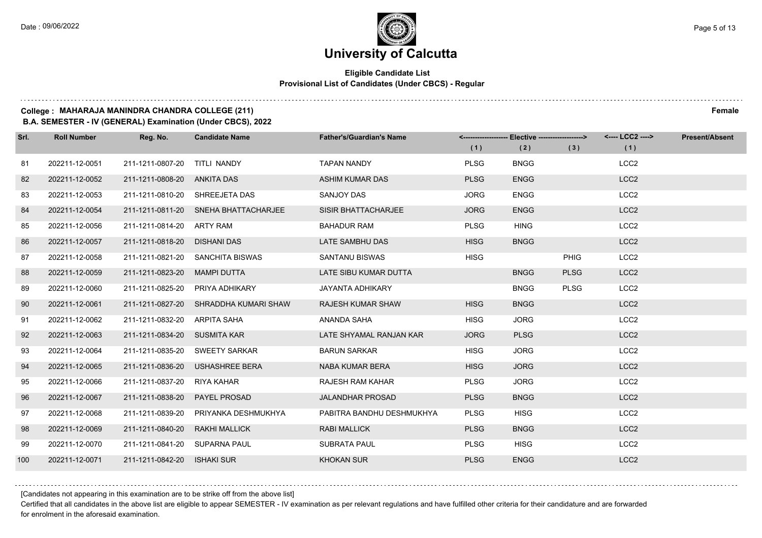## **Eligible Candidate List Provisional List of Candidates (Under CBCS) - Regular**

#### **College : MAHARAJA MANINDRA CHANDRA COLLEGE (211) Female**

**B.A. SEMESTER - IV (GENERAL) Examination (Under CBCS), 2022**

| Srl. | <b>Roll Number</b> | Reg. No.                       | <b>Candidate Name</b>                 | <b>Father's/Guardian's Name</b> |             | <------------------- Elective ------------------> |             | <---- LCC2 ----> | <b>Present/Absent</b> |
|------|--------------------|--------------------------------|---------------------------------------|---------------------------------|-------------|---------------------------------------------------|-------------|------------------|-----------------------|
|      |                    |                                |                                       |                                 | (1)         | (2)                                               | (3)         | (1)              |                       |
| 81   | 202211-12-0051     | 211-1211-0807-20               | TITLI NANDY                           | <b>TAPAN NANDY</b>              | <b>PLSG</b> | <b>BNGG</b>                                       |             | LCC <sub>2</sub> |                       |
| 82   | 202211-12-0052     | 211-1211-0808-20 ANKITA DAS    |                                       | <b>ASHIM KUMAR DAS</b>          | <b>PLSG</b> | <b>ENGG</b>                                       |             | LCC <sub>2</sub> |                       |
| 83   | 202211-12-0053     | 211-1211-0810-20 SHREEJETA DAS |                                       | SANJOY DAS                      | <b>JORG</b> | <b>ENGG</b>                                       |             | LCC <sub>2</sub> |                       |
| 84   | 202211-12-0054     |                                | 211-1211-0811-20 SNEHA BHATTACHARJEE  | SISIR BHATTACHARJEE             | <b>JORG</b> | <b>ENGG</b>                                       |             | LCC <sub>2</sub> |                       |
| 85   | 202211-12-0056     | 211-1211-0814-20 ARTY RAM      |                                       | <b>BAHADUR RAM</b>              | <b>PLSG</b> | <b>HING</b>                                       |             | LCC <sub>2</sub> |                       |
| 86   | 202211-12-0057     | 211-1211-0818-20               | <b>DISHANI DAS</b>                    | LATE SAMBHU DAS                 | <b>HISG</b> | <b>BNGG</b>                                       |             | LCC <sub>2</sub> |                       |
| 87   | 202211-12-0058     |                                | 211-1211-0821-20 SANCHITA BISWAS      | <b>SANTANU BISWAS</b>           | <b>HISG</b> |                                                   | <b>PHIG</b> | LCC <sub>2</sub> |                       |
| 88   | 202211-12-0059     | 211-1211-0823-20               | MAMPI DUTTA                           | LATE SIBU KUMAR DUTTA           |             | <b>BNGG</b>                                       | <b>PLSG</b> | LCC <sub>2</sub> |                       |
| 89   | 202211-12-0060     | 211-1211-0825-20               | PRIYA ADHIKARY                        | <b>JAYANTA ADHIKARY</b>         |             | <b>BNGG</b>                                       | <b>PLSG</b> | LCC <sub>2</sub> |                       |
| 90   | 202211-12-0061     |                                | 211-1211-0827-20 SHRADDHA KUMARI SHAW | <b>RAJESH KUMAR SHAW</b>        | <b>HISG</b> | <b>BNGG</b>                                       |             | LCC <sub>2</sub> |                       |
| 91   | 202211-12-0062     | 211-1211-0832-20 ARPITA SAHA   |                                       | ANANDA SAHA                     | <b>HISG</b> | <b>JORG</b>                                       |             | LCC <sub>2</sub> |                       |
| 92   | 202211-12-0063     | 211-1211-0834-20 SUSMITA KAR   |                                       | LATE SHYAMAL RANJAN KAR         | <b>JORG</b> | <b>PLSG</b>                                       |             | LCC <sub>2</sub> |                       |
| 93   | 202211-12-0064     | 211-1211-0835-20               | <b>SWEETY SARKAR</b>                  | <b>BARUN SARKAR</b>             | <b>HISG</b> | <b>JORG</b>                                       |             | LCC <sub>2</sub> |                       |
| 94   | 202211-12-0065     |                                | 211-1211-0836-20 USHASHREE BERA       | <b>NABA KUMAR BERA</b>          | <b>HISG</b> | <b>JORG</b>                                       |             | LCC <sub>2</sub> |                       |
| 95   | 202211-12-0066     | 211-1211-0837-20               | RIYA KAHAR                            | <b>RAJESH RAM KAHAR</b>         | <b>PLSG</b> | <b>JORG</b>                                       |             | LCC <sub>2</sub> |                       |
| 96   | 202211-12-0067     | 211-1211-0838-20               | <b>PAYEL PROSAD</b>                   | <b>JALANDHAR PROSAD</b>         | <b>PLSG</b> | <b>BNGG</b>                                       |             | LCC <sub>2</sub> |                       |
| 97   | 202211-12-0068     | 211-1211-0839-20               | PRIYANKA DESHMUKHYA                   | PABITRA BANDHU DESHMUKHYA       | <b>PLSG</b> | <b>HISG</b>                                       |             | LCC <sub>2</sub> |                       |
| 98   | 202211-12-0069     | 211-1211-0840-20               | <b>RAKHI MALLICK</b>                  | <b>RABI MALLICK</b>             | <b>PLSG</b> | <b>BNGG</b>                                       |             | LCC <sub>2</sub> |                       |
| 99   | 202211-12-0070     | 211-1211-0841-20 SUPARNA PAUL  |                                       | <b>SUBRATA PAUL</b>             | <b>PLSG</b> | <b>HISG</b>                                       |             | LCC <sub>2</sub> |                       |
| 100  | 202211-12-0071     | 211-1211-0842-20               | <b>ISHAKI SUR</b>                     | <b>KHOKAN SUR</b>               | <b>PLSG</b> | <b>ENGG</b>                                       |             | LCC <sub>2</sub> |                       |

[Candidates not appearing in this examination are to be strike off from the above list]

Certified that all candidates in the above list are eligible to appear SEMESTER - IV examination as per relevant regulations and have fulfilled other criteria for their candidature and are forwarded for enrolment in the aforesaid examination.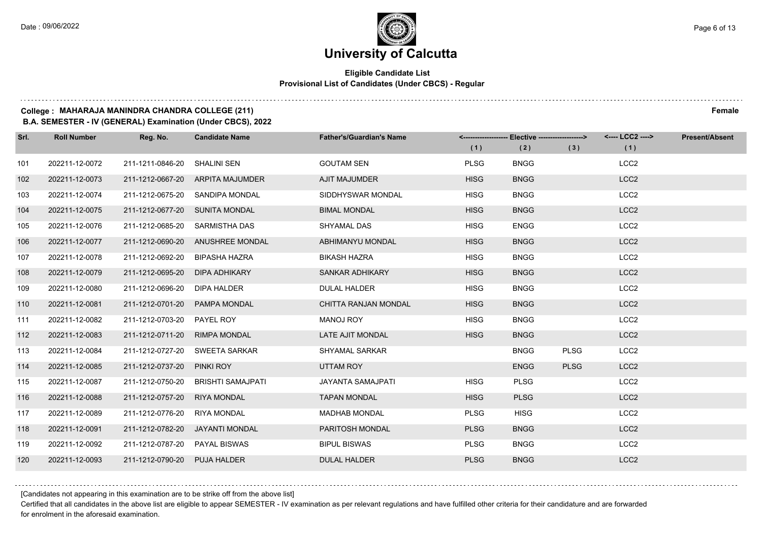## **Eligible Candidate List Provisional List of Candidates (Under CBCS) - Regular**

#### **College : MAHARAJA MANINDRA CHANDRA COLLEGE (211) Female**

**B.A. SEMESTER - IV (GENERAL) Examination (Under CBCS), 2022**

| Srl. | <b>Roll Number</b> | Reg. No.                       | <b>Candidate Name</b>            | <b>Father's/Guardian's Name</b> | (1)         | <-------------------- Elective -------------------><br>(2) | (3)         | <---- LCC2 ----><br>(1) | <b>Present/Absent</b> |
|------|--------------------|--------------------------------|----------------------------------|---------------------------------|-------------|------------------------------------------------------------|-------------|-------------------------|-----------------------|
| 101  | 202211-12-0072     | 211-1211-0846-20               | SHALINI SEN                      | <b>GOUTAM SEN</b>               | <b>PLSG</b> | <b>BNGG</b>                                                |             | LCC <sub>2</sub>        |                       |
| 102  | 202211-12-0073     |                                | 211-1212-0667-20 ARPITA MAJUMDER | <b>AJIT MAJUMDER</b>            | <b>HISG</b> | <b>BNGG</b>                                                |             | LCC <sub>2</sub>        |                       |
| 103  | 202211-12-0074     |                                | 211-1212-0675-20 SANDIPA MONDAL  | SIDDHYSWAR MONDAL               | <b>HISG</b> | <b>BNGG</b>                                                |             | LCC <sub>2</sub>        |                       |
| 104  | 202211-12-0075     | 211-1212-0677-20 SUNITA MONDAL |                                  | <b>BIMAL MONDAL</b>             | <b>HISG</b> | <b>BNGG</b>                                                |             | LCC <sub>2</sub>        |                       |
| 105  | 202211-12-0076     | 211-1212-0685-20               | SARMISTHA DAS                    | SHYAMAL DAS                     | <b>HISG</b> | <b>ENGG</b>                                                |             | LCC <sub>2</sub>        |                       |
| 106  | 202211-12-0077     | 211-1212-0690-20               | <b>ANUSHREE MONDAL</b>           | ABHIMANYU MONDAL                | <b>HISG</b> | <b>BNGG</b>                                                |             | LCC <sub>2</sub>        |                       |
| 107  | 202211-12-0078     | 211-1212-0692-20               | BIPASHA HAZRA                    | <b>BIKASH HAZRA</b>             | <b>HISG</b> | <b>BNGG</b>                                                |             | LCC <sub>2</sub>        |                       |
| 108  | 202211-12-0079     | 211-1212-0695-20               | <b>DIPA ADHIKARY</b>             | SANKAR ADHIKARY                 | <b>HISG</b> | <b>BNGG</b>                                                |             | LCC <sub>2</sub>        |                       |
| 109  | 202211-12-0080     | 211-1212-0696-20               | DIPA HALDER                      | <b>DULAL HALDER</b>             | <b>HISG</b> | <b>BNGG</b>                                                |             | LCC <sub>2</sub>        |                       |
| 110  | 202211-12-0081     | 211-1212-0701-20               | PAMPA MONDAL                     | CHITTA RANJAN MONDAL            | <b>HISG</b> | <b>BNGG</b>                                                |             | LCC <sub>2</sub>        |                       |
| 111  | 202211-12-0082     | 211-1212-0703-20 PAYEL ROY     |                                  | <b>MANOJ ROY</b>                | <b>HISG</b> | <b>BNGG</b>                                                |             | LCC <sub>2</sub>        |                       |
| 112  | 202211-12-0083     | 211-1212-0711-20 RIMPA MONDAL  |                                  | LATE AJIT MONDAL                | <b>HISG</b> | <b>BNGG</b>                                                |             | LCC <sub>2</sub>        |                       |
| 113  | 202211-12-0084     |                                | 211-1212-0727-20 SWEETA SARKAR   | <b>SHYAMAL SARKAR</b>           |             | <b>BNGG</b>                                                | <b>PLSG</b> | LCC <sub>2</sub>        |                       |
| 114  | 202211-12-0085     | 211-1212-0737-20 PINKI ROY     |                                  | UTTAM ROY                       |             | <b>ENGG</b>                                                | <b>PLSG</b> | LCC <sub>2</sub>        |                       |
| 115  | 202211-12-0087     | 211-1212-0750-20               | <b>BRISHTI SAMAJPATI</b>         | JAYANTA SAMAJPATI               | <b>HISG</b> | <b>PLSG</b>                                                |             | LCC <sub>2</sub>        |                       |
| 116  | 202211-12-0088     | 211-1212-0757-20               | <b>RIYA MONDAL</b>               | <b>TAPAN MONDAL</b>             | <b>HISG</b> | <b>PLSG</b>                                                |             | LCC <sub>2</sub>        |                       |
| 117  | 202211-12-0089     | 211-1212-0776-20               | <b>RIYA MONDAL</b>               | <b>MADHAB MONDAL</b>            | <b>PLSG</b> | <b>HISG</b>                                                |             | LCC <sub>2</sub>        |                       |
| 118  | 202211-12-0091     |                                | 211-1212-0782-20 JAYANTI MONDAL  | PARITOSH MONDAL                 | <b>PLSG</b> | <b>BNGG</b>                                                |             | LCC <sub>2</sub>        |                       |
| 119  | 202211-12-0092     | 211-1212-0787-20               | PAYAL BISWAS                     | <b>BIPUL BISWAS</b>             | <b>PLSG</b> | <b>BNGG</b>                                                |             | LCC <sub>2</sub>        |                       |
| 120  | 202211-12-0093     | 211-1212-0790-20 PUJA HALDER   |                                  | <b>DULAL HALDER</b>             | <b>PLSG</b> | <b>BNGG</b>                                                |             | LCC <sub>2</sub>        |                       |

[Candidates not appearing in this examination are to be strike off from the above list]

Certified that all candidates in the above list are eligible to appear SEMESTER - IV examination as per relevant regulations and have fulfilled other criteria for their candidature and are forwarded for enrolment in the aforesaid examination.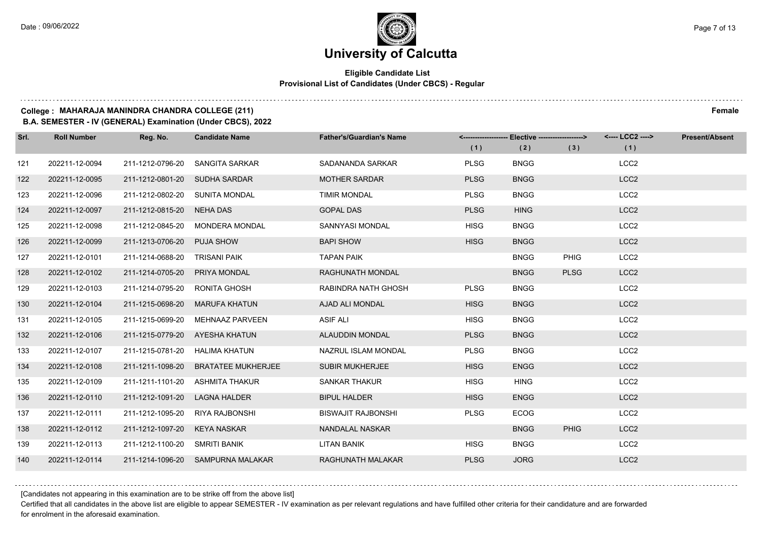## **Eligible Candidate List Provisional List of Candidates (Under CBCS) - Regular**

#### **College : MAHARAJA MANINDRA CHANDRA COLLEGE (211) Female**

**B.A. SEMESTER - IV (GENERAL) Examination (Under CBCS), 2022**

| Srl. | <b>Roll Number</b> | Reg. No.                       | <b>Candidate Name</b>             | <b>Father's/Guardian's Name</b> | (1)         | <------------------- Elective ------------------><br>(2) | (3)         | <---- LCC2 ----><br>(1) | <b>Present/Absent</b> |
|------|--------------------|--------------------------------|-----------------------------------|---------------------------------|-------------|----------------------------------------------------------|-------------|-------------------------|-----------------------|
| 121  | 202211-12-0094     | 211-1212-0796-20               | SANGITA SARKAR                    | SADANANDA SARKAR                | <b>PLSG</b> | <b>BNGG</b>                                              |             | LCC <sub>2</sub>        |                       |
| 122  | 202211-12-0095     | 211-1212-0801-20 SUDHA SARDAR  |                                   | <b>MOTHER SARDAR</b>            | <b>PLSG</b> | <b>BNGG</b>                                              |             | LCC <sub>2</sub>        |                       |
| 123  | 202211-12-0096     | 211-1212-0802-20 SUNITA MONDAL |                                   | <b>TIMIR MONDAL</b>             | <b>PLSG</b> | <b>BNGG</b>                                              |             | LCC <sub>2</sub>        |                       |
| 124  | 202211-12-0097     | 211-1212-0815-20 NEHA DAS      |                                   | <b>GOPAL DAS</b>                | <b>PLSG</b> | <b>HING</b>                                              |             | LCC <sub>2</sub>        |                       |
| 125  | 202211-12-0098     | 211-1212-0845-20               | <b>MONDERA MONDAL</b>             | SANNYASI MONDAL                 | <b>HISG</b> | <b>BNGG</b>                                              |             | LCC <sub>2</sub>        |                       |
| 126  | 202211-12-0099     | 211-1213-0706-20               | <b>PUJA SHOW</b>                  | <b>BAPI SHOW</b>                | <b>HISG</b> | <b>BNGG</b>                                              |             | LCC <sub>2</sub>        |                       |
| 127  | 202211-12-0101     | 211-1214-0688-20               | TRISANI PAIK                      | <b>TAPAN PAIK</b>               |             | <b>BNGG</b>                                              | <b>PHIG</b> | LCC <sub>2</sub>        |                       |
| 128  | 202211-12-0102     | 211-1214-0705-20               | PRIYA MONDAL                      | <b>RAGHUNATH MONDAL</b>         |             | <b>BNGG</b>                                              | <b>PLSG</b> | LCC <sub>2</sub>        |                       |
| 129  | 202211-12-0103     | 211-1214-0795-20               | RONITA GHOSH                      | RABINDRA NATH GHOSH             | <b>PLSG</b> | <b>BNGG</b>                                              |             | LCC <sub>2</sub>        |                       |
| 130  | 202211-12-0104     | 211-1215-0698-20               | <b>MARUFA KHATUN</b>              | AJAD ALI MONDAL                 | <b>HISG</b> | <b>BNGG</b>                                              |             | LCC <sub>2</sub>        |                       |
| 131  | 202211-12-0105     | 211-1215-0699-20               | <b>MEHNAAZ PARVEEN</b>            | <b>ASIF ALI</b>                 | <b>HISG</b> | <b>BNGG</b>                                              |             | LCC <sub>2</sub>        |                       |
| 132  | 202211-12-0106     | 211-1215-0779-20 AYESHA KHATUN |                                   | ALAUDDIN MONDAL                 | <b>PLSG</b> | <b>BNGG</b>                                              |             | LCC <sub>2</sub>        |                       |
| 133  | 202211-12-0107     | 211-1215-0781-20               | HALIMA KHATUN                     | NAZRUL ISLAM MONDAL             | <b>PLSG</b> | <b>BNGG</b>                                              |             | LCC <sub>2</sub>        |                       |
| 134  | 202211-12-0108     | 211-1211-1098-20               | <b>BRATATEE MUKHERJEE</b>         | <b>SUBIR MUKHERJEE</b>          | <b>HISG</b> | <b>ENGG</b>                                              |             | LCC <sub>2</sub>        |                       |
| 135  | 202211-12-0109     |                                | 211-1211-1101-20 ASHMITA THAKUR   | <b>SANKAR THAKUR</b>            | <b>HISG</b> | <b>HING</b>                                              |             | LCC <sub>2</sub>        |                       |
| 136  | 202211-12-0110     | 211-1212-1091-20               | <b>LAGNA HALDER</b>               | <b>BIPUL HALDER</b>             | <b>HISG</b> | <b>ENGG</b>                                              |             | LCC <sub>2</sub>        |                       |
| 137  | 202211-12-0111     | 211-1212-1095-20               | RIYA RAJBONSHI                    | <b>BISWAJIT RAJBONSHI</b>       | <b>PLSG</b> | <b>ECOG</b>                                              |             | LCC <sub>2</sub>        |                       |
| 138  | 202211-12-0112     | 211-1212-1097-20               | KEYA NASKAR                       | NANDALAL NASKAR                 |             | <b>BNGG</b>                                              | <b>PHIG</b> | LCC <sub>2</sub>        |                       |
| 139  | 202211-12-0113     | 211-1212-1100-20 SMRITI BANIK  |                                   | LITAN BANIK                     | <b>HISG</b> | <b>BNGG</b>                                              |             | LCC <sub>2</sub>        |                       |
| 140  | 202211-12-0114     |                                | 211-1214-1096-20 SAMPURNA MALAKAR | RAGHUNATH MALAKAR               | <b>PLSG</b> | <b>JORG</b>                                              |             | LCC <sub>2</sub>        |                       |

[Candidates not appearing in this examination are to be strike off from the above list]

Certified that all candidates in the above list are eligible to appear SEMESTER - IV examination as per relevant regulations and have fulfilled other criteria for their candidature and are forwarded for enrolment in the aforesaid examination.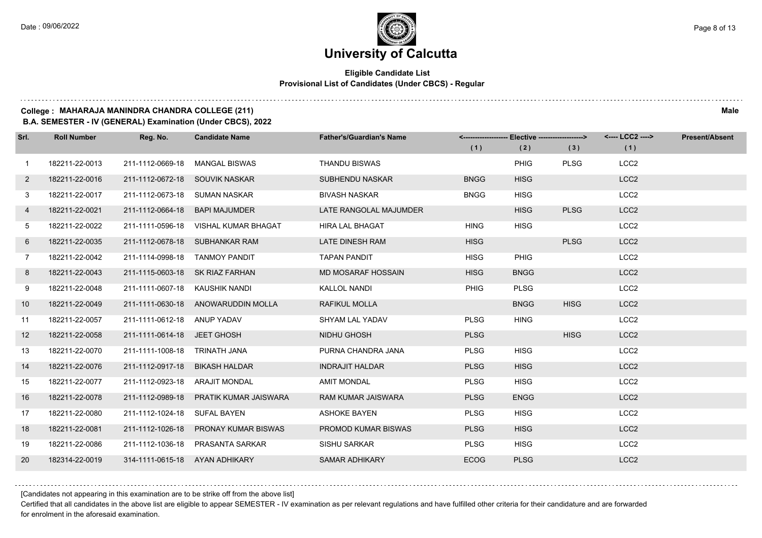$1.111$ 

# **University of Calcutta**

## **Eligible Candidate List Provisional List of Candidates (Under CBCS) - Regular**

### **College : MAHARAJA MANINDRA CHANDRA COLLEGE (211) Male**

**B.A. SEMESTER - IV (GENERAL) Examination (Under CBCS), 2022**

| Srl.         | <b>Roll Number</b> | Reg. No.                        | <b>Candidate Name</b>                  | <b>Father's/Guardian's Name</b> |             | <------------------- Elective ------------------> |             | <---- LCC2 ----> | <b>Present/Absent</b> |
|--------------|--------------------|---------------------------------|----------------------------------------|---------------------------------|-------------|---------------------------------------------------|-------------|------------------|-----------------------|
|              |                    |                                 |                                        |                                 | (1)         | (2)                                               | (3)         | (1)              |                       |
| 1            | 182211-22-0013     | 211-1112-0669-18                | <b>MANGAL BISWAS</b>                   | <b>THANDU BISWAS</b>            |             | <b>PHIG</b>                                       | <b>PLSG</b> | LCC <sub>2</sub> |                       |
| $\mathbf{2}$ | 182211-22-0016     | 211-1112-0672-18 SOUVIK NASKAR  |                                        | <b>SUBHENDU NASKAR</b>          | <b>BNGG</b> | <b>HISG</b>                                       |             | LCC <sub>2</sub> |                       |
| 3            | 182211-22-0017     | 211-1112-0673-18 SUMAN NASKAR   |                                        | <b>BIVASH NASKAR</b>            | <b>BNGG</b> | <b>HISG</b>                                       |             | LCC <sub>2</sub> |                       |
| 4            | 182211-22-0021     | 211-1112-0664-18                | <b>BAPI MAJUMDER</b>                   | LATE RANGOLAL MAJUMDER          |             | <b>HISG</b>                                       | <b>PLSG</b> | LCC <sub>2</sub> |                       |
| 5            | 182211-22-0022     | 211-1111-0596-18                | VISHAL KUMAR BHAGAT                    | <b>HIRA LAL BHAGAT</b>          | <b>HING</b> | <b>HISG</b>                                       |             | LCC <sub>2</sub> |                       |
| 6            | 182211-22-0035     |                                 | 211-1112-0678-18 SUBHANKAR RAM         | LATE DINESH RAM                 | <b>HISG</b> |                                                   | <b>PLSG</b> | LCC <sub>2</sub> |                       |
| $7^{\circ}$  | 182211-22-0042     | 211-1114-0998-18 TANMOY PANDIT  |                                        | <b>TAPAN PANDIT</b>             | <b>HISG</b> | <b>PHIG</b>                                       |             | LCC <sub>2</sub> |                       |
| 8            | 182211-22-0043     | 211-1115-0603-18 SK RIAZ FARHAN |                                        | MD MOSARAF HOSSAIN              | <b>HISG</b> | <b>BNGG</b>                                       |             | LCC <sub>2</sub> |                       |
| 9            | 182211-22-0048     | 211-1111-0607-18 KAUSHIK NANDI  |                                        | KALLOL NANDI                    | PHIG        | <b>PLSG</b>                                       |             | LCC <sub>2</sub> |                       |
| 10           | 182211-22-0049     |                                 | 211-1111-0630-18 ANOWARUDDIN MOLLA     | RAFIKUL MOLLA                   |             | <b>BNGG</b>                                       | <b>HISG</b> | LCC <sub>2</sub> |                       |
| 11           | 182211-22-0057     | 211-1111-0612-18 ANUP YADAV     |                                        | SHYAM LAL YADAV                 | <b>PLSG</b> | <b>HING</b>                                       |             | LCC <sub>2</sub> |                       |
| 12           | 182211-22-0058     | 211-1111-0614-18 JEET GHOSH     |                                        | NIDHU GHOSH                     | <b>PLSG</b> |                                                   | <b>HISG</b> | LCC <sub>2</sub> |                       |
| 13           | 182211-22-0070     | 211-1111-1008-18 TRINATH JANA   |                                        | PURNA CHANDRA JANA              | <b>PLSG</b> | <b>HISG</b>                                       |             | LCC <sub>2</sub> |                       |
| 14           | 182211-22-0076     | 211-1112-0917-18                | <b>BIKASH HALDAR</b>                   | <b>INDRAJIT HALDAR</b>          | <b>PLSG</b> | <b>HISG</b>                                       |             | LCC <sub>2</sub> |                       |
| 15           | 182211-22-0077     | 211-1112-0923-18 ARAJIT MONDAL  |                                        | <b>AMIT MONDAL</b>              | <b>PLSG</b> | <b>HISG</b>                                       |             | LCC <sub>2</sub> |                       |
| 16           | 182211-22-0078     |                                 | 211-1112-0989-18 PRATIK KUMAR JAISWARA | RAM KUMAR JAISWARA              | <b>PLSG</b> | <b>ENGG</b>                                       |             | LCC <sub>2</sub> |                       |
| 17           | 182211-22-0080     | 211-1112-1024-18                | <b>SUFAL BAYEN</b>                     | <b>ASHOKE BAYEN</b>             | <b>PLSG</b> | <b>HISG</b>                                       |             | LCC <sub>2</sub> |                       |
| 18           | 182211-22-0081     | 211-1112-1026-18                | <b>PRONAY KUMAR BISWAS</b>             | PROMOD KUMAR BISWAS             | <b>PLSG</b> | <b>HISG</b>                                       |             | LCC <sub>2</sub> |                       |
| 19           | 182211-22-0086     |                                 | 211-1112-1036-18 PRASANTA SARKAR       | SISHU SARKAR                    | <b>PLSG</b> | <b>HISG</b>                                       |             | LCC <sub>2</sub> |                       |
| 20           | 182314-22-0019     | 314-1111-0615-18 AYAN ADHIKARY  |                                        | <b>SAMAR ADHIKARY</b>           | <b>ECOG</b> | <b>PLSG</b>                                       |             | LCC <sub>2</sub> |                       |

[Candidates not appearing in this examination are to be strike off from the above list]

Certified that all candidates in the above list are eligible to appear SEMESTER - IV examination as per relevant regulations and have fulfilled other criteria for their candidature and are forwarded for enrolment in the aforesaid examination.

and a state of the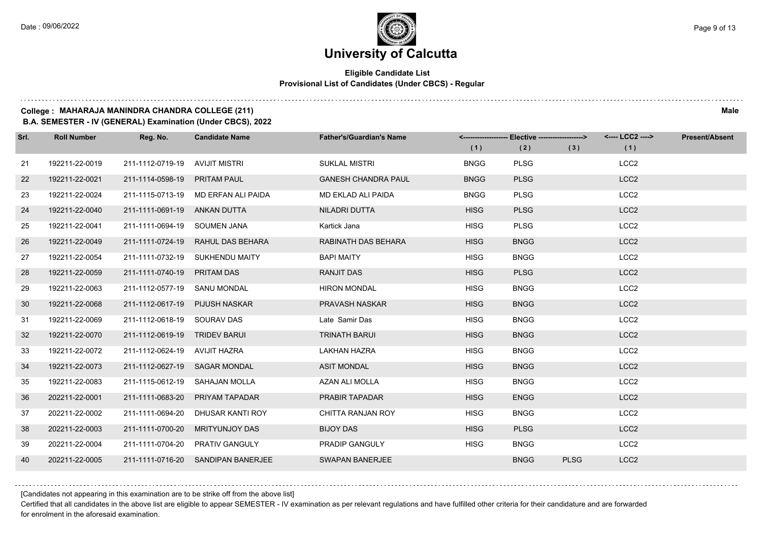## **Eligible Candidate List Provisional List of Candidates (Under CBCS) - Regular**

#### **College : MAHARAJA MANINDRA CHANDRA COLLEGE (211) Male**

**B.A. SEMESTER - IV (GENERAL) Examination (Under CBCS), 2022**

| Srl. | <b>Roll Number</b> | Reg. No.                       | <b>Candidate Name</b>               | <b>Father's/Guardian's Name</b> | (1)         | <------------------- Elective -------------------><br>(2) | (3)         | <---- LCC2 ----><br>(1) | <b>Present/Absent</b> |
|------|--------------------|--------------------------------|-------------------------------------|---------------------------------|-------------|-----------------------------------------------------------|-------------|-------------------------|-----------------------|
| 21   | 192211-22-0019     | 211-1112-0719-19 AVIJIT MISTRI |                                     | <b>SUKLAL MISTRI</b>            | <b>BNGG</b> | <b>PLSG</b>                                               |             | LCC <sub>2</sub>        |                       |
| 22   | 192211-22-0021     | 211-1114-0598-19 PRITAM PAUL   |                                     | <b>GANESH CHANDRA PAUL</b>      | <b>BNGG</b> | <b>PLSG</b>                                               |             | LCC <sub>2</sub>        |                       |
| 23   | 192211-22-0024     |                                | 211-1115-0713-19 MD ERFAN ALI PAIDA | MD EKLAD ALI PAIDA              | <b>BNGG</b> | <b>PLSG</b>                                               |             | LCC <sub>2</sub>        |                       |
| 24   | 192211-22-0040     | 211-1111-0691-19 ANKAN DUTTA   |                                     | NILADRI DUTTA                   | <b>HISG</b> | <b>PLSG</b>                                               |             | LCC <sub>2</sub>        |                       |
| 25   | 192211-22-0041     | 211-1111-0694-19 SOUMEN JANA   |                                     | Kartick Jana                    | <b>HISG</b> | <b>PLSG</b>                                               |             | LCC <sub>2</sub>        |                       |
| 26   | 192211-22-0049     | 211-1111-0724-19               | RAHUL DAS BEHARA                    | RABINATH DAS BEHARA             | <b>HISG</b> | <b>BNGG</b>                                               |             | LCC <sub>2</sub>        |                       |
| 27   | 192211-22-0054     |                                | 211-1111-0732-19 SUKHENDU MAITY     | <b>BAPI MAITY</b>               | <b>HISG</b> | <b>BNGG</b>                                               |             | LCC <sub>2</sub>        |                       |
| 28   | 192211-22-0059     | 211-1111-0740-19 PRITAM DAS    |                                     | <b>RANJIT DAS</b>               | <b>HISG</b> | <b>PLSG</b>                                               |             | LCC <sub>2</sub>        |                       |
| 29   | 192211-22-0063     | 211-1112-0577-19 SANU MONDAL   |                                     | <b>HIRON MONDAL</b>             | <b>HISG</b> | <b>BNGG</b>                                               |             | LCC <sub>2</sub>        |                       |
| 30   | 192211-22-0068     | 211-1112-0617-19 PIJUSH NASKAR |                                     | PRAVASH NASKAR                  | <b>HISG</b> | <b>BNGG</b>                                               |             | LCC <sub>2</sub>        |                       |
| -31  | 192211-22-0069     | 211-1112-0618-19 SOURAV DAS    |                                     | Late Samir Das                  | <b>HISG</b> | <b>BNGG</b>                                               |             | LCC <sub>2</sub>        |                       |
| 32   | 192211-22-0070     | 211-1112-0619-19 TRIDEV BARUI  |                                     | <b>TRINATH BARUI</b>            | <b>HISG</b> | <b>BNGG</b>                                               |             | LCC <sub>2</sub>        |                       |
| 33   | 192211-22-0072     | 211-1112-0624-19 AVIJIT HAZRA  |                                     | <b>LAKHAN HAZRA</b>             | <b>HISG</b> | <b>BNGG</b>                                               |             | LCC <sub>2</sub>        |                       |
| 34   | 192211-22-0073     | 211-1112-0627-19 SAGAR MONDAL  |                                     | <b>ASIT MONDAL</b>              | <b>HISG</b> | <b>BNGG</b>                                               |             | LCC <sub>2</sub>        |                       |
| 35   | 192211-22-0083     |                                | 211-1115-0612-19 SAHAJAN MOLLA      | AZAN ALI MOLLA                  | <b>HISG</b> | <b>BNGG</b>                                               |             | LCC <sub>2</sub>        |                       |
| 36   | 202211-22-0001     |                                | 211-1111-0683-20 PRIYAM TAPADAR     | PRABIR TAPADAR                  | <b>HISG</b> | <b>ENGG</b>                                               |             | LCC <sub>2</sub>        |                       |
| 37   | 202211-22-0002     | 211-1111-0694-20               | DHUSAR KANTI ROY                    | CHITTA RANJAN ROY               | <b>HISG</b> | <b>BNGG</b>                                               |             | LCC <sub>2</sub>        |                       |
| 38   | 202211-22-0003     | 211-1111-0700-20               | <b>MRITYUNJOY DAS</b>               | <b>BIJOY DAS</b>                | <b>HISG</b> | <b>PLSG</b>                                               |             | LCC <sub>2</sub>        |                       |
| 39   | 202211-22-0004     |                                | 211-1111-0704-20 PRATIV GANGULY     | PRADIP GANGULY                  | <b>HISG</b> | <b>BNGG</b>                                               |             | LCC <sub>2</sub>        |                       |
| 40   | 202211-22-0005     |                                | 211-1111-0716-20 SANDIPAN BANERJEE  | <b>SWAPAN BANERJEE</b>          |             | <b>BNGG</b>                                               | <b>PLSG</b> | LCC <sub>2</sub>        |                       |

[Candidates not appearing in this examination are to be strike off from the above list]

Certified that all candidates in the above list are eligible to appear SEMESTER - IV examination as per relevant regulations and have fulfilled other criteria for their candidature and are forwarded for enrolment in the aforesaid examination.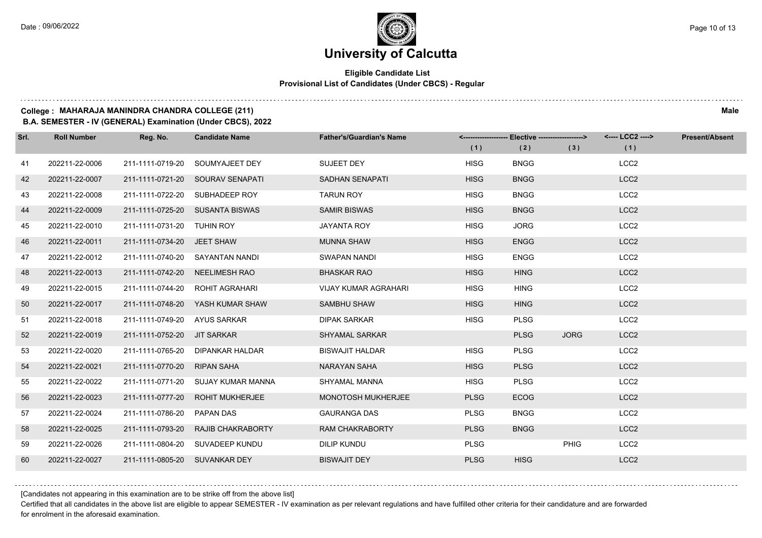## **Eligible Candidate List Provisional List of Candidates (Under CBCS) - Regular**

## 

## **College : MAHARAJA MANINDRA CHANDRA COLLEGE (211) Male**

**B.A. SEMESTER - IV (GENERAL) Examination (Under CBCS), 2022**

| Srl. | <b>Roll Number</b> | Reg. No.                       | <b>Candidate Name</b>            | <b>Father's/Guardian's Name</b> | (1)         | <-------------------- Elective -------------------><br>(2) | (3)         | <---- LCC2 ----><br>(1) | <b>Present/Absent</b> |
|------|--------------------|--------------------------------|----------------------------------|---------------------------------|-------------|------------------------------------------------------------|-------------|-------------------------|-----------------------|
|      |                    |                                |                                  |                                 |             |                                                            |             |                         |                       |
| 41   | 202211-22-0006     | 211-1111-0719-20               | SOUMYAJEET DEY                   | SUJEET DEY                      | <b>HISG</b> | <b>BNGG</b>                                                |             | LCC <sub>2</sub>        |                       |
| 42   | 202211-22-0007     |                                | 211-1111-0721-20 SOURAV SENAPATI | <b>SADHAN SENAPATI</b>          | <b>HISG</b> | <b>BNGG</b>                                                |             | LCC <sub>2</sub>        |                       |
| 43   | 202211-22-0008     |                                | 211-1111-0722-20 SUBHADEEP ROY   | <b>TARUN ROY</b>                | <b>HISG</b> | <b>BNGG</b>                                                |             | LCC <sub>2</sub>        |                       |
| 44   | 202211-22-0009     |                                | 211-1111-0725-20 SUSANTA BISWAS  | <b>SAMIR BISWAS</b>             | <b>HISG</b> | <b>BNGG</b>                                                |             | LCC <sub>2</sub>        |                       |
| 45   | 202211-22-0010     | 211-1111-0731-20 TUHIN ROY     |                                  | <b>JAYANTA ROY</b>              | <b>HISG</b> | <b>JORG</b>                                                |             | LCC <sub>2</sub>        |                       |
| 46   | 202211-22-0011     | 211-1111-0734-20 JEET SHAW     |                                  | <b>MUNNA SHAW</b>               | <b>HISG</b> | <b>ENGG</b>                                                |             | LCC <sub>2</sub>        |                       |
| 47   | 202211-22-0012     |                                | 211-1111-0740-20 SAYANTAN NANDI  | SWAPAN NANDI                    | <b>HISG</b> | <b>ENGG</b>                                                |             | LCC <sub>2</sub>        |                       |
| 48   | 202211-22-0013     | 211-1111-0742-20 NEELIMESH RAO |                                  | <b>BHASKAR RAO</b>              | <b>HISG</b> | <b>HING</b>                                                |             | LCC <sub>2</sub>        |                       |
| 49   | 202211-22-0015     | 211-1111-0744-20               | ROHIT AGRAHARI                   | <b>VIJAY KUMAR AGRAHARI</b>     | <b>HISG</b> | <b>HING</b>                                                |             | LCC <sub>2</sub>        |                       |
| 50   | 202211-22-0017     |                                | 211-1111-0748-20 YASH KUMAR SHAW | SAMBHU SHAW                     | <b>HISG</b> | <b>HING</b>                                                |             | LCC <sub>2</sub>        |                       |
| 51   | 202211-22-0018     | 211-1111-0749-20 AYUS SARKAR   |                                  | <b>DIPAK SARKAR</b>             | <b>HISG</b> | <b>PLSG</b>                                                |             | LCC <sub>2</sub>        |                       |
| 52   | 202211-22-0019     | 211-1111-0752-20               | JIT SARKAR                       | <b>SHYAMAL SARKAR</b>           |             | <b>PLSG</b>                                                | <b>JORG</b> | LCC <sub>2</sub>        |                       |
| 53   | 202211-22-0020     | 211-1111-0765-20               | DIPANKAR HALDAR                  | <b>BISWAJIT HALDAR</b>          | <b>HISG</b> | <b>PLSG</b>                                                |             | LCC <sub>2</sub>        |                       |
| 54   | 202211-22-0021     | 211-1111-0770-20               | <b>RIPAN SAHA</b>                | NARAYAN SAHA                    | <b>HISG</b> | <b>PLSG</b>                                                |             | LCC <sub>2</sub>        |                       |
| 55   | 202211-22-0022     | 211-1111-0771-20               | SUJAY KUMAR MANNA                | SHYAMAL MANNA                   | <b>HISG</b> | <b>PLSG</b>                                                |             | LCC <sub>2</sub>        |                       |
| 56   | 202211-22-0023     | 211-1111-0777-20               | <b>ROHIT MUKHERJEE</b>           | <b>MONOTOSH MUKHERJEE</b>       | <b>PLSG</b> | <b>ECOG</b>                                                |             | LCC <sub>2</sub>        |                       |
| 57   | 202211-22-0024     | 211-1111-0786-20               | <b>PAPAN DAS</b>                 | <b>GAURANGA DAS</b>             | <b>PLSG</b> | <b>BNGG</b>                                                |             | LCC <sub>2</sub>        |                       |
| 58   | 202211-22-0025     | 211-1111-0793-20               | RAJIB CHAKRABORTY                | <b>RAM CHAKRABORTY</b>          | <b>PLSG</b> | <b>BNGG</b>                                                |             | LCC <sub>2</sub>        |                       |
| 59   | 202211-22-0026     |                                | 211-1111-0804-20 SUVADEEP KUNDU  | DILIP KUNDU                     | <b>PLSG</b> |                                                            | <b>PHIG</b> | LCC <sub>2</sub>        |                       |
| 60   | 202211-22-0027     | 211-1111-0805-20 SUVANKAR DEY  |                                  | <b>BISWAJIT DEY</b>             | <b>PLSG</b> | <b>HISG</b>                                                |             | LCC <sub>2</sub>        |                       |

[Candidates not appearing in this examination are to be strike off from the above list]

Certified that all candidates in the above list are eligible to appear SEMESTER - IV examination as per relevant regulations and have fulfilled other criteria for their candidature and are forwarded for enrolment in the aforesaid examination.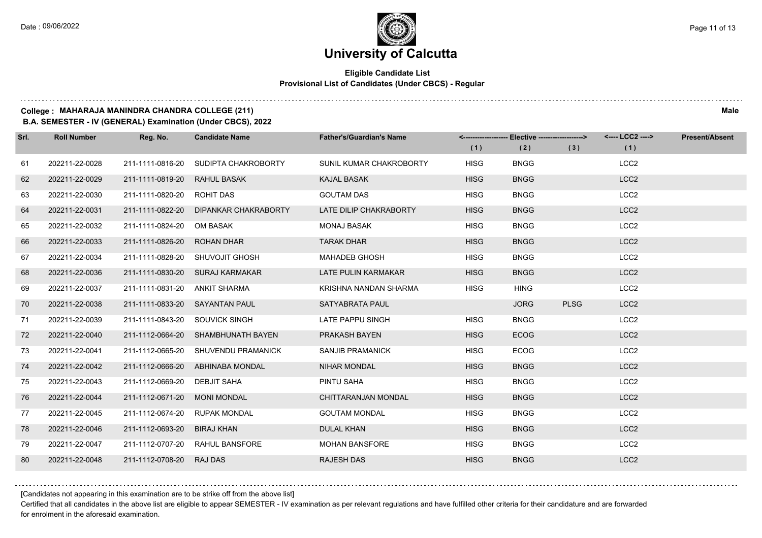$1.1.1.1$ 

## **University of Calcutta**

## **Eligible Candidate List Provisional List of Candidates (Under CBCS) - Regular**

| College: MAHARAJA MANINDRA CHANDRA COLLEGE (211) | Male |
|--------------------------------------------------|------|

**B.A. SEMESTER - IV (GENERAL) Examination (Under CBCS), 2022**

| Srl. | <b>Roll Number</b> | Reg. No.                       | <b>Candidate Name</b>                 | <b>Father's/Guardian's Name</b> | <------------------- Elective ------------------> |             |             | <---- LCC2 ----> | <b>Present/Absent</b> |
|------|--------------------|--------------------------------|---------------------------------------|---------------------------------|---------------------------------------------------|-------------|-------------|------------------|-----------------------|
|      |                    |                                |                                       |                                 | (1)                                               | (2)         | (3)         | (1)              |                       |
| 61   | 202211-22-0028     | 211-1111-0816-20               | SUDIPTA CHAKROBORTY                   | SUNIL KUMAR CHAKROBORTY         | <b>HISG</b>                                       | <b>BNGG</b> |             | LCC <sub>2</sub> |                       |
| 62   | 202211-22-0029     | 211-1111-0819-20               | <b>RAHUL BASAK</b>                    | <b>KAJAL BASAK</b>              | <b>HISG</b>                                       | <b>BNGG</b> |             | LCC <sub>2</sub> |                       |
| 63   | 202211-22-0030     | 211-1111-0820-20               | ROHIT DAS                             | <b>GOUTAM DAS</b>               | <b>HISG</b>                                       | <b>BNGG</b> |             | LCC <sub>2</sub> |                       |
| 64   | 202211-22-0031     |                                | 211-1111-0822-20 DIPANKAR CHAKRABORTY | LATE DILIP CHAKRABORTY          | <b>HISG</b>                                       | <b>BNGG</b> |             | LCC <sub>2</sub> |                       |
| 65   | 202211-22-0032     | 211-1111-0824-20               | OM BASAK                              | <b>MONAJ BASAK</b>              | <b>HISG</b>                                       | <b>BNGG</b> |             | LCC <sub>2</sub> |                       |
| 66   | 202211-22-0033     | 211-1111-0826-20               | <b>ROHAN DHAR</b>                     | <b>TARAK DHAR</b>               | <b>HISG</b>                                       | <b>BNGG</b> |             | LCC <sub>2</sub> |                       |
| 67   | 202211-22-0034     |                                | 211-1111-0828-20 SHUVOJIT GHOSH       | <b>MAHADEB GHOSH</b>            | <b>HISG</b>                                       | <b>BNGG</b> |             | LCC <sub>2</sub> |                       |
| 68   | 202211-22-0036     |                                | 211-1111-0830-20 SURAJ KARMAKAR       | <b>LATE PULIN KARMAKAR</b>      | <b>HISG</b>                                       | <b>BNGG</b> |             | LCC <sub>2</sub> |                       |
| 69   | 202211-22-0037     | 211-1111-0831-20               | ANKIT SHARMA                          | KRISHNA NANDAN SHARMA           | <b>HISG</b>                                       | <b>HING</b> |             | LCC <sub>2</sub> |                       |
| 70   | 202211-22-0038     | 211-1111-0833-20 SAYANTAN PAUL |                                       | SATYABRATA PAUL                 |                                                   | <b>JORG</b> | <b>PLSG</b> | LCC <sub>2</sub> |                       |
| 71   | 202211-22-0039     | 211-1111-0843-20 SOUVICK SINGH |                                       | LATE PAPPU SINGH                | <b>HISG</b>                                       | <b>BNGG</b> |             | LCC <sub>2</sub> |                       |
| 72   | 202211-22-0040     |                                | 211-1112-0664-20 SHAMBHUNATH BAYEN    | PRAKASH BAYEN                   | <b>HISG</b>                                       | <b>ECOG</b> |             | LCC <sub>2</sub> |                       |
| 73   | 202211-22-0041     | 211-1112-0665-20               | SHUVENDU PRAMANICK                    | <b>SANJIB PRAMANICK</b>         | <b>HISG</b>                                       | <b>ECOG</b> |             | LCC <sub>2</sub> |                       |
| 74   | 202211-22-0042     | 211-1112-0666-20               | ABHINABA MONDAL                       | <b>NIHAR MONDAL</b>             | <b>HISG</b>                                       | <b>BNGG</b> |             | LCC <sub>2</sub> |                       |
| 75   | 202211-22-0043     | 211-1112-0669-20               | DEBJIT SAHA                           | PINTU SAHA                      | <b>HISG</b>                                       | <b>BNGG</b> |             | LCC <sub>2</sub> |                       |
| 76   | 202211-22-0044     | 211-1112-0671-20               | <b>MONI MONDAL</b>                    | CHITTARANJAN MONDAL             | <b>HISG</b>                                       | <b>BNGG</b> |             | LCC <sub>2</sub> |                       |
| 77   | 202211-22-0045     | 211-1112-0674-20               | <b>RUPAK MONDAL</b>                   | <b>GOUTAM MONDAL</b>            | <b>HISG</b>                                       | <b>BNGG</b> |             | LCC <sub>2</sub> |                       |
| 78   | 202211-22-0046     | 211-1112-0693-20               | <b>BIRAJ KHAN</b>                     | <b>DULAL KHAN</b>               | <b>HISG</b>                                       | <b>BNGG</b> |             | LCC <sub>2</sub> |                       |
| 79   | 202211-22-0047     | 211-1112-0707-20               | RAHUL BANSFORE                        | <b>MOHAN BANSFORE</b>           | <b>HISG</b>                                       | <b>BNGG</b> |             | LCC <sub>2</sub> |                       |
| 80   | 202211-22-0048     | 211-1112-0708-20               | <b>RAJ DAS</b>                        | <b>RAJESH DAS</b>               | <b>HISG</b>                                       | <b>BNGG</b> |             | LCC <sub>2</sub> |                       |

[Candidates not appearing in this examination are to be strike off from the above list]

Certified that all candidates in the above list are eligible to appear SEMESTER - IV examination as per relevant regulations and have fulfilled other criteria for their candidature and are forwarded for enrolment in the aforesaid examination.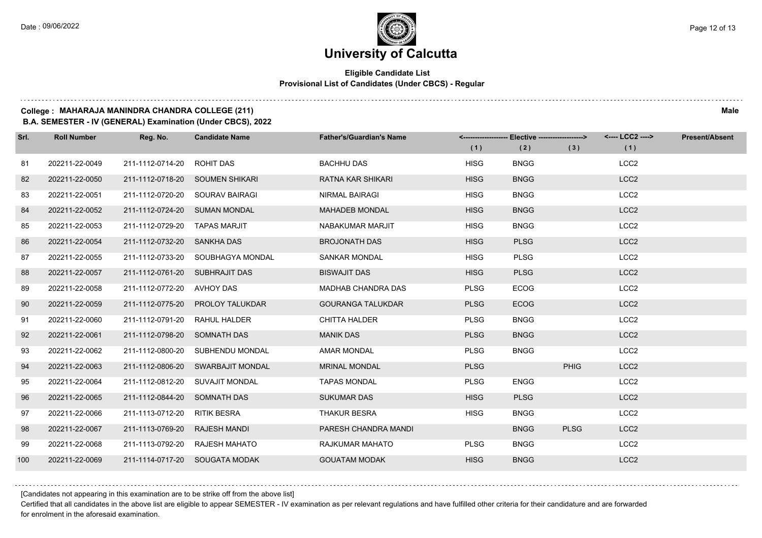## **Eligible Candidate List Provisional List of Candidates (Under CBCS) - Regular**

### **College : MAHARAJA MANINDRA CHANDRA COLLEGE (211) Male**

**B.A. SEMESTER - IV (GENERAL) Examination (Under CBCS), 2022**

| Srl. | <b>Roll Number</b> | Reg. No.                       | <b>Candidate Name</b>             | <b>Father's/Guardian's Name</b> | (1)         | <-------------------- Elective ------------------><br>(2) | (3)         | <---- LCC2 ----><br>(1) | <b>Present/Absent</b> |
|------|--------------------|--------------------------------|-----------------------------------|---------------------------------|-------------|-----------------------------------------------------------|-------------|-------------------------|-----------------------|
| 81   | 202211-22-0049     | 211-1112-0714-20               | ROHIT DAS                         | <b>BACHHU DAS</b>               | <b>HISG</b> | <b>BNGG</b>                                               |             | LCC <sub>2</sub>        |                       |
| 82   | 202211-22-0050     |                                | 211-1112-0718-20 SOUMEN SHIKARI   | RATNA KAR SHIKARI               | <b>HISG</b> | <b>BNGG</b>                                               |             | LCC <sub>2</sub>        |                       |
| 83   | 202211-22-0051     |                                | 211-1112-0720-20 SOURAV BAIRAGI   | <b>NIRMAL BAIRAGI</b>           | <b>HISG</b> | <b>BNGG</b>                                               |             | LCC <sub>2</sub>        |                       |
| 84   | 202211-22-0052     | 211-1112-0724-20 SUMAN MONDAL  |                                   | <b>MAHADEB MONDAL</b>           | <b>HISG</b> | <b>BNGG</b>                                               |             | LCC <sub>2</sub>        |                       |
| 85   | 202211-22-0053     | 211-1112-0729-20               | <b>TAPAS MARJIT</b>               | NABAKUMAR MARJIT                | <b>HISG</b> | <b>BNGG</b>                                               |             | LCC <sub>2</sub>        |                       |
| 86   | 202211-22-0054     | 211-1112-0732-20 SANKHA DAS    |                                   | <b>BROJONATH DAS</b>            | <b>HISG</b> | <b>PLSG</b>                                               |             | LCC <sub>2</sub>        |                       |
| 87   | 202211-22-0055     |                                | 211-1112-0733-20 SOUBHAGYA MONDAL | <b>SANKAR MONDAL</b>            | <b>HISG</b> | <b>PLSG</b>                                               |             | LCC <sub>2</sub>        |                       |
| 88   | 202211-22-0057     | 211-1112-0761-20 SUBHRAJIT DAS |                                   | <b>BISWAJIT DAS</b>             | <b>HISG</b> | <b>PLSG</b>                                               |             | LCC <sub>2</sub>        |                       |
| 89   | 202211-22-0058     | 211-1112-0772-20 AVHOY DAS     |                                   | MADHAB CHANDRA DAS              | <b>PLSG</b> | <b>ECOG</b>                                               |             | LCC <sub>2</sub>        |                       |
| 90   | 202211-22-0059     |                                | 211-1112-0775-20 PROLOY TALUKDAR  | <b>GOURANGA TALUKDAR</b>        | <b>PLSG</b> | <b>ECOG</b>                                               |             | LCC <sub>2</sub>        |                       |
| 91   | 202211-22-0060     | 211-1112-0791-20 RAHUL HALDER  |                                   | <b>CHITTA HALDER</b>            | <b>PLSG</b> | <b>BNGG</b>                                               |             | LCC <sub>2</sub>        |                       |
| 92   | 202211-22-0061     | 211-1112-0798-20 SOMNATH DAS   |                                   | <b>MANIK DAS</b>                | <b>PLSG</b> | <b>BNGG</b>                                               |             | LCC <sub>2</sub>        |                       |
| 93   | 202211-22-0062     | 211-1112-0800-20               | SUBHENDU MONDAL                   | <b>AMAR MONDAL</b>              | <b>PLSG</b> | <b>BNGG</b>                                               |             | LCC <sub>2</sub>        |                       |
| 94   | 202211-22-0063     |                                | 211-1112-0806-20 SWARBAJIT MONDAL | <b>MRINAL MONDAL</b>            | <b>PLSG</b> |                                                           | <b>PHIG</b> | LCC <sub>2</sub>        |                       |
| 95   | 202211-22-0064     |                                | 211-1112-0812-20 SUVAJIT MONDAL   | <b>TAPAS MONDAL</b>             | <b>PLSG</b> | <b>ENGG</b>                                               |             | LCC <sub>2</sub>        |                       |
| 96   | 202211-22-0065     | 211-1112-0844-20 SOMNATH DAS   |                                   | <b>SUKUMAR DAS</b>              | <b>HISG</b> | <b>PLSG</b>                                               |             | LCC <sub>2</sub>        |                       |
| 97   | 202211-22-0066     | 211-1113-0712-20               | <b>RITIK BESRA</b>                | <b>THAKUR BESRA</b>             | <b>HISG</b> | <b>BNGG</b>                                               |             | LCC <sub>2</sub>        |                       |
| 98   | 202211-22-0067     | 211-1113-0769-20               | <b>RAJESH MANDI</b>               | PARESH CHANDRA MANDI            |             | <b>BNGG</b>                                               | <b>PLSG</b> | LCC <sub>2</sub>        |                       |
| 99   | 202211-22-0068     |                                | 211-1113-0792-20 RAJESH MAHATO    | RAJKUMAR MAHATO                 | <b>PLSG</b> | <b>BNGG</b>                                               |             | LCC <sub>2</sub>        |                       |
| 100  | 202211-22-0069     |                                | 211-1114-0717-20 SOUGATA MODAK    | <b>GOUATAM MODAK</b>            | <b>HISG</b> | <b>BNGG</b>                                               |             | LCC <sub>2</sub>        |                       |

[Candidates not appearing in this examination are to be strike off from the above list]

Certified that all candidates in the above list are eligible to appear SEMESTER - IV examination as per relevant regulations and have fulfilled other criteria for their candidature and are forwarded for enrolment in the aforesaid examination.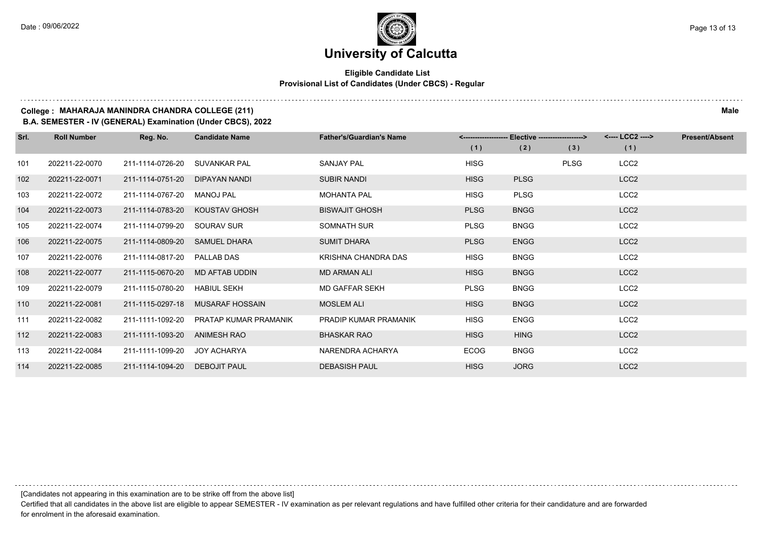## **Eligible Candidate List Provisional List of Candidates (Under CBCS) - Regular**

#### **College : MAHARAJA MANINDRA CHANDRA COLLEGE (211) Male**

**B.A. SEMESTER - IV (GENERAL) Examination (Under CBCS), 2022**

| Srl. | <b>Roll Number</b> | Reg. No.         | <b>Candidate Name</b>  | <b>Father's/Guardian's Name</b> |             | <-------------------- Elective -------------------> |             | <---- LCC2 ----> | <b>Present/Absent</b> |
|------|--------------------|------------------|------------------------|---------------------------------|-------------|-----------------------------------------------------|-------------|------------------|-----------------------|
|      |                    |                  |                        |                                 | (1)         | (2)                                                 | (3)         | (1)              |                       |
| 101  | 202211-22-0070     | 211-1114-0726-20 | SUVANKAR PAL           | <b>SANJAY PAL</b>               | <b>HISG</b> |                                                     | <b>PLSG</b> | LCC <sub>2</sub> |                       |
| 102  | 202211-22-0071     | 211-1114-0751-20 | DIPAYAN NANDI          | <b>SUBIR NANDI</b>              | <b>HISG</b> | <b>PLSG</b>                                         |             | LCC <sub>2</sub> |                       |
| 103  | 202211-22-0072     | 211-1114-0767-20 | <b>MANOJ PAL</b>       | <b>MOHANTA PAL</b>              | <b>HISG</b> | <b>PLSG</b>                                         |             | LCC <sub>2</sub> |                       |
| 104  | 202211-22-0073     | 211-1114-0783-20 | KOUSTAV GHOSH          | <b>BISWAJIT GHOSH</b>           | <b>PLSG</b> | <b>BNGG</b>                                         |             | LCC <sub>2</sub> |                       |
| 105  | 202211-22-0074     | 211-1114-0799-20 | SOURAV SUR             | SOMNATH SUR                     | <b>PLSG</b> | <b>BNGG</b>                                         |             | LCC <sub>2</sub> |                       |
| 106  | 202211-22-0075     | 211-1114-0809-20 | <b>SAMUEL DHARA</b>    | <b>SUMIT DHARA</b>              | <b>PLSG</b> | <b>ENGG</b>                                         |             | LCC <sub>2</sub> |                       |
| 107  | 202211-22-0076     | 211-1114-0817-20 | PALLAB DAS             | KRISHNA CHANDRA DAS             | <b>HISG</b> | <b>BNGG</b>                                         |             | LCC <sub>2</sub> |                       |
| 108  | 202211-22-0077     | 211-1115-0670-20 | MD AFTAB UDDIN         | <b>MD ARMAN ALI</b>             | <b>HISG</b> | <b>BNGG</b>                                         |             | LCC <sub>2</sub> |                       |
| 109  | 202211-22-0079     | 211-1115-0780-20 | <b>HABIUL SEKH</b>     | <b>MD GAFFAR SEKH</b>           | <b>PLSG</b> | <b>BNGG</b>                                         |             | LCC <sub>2</sub> |                       |
| 110  | 202211-22-0081     | 211-1115-0297-18 | <b>MUSARAF HOSSAIN</b> | <b>MOSLEM ALI</b>               | <b>HISG</b> | <b>BNGG</b>                                         |             | LCC <sub>2</sub> |                       |
| 111  | 202211-22-0082     | 211-1111-1092-20 | PRATAP KUMAR PRAMANIK  | PRADIP KUMAR PRAMANIK           | <b>HISG</b> | <b>ENGG</b>                                         |             | LCC <sub>2</sub> |                       |
| 112  | 202211-22-0083     | 211-1111-1093-20 | <b>ANIMESH RAO</b>     | <b>BHASKAR RAO</b>              | <b>HISG</b> | <b>HING</b>                                         |             | LCC <sub>2</sub> |                       |
| 113  | 202211-22-0084     | 211-1111-1099-20 | JOY ACHARYA            | NARENDRA ACHARYA                | <b>ECOG</b> | <b>BNGG</b>                                         |             | LCC <sub>2</sub> |                       |
| 114  | 202211-22-0085     | 211-1114-1094-20 | DEBOJIT PAUL           | <b>DEBASISH PAUL</b>            | <b>HISG</b> | <b>JORG</b>                                         |             | LCC <sub>2</sub> |                       |

[Candidates not appearing in this examination are to be strike off from the above list]

Certified that all candidates in the above list are eligible to appear SEMESTER - IV examination as per relevant regulations and have fulfilled other criteria for their candidature and are forwarded for enrolment in the aforesaid examination.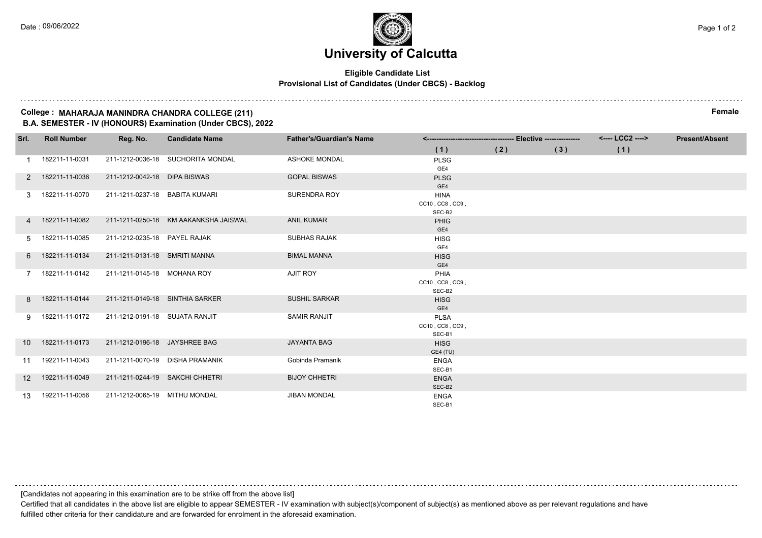### **Eligible Candidate List Provisional List of Candidates (Under CBCS) - Backlog**

#### **College : MAHARAJA MANINDRA CHANDRA COLLEGE (211) Female B.A. SEMESTER - IV (HONOURS) Examination (Under CBCS), 2022**

| Srl.              | <b>Roll Number</b> | Reg. No.                        | <b>Candidate Name</b>                 | <b>Father's/Guardian's Name</b> |                    |     |     | <---- LCC2 ----> | <b>Present/Absent</b> |
|-------------------|--------------------|---------------------------------|---------------------------------------|---------------------------------|--------------------|-----|-----|------------------|-----------------------|
|                   |                    |                                 |                                       |                                 | (1)                | (2) | (3) | (1)              |                       |
|                   | 182211-11-0031     |                                 | 211-1212-0036-18 SUCHORITA MONDAL     | <b>ASHOKE MONDAL</b>            | <b>PLSG</b>        |     |     |                  |                       |
|                   |                    |                                 |                                       |                                 | GE4                |     |     |                  |                       |
|                   | 2 182211-11-0036   | 211-1212-0042-18 DIPA BISWAS    |                                       | <b>GOPAL BISWAS</b>             | <b>PLSG</b><br>GE4 |     |     |                  |                       |
| 3                 | 182211-11-0070     | 211-1211-0237-18 BABITA KUMARI  |                                       | <b>SURENDRA ROY</b>             | <b>HINA</b>        |     |     |                  |                       |
|                   |                    |                                 |                                       |                                 | CC10, CC8, CC9     |     |     |                  |                       |
|                   |                    |                                 |                                       |                                 | SEC-B2             |     |     |                  |                       |
|                   | 4 182211-11-0082   |                                 | 211-1211-0250-18 KM AAKANKSHA JAISWAL | <b>ANIL KUMAR</b>               | <b>PHIG</b>        |     |     |                  |                       |
|                   |                    |                                 |                                       |                                 | GE4                |     |     |                  |                       |
| 5                 | 182211-11-0085     | 211-1212-0235-18 PAYEL RAJAK    |                                       | <b>SUBHAS RAJAK</b>             | <b>HISG</b>        |     |     |                  |                       |
|                   |                    |                                 |                                       |                                 | GE4                |     |     |                  |                       |
| 6                 | 182211-11-0134     | 211-1211-0131-18 SMRITI MANNA   |                                       | <b>BIMAL MANNA</b>              | <b>HISG</b>        |     |     |                  |                       |
|                   |                    |                                 |                                       |                                 | GE4                |     |     |                  |                       |
|                   | 7 182211-11-0142   | 211-1211-0145-18 MOHANA ROY     |                                       | <b>AJIT ROY</b>                 | PHIA               |     |     |                  |                       |
|                   |                    |                                 |                                       |                                 | CC10, CC8, CC9,    |     |     |                  |                       |
|                   |                    |                                 |                                       |                                 | SEC-B2             |     |     |                  |                       |
|                   | 8 182211-11-0144   | 211-1211-0149-18 SINTHIA SARKER |                                       | <b>SUSHIL SARKAR</b>            | <b>HISG</b>        |     |     |                  |                       |
|                   |                    |                                 |                                       |                                 | GE4                |     |     |                  |                       |
| 9                 | 182211-11-0172     | 211-1212-0191-18 SUJATA RANJIT  |                                       | <b>SAMIR RANJIT</b>             | <b>PLSA</b>        |     |     |                  |                       |
|                   |                    |                                 |                                       |                                 | CC10, CC8, CC9     |     |     |                  |                       |
|                   |                    |                                 |                                       |                                 | SEC-B1             |     |     |                  |                       |
| 10 <sup>1</sup>   | 182211-11-0173     | 211-1212-0196-18 JAYSHREE BAG   |                                       | <b>JAYANTA BAG</b>              | <b>HISG</b>        |     |     |                  |                       |
|                   |                    |                                 |                                       |                                 | GE4 (TU)           |     |     |                  |                       |
| 11                | 192211-11-0043     |                                 | 211-1211-0070-19 DISHA PRAMANIK       | Gobinda Pramanik                | <b>ENGA</b>        |     |     |                  |                       |
|                   |                    |                                 |                                       |                                 | SEC-B1             |     |     |                  |                       |
| $12 \overline{ }$ | 192211-11-0049     | 211-1211-0244-19 SAKCHI CHHETRI |                                       | <b>BIJOY CHHETRI</b>            | <b>ENGA</b>        |     |     |                  |                       |
|                   |                    |                                 |                                       |                                 | SEC-B2             |     |     |                  |                       |
| 13                | 192211-11-0056     | 211-1212-0065-19 MITHU MONDAL   |                                       | <b>JIBAN MONDAL</b>             | <b>ENGA</b>        |     |     |                  |                       |
|                   |                    |                                 |                                       |                                 | SEC-B1             |     |     |                  |                       |

[Candidates not appearing in this examination are to be strike off from the above list]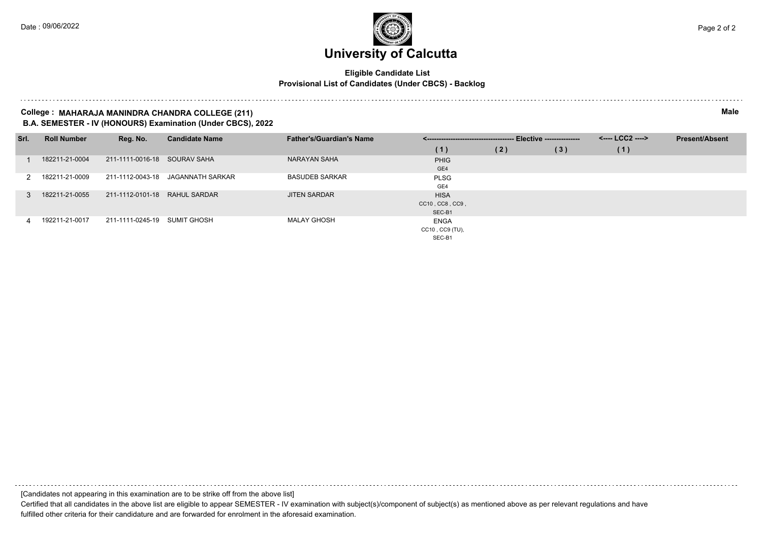### **Eligible Candidate List Provisional List of Candidates (Under CBCS) - Backlog**

#### **College : MAHARAJA MANINDRA CHANDRA COLLEGE (211) Male B.A. SEMESTER - IV (HONOURS) Examination (Under CBCS), 2022**

| Srl.          | <b>Roll Number</b> | Reg. No.                      | <b>Candidate Name</b> | <b>Father's/Guardian's Name</b> |                 |     |     | <---- LCC2 ----> | <b>Present/Absent</b> |
|---------------|--------------------|-------------------------------|-----------------------|---------------------------------|-----------------|-----|-----|------------------|-----------------------|
|               |                    |                               |                       |                                 | (1)             | (2) | (3) | (1)              |                       |
|               | 182211-21-0004     | 211-1111-0016-18 SOURAV SAHA  |                       | NARAYAN SAHA                    | <b>PHIG</b>     |     |     |                  |                       |
|               |                    |                               |                       |                                 | GE4             |     |     |                  |                       |
| $\mathcal{P}$ | 182211-21-0009     | 211-1112-0043-18              | JAGANNATH SARKAR      | <b>BASUDEB SARKAR</b>           | <b>PLSG</b>     |     |     |                  |                       |
|               |                    |                               |                       |                                 | GE4             |     |     |                  |                       |
|               | 182211-21-0055     | 211-1112-0101-18 RAHUL SARDAR |                       | <b>JITEN SARDAR</b>             | <b>HISA</b>     |     |     |                  |                       |
|               |                    |                               |                       |                                 | CC10, CC8, CC9, |     |     |                  |                       |
|               |                    |                               |                       |                                 | SEC-B1          |     |     |                  |                       |
| 4             | 192211-21-0017     | 211-1111-0245-19 SUMIT GHOSH  |                       | MALAY GHOSH                     | <b>ENGA</b>     |     |     |                  |                       |
|               |                    |                               |                       |                                 | CC10, CC9 (TU), |     |     |                  |                       |
|               |                    |                               |                       |                                 | SEC-B1          |     |     |                  |                       |

[Candidates not appearing in this examination are to be strike off from the above list] Certified that all candidates in the above list are eligible to appear SEMESTER - IV examination with subject(s)/component of subject(s) as mentioned above as per relevant regulations and have fulfilled other criteria for their candidature and are forwarded for enrolment in the aforesaid examination.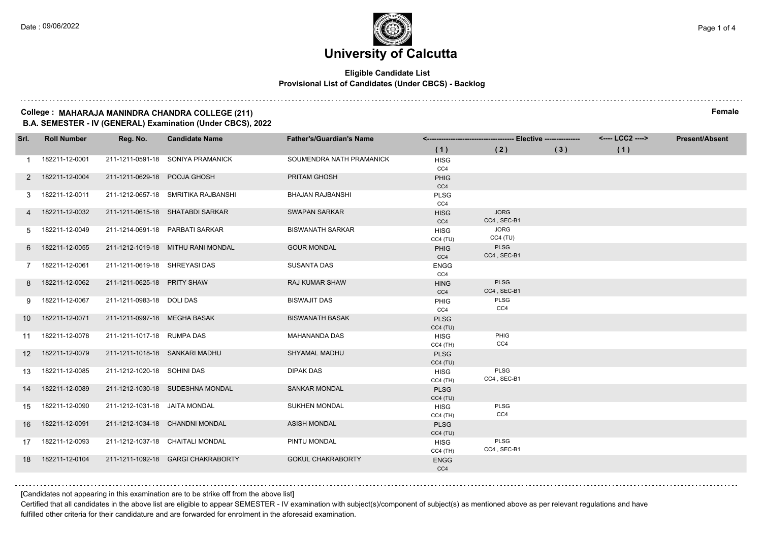### **Eligible Candidate List Provisional List of Candidates (Under CBCS) - Backlog**

#### **College : MAHARAJA MANINDRA CHANDRA COLLEGE (211) Female B.A. SEMESTER - IV (GENERAL) Examination (Under CBCS), 2022**

| Srl.            | <b>Roll Number</b> | Reg. No.                       | <b>Candidate Name</b>               | <b>Father's/Guardian's Name</b> |                        |                            |     | <---- LCC2 ----> | <b>Present/Absent</b> |
|-----------------|--------------------|--------------------------------|-------------------------------------|---------------------------------|------------------------|----------------------------|-----|------------------|-----------------------|
|                 |                    |                                |                                     |                                 | (1)                    | (2)                        | (3) | (1)              |                       |
|                 | 182211-12-0001     |                                | 211-1211-0591-18 SONIYA PRAMANICK   | SOUMENDRA NATH PRAMANICK        | <b>HISG</b>            |                            |     |                  |                       |
|                 |                    |                                |                                     |                                 | CC4                    |                            |     |                  |                       |
| 2               | 182211-12-0004     | 211-1211-0629-18 POOJA GHOSH   |                                     | PRITAM GHOSH                    | <b>PHIG</b>            |                            |     |                  |                       |
| 3               | 182211-12-0011     |                                | 211-1212-0657-18 SMRITIKA RAJBANSHI | BHAJAN RAJBANSHI                | CC4<br><b>PLSG</b>     |                            |     |                  |                       |
|                 |                    |                                |                                     |                                 | CC4                    |                            |     |                  |                       |
|                 | 182211-12-0032     |                                | 211-1211-0615-18 SHATABDI SARKAR    | <b>SWAPAN SARKAR</b>            | <b>HISG</b>            | <b>JORG</b>                |     |                  |                       |
|                 |                    |                                |                                     |                                 | CC4                    | CC4, SEC-B1                |     |                  |                       |
| 5.              | 182211-12-0049     |                                | 211-1214-0691-18 PARBATI SARKAR     | <b>BISWANATH SARKAR</b>         | <b>HISG</b>            | <b>JORG</b>                |     |                  |                       |
|                 |                    |                                |                                     |                                 | CC4(TU)                | CC4(TU)                    |     |                  |                       |
| 6.              | 182211-12-0055     |                                | 211-1212-1019-18 MITHU RANI MONDAL  | <b>GOUR MONDAL</b>              | <b>PHIG</b>            | <b>PLSG</b><br>CC4, SEC-B1 |     |                  |                       |
| 7               | 182211-12-0061     | 211-1211-0619-18 SHREYASI DAS  |                                     | SUSANTA DAS                     | CC4<br><b>ENGG</b>     |                            |     |                  |                       |
|                 |                    |                                |                                     |                                 | CC4                    |                            |     |                  |                       |
| 8               | 182211-12-0062     | 211-1211-0625-18 PRITY SHAW    |                                     | <b>RAJ KUMAR SHAW</b>           | <b>HING</b>            | <b>PLSG</b>                |     |                  |                       |
|                 |                    |                                |                                     |                                 | CC4                    | CC4, SEC-B1                |     |                  |                       |
| 9               | 182211-12-0067     | 211-1211-0983-18 DOLI DAS      |                                     | <b>BISWAJIT DAS</b>             | PHIG                   | PLSG                       |     |                  |                       |
|                 |                    |                                |                                     |                                 | CC4                    | CC4                        |     |                  |                       |
| 10 I            | 182211-12-0071     | 211-1211-0997-18 MEGHA BASAK   |                                     | <b>BISWANATH BASAK</b>          | <b>PLSG</b>            |                            |     |                  |                       |
|                 | 11  182211-12-0078 | 211-1211-1017-18 RUMPA DAS     |                                     | MAHANANDA DAS                   | CC4(TU)<br><b>HISG</b> | PHIG                       |     |                  |                       |
|                 |                    |                                |                                     |                                 | $CC4$ (TH)             | CC4                        |     |                  |                       |
| 12 <sup>2</sup> | 182211-12-0079     | 211-1211-1018-18 SANKARI MADHU |                                     | SHYAMAL MADHU                   | <b>PLSG</b>            |                            |     |                  |                       |
|                 |                    |                                |                                     |                                 | CC4(TU)                |                            |     |                  |                       |
| 13              | 182211-12-0085     | 211-1212-1020-18 SOHINI DAS    |                                     | <b>DIPAK DAS</b>                | <b>HISG</b>            | PLSG                       |     |                  |                       |
|                 |                    |                                |                                     |                                 | $CC4$ (TH)             | CC4, SEC-B1                |     |                  |                       |
| 14              | 182211-12-0089     |                                | 211-1212-1030-18 SUDESHNA MONDAL    | <b>SANKAR MONDAL</b>            | <b>PLSG</b><br>CC4(TU) |                            |     |                  |                       |
| 15              | 182211-12-0090     | 211-1212-1031-18 JAITA MONDAL  |                                     | <b>SUKHEN MONDAL</b>            | <b>HISG</b>            | PLSG                       |     |                  |                       |
|                 |                    |                                |                                     |                                 | $CC4$ (TH)             | CC4                        |     |                  |                       |
| 16              | 182211-12-0091     |                                | 211-1212-1034-18 CHANDNI MONDAL     | <b>ASISH MONDAL</b>             | <b>PLSG</b>            |                            |     |                  |                       |
|                 |                    |                                |                                     |                                 | CC4(TU)                |                            |     |                  |                       |
|                 | 17  182211-12-0093 |                                | 211-1212-1037-18 CHAITALI MONDAL    | PINTU MONDAL                    | <b>HISG</b>            | PLSG                       |     |                  |                       |
|                 |                    |                                |                                     |                                 | $CC4$ (TH)             | CC4, SEC-B1                |     |                  |                       |
| 18              | 182211-12-0104     |                                | 211-1211-1092-18 GARGI CHAKRABORTY  | <b>GOKUL CHAKRABORTY</b>        | <b>ENGG</b><br>CC4     |                            |     |                  |                       |
|                 |                    |                                |                                     |                                 |                        |                            |     |                  |                       |

[Candidates not appearing in this examination are to be strike off from the above list]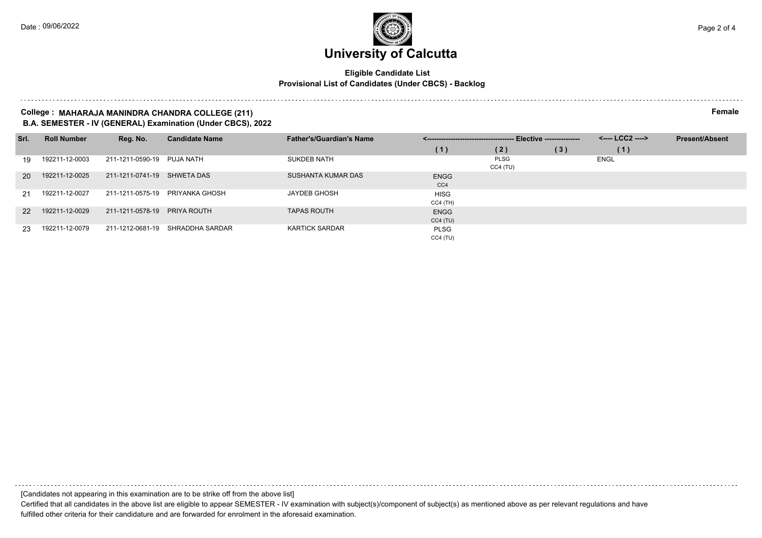### **Eligible Candidate List Provisional List of Candidates (Under CBCS) - Backlog**

#### **College : MAHARAJA MANINDRA CHANDRA COLLEGE (211) Female B.A. SEMESTER - IV (GENERAL) Examination (Under CBCS), 2022**

| Srl.            | <b>Roll Number</b> | Reg. No.                    | <b>Candidate Name</b> | <b>Father's/Guardian's Name</b> |                           |                           |     | <b>Present/Absent</b> |  |
|-----------------|--------------------|-----------------------------|-----------------------|---------------------------------|---------------------------|---------------------------|-----|-----------------------|--|
|                 |                    |                             |                       |                                 | (1)                       | (2)                       | (3) | (1)                   |  |
| 19              | 192211-12-0003     | 211-1211-0590-19 PUJA NATH  |                       | <b>SUKDEB NATH</b>              |                           | <b>PLSG</b><br>$CC4$ (TU) |     | ENGL                  |  |
| 20 <sup>1</sup> | 192211-12-0025     | 211-1211-0741-19 SHWETA DAS |                       | SUSHANTA KUMAR DAS              | <b>ENGG</b><br>CC4        |                           |     |                       |  |
| 21              | 192211-12-0027     | 211-1211-0575-19            | PRIYANKA GHOSH        | <b>JAYDEB GHOSH</b>             | <b>HISG</b><br>$CC4$ (TH) |                           |     |                       |  |
| 22              | 192211-12-0029     | 211-1211-0578-19            | PRIYA ROUTH           | <b>TAPAS ROUTH</b>              | <b>ENGG</b><br>CC4(TU)    |                           |     |                       |  |
| 23              | 192211-12-0079     | 211-1212-0681-19            | SHRADDHA SARDAR       | <b>KARTICK SARDAR</b>           | <b>PLSG</b><br>CC4(TU)    |                           |     |                       |  |

[Candidates not appearing in this examination are to be strike off from the above list]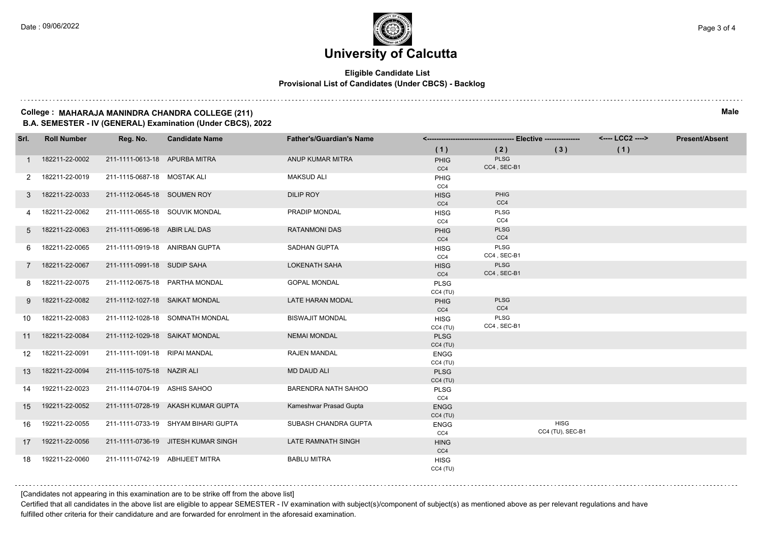### **Eligible Candidate List Provisional List of Candidates (Under CBCS) - Backlog**

#### **College : MAHARAJA MANINDRA CHANDRA COLLEGE (211) Male B.A. SEMESTER - IV (GENERAL) Examination (Under CBCS), 2022**

| Srl.        | <b>Roll Number</b> | Reg. No.                        | <b>Candidate Name</b>               | <b>Father's/Guardian's Name</b> |                        |                            |                                 | <---- LCC2 ----> | <b>Present/Absent</b> |
|-------------|--------------------|---------------------------------|-------------------------------------|---------------------------------|------------------------|----------------------------|---------------------------------|------------------|-----------------------|
|             |                    |                                 |                                     |                                 | (1)                    | (2)                        | (3)                             | (1)              |                       |
|             | 182211-22-0002     | 211-1111-0613-18 APURBA MITRA   |                                     | ANUP KUMAR MITRA                | <b>PHIG</b><br>CC4     | <b>PLSG</b><br>CC4, SEC-B1 |                                 |                  |                       |
|             | 182211-22-0019     | 211-1115-0687-18 MOSTAK ALI     |                                     | <b>MAKSUD ALI</b>               | <b>PHIG</b><br>CC4     |                            |                                 |                  |                       |
| 3           | 182211-22-0033     | 211-1112-0645-18 SOUMEN ROY     |                                     | <b>DILIP ROY</b>                | <b>HISG</b><br>CC4     | PHIG<br>CC4                |                                 |                  |                       |
|             | 182211-22-0062     | 211-1111-0655-18 SOUVIK MONDAL  |                                     | PRADIP MONDAL                   | <b>HISG</b><br>CC4     | PLSG<br>CC4                |                                 |                  |                       |
| 5           | 182211-22-0063     | 211-1111-0696-18 ABIR LAL DAS   |                                     | <b>RATANMONI DAS</b>            | <b>PHIG</b><br>CC4     | <b>PLSG</b><br>CC4         |                                 |                  |                       |
|             | 182211-22-0065     | 211-1111-0919-18 ANIRBAN GUPTA  |                                     | SADHAN GUPTA                    | <b>HISG</b><br>CC4     | PLSG<br>CC4, SEC-B1        |                                 |                  |                       |
| $7^{\circ}$ | 182211-22-0067     | 211-1111-0991-18 SUDIP SAHA     |                                     | <b>LOKENATH SAHA</b>            | <b>HISG</b><br>CC4     | PLSG<br>CC4, SEC-B1        |                                 |                  |                       |
| 8           | 182211-22-0075     |                                 | 211-1112-0675-18 PARTHA MONDAL      | <b>GOPAL MONDAL</b>             | <b>PLSG</b><br>CC4(TU) |                            |                                 |                  |                       |
| 9           | 182211-22-0082     | 211-1112-1027-18 SAIKAT MONDAL  |                                     | LATE HARAN MODAL                | <b>PHIG</b><br>CC4     | <b>PLSG</b><br>CC4         |                                 |                  |                       |
| 10          | 182211-22-0083     |                                 | 211-1112-1028-18 SOMNATH MONDAL     | <b>BISWAJIT MONDAL</b>          | <b>HISG</b><br>CC4(TU) | PLSG<br>CC4, SEC-B1        |                                 |                  |                       |
|             | 11  182211-22-0084 | 211-1112-1029-18 SAIKAT MONDAL  |                                     | <b>NEMAI MONDAL</b>             | <b>PLSG</b><br>CC4(TU) |                            |                                 |                  |                       |
| 12          | 182211-22-0091     | 211-1111-1091-18 RIPAI MANDAL   |                                     | <b>RAJEN MANDAL</b>             | <b>ENGG</b><br>CC4(TU) |                            |                                 |                  |                       |
| 13          | 182211-22-0094     | 211-1115-1075-18 NAZIR ALI      |                                     | <b>MD DAUD ALI</b>              | <b>PLSG</b><br>CC4(TU) |                            |                                 |                  |                       |
| 14          | 192211-22-0023     | 211-1114-0704-19 ASHIS SAHOO    |                                     | <b>BARENDRA NATH SAHOO</b>      | <b>PLSG</b><br>CC4     |                            |                                 |                  |                       |
| 15          | 192211-22-0052     |                                 | 211-1111-0728-19 AKASH KUMAR GUPTA  | Kameshwar Prasad Gupta          | <b>ENGG</b><br>CC4(TU) |                            |                                 |                  |                       |
| 16          | 192211-22-0055     |                                 | 211-1111-0733-19 SHYAM BIHARI GUPTA | SUBASH CHANDRA GUPTA            | <b>ENGG</b><br>CC4     |                            | <b>HISG</b><br>CC4 (TU), SEC-B1 |                  |                       |
|             | 17  192211-22-0056 |                                 | 211-1111-0736-19 JITESH KUMAR SINGH | LATE RAMNATH SINGH              | <b>HING</b><br>CC4     |                            |                                 |                  |                       |
| 18          | 192211-22-0060     | 211-1111-0742-19 ABHIJEET MITRA |                                     | <b>BABLU MITRA</b>              | <b>HISG</b><br>CC4(TU) |                            |                                 |                  |                       |

[Candidates not appearing in this examination are to be strike off from the above list]